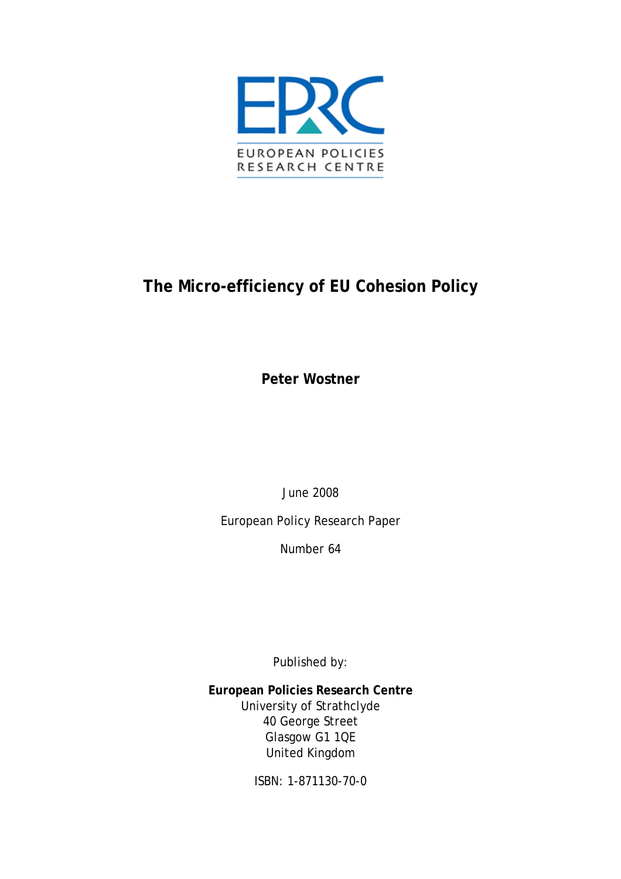

# **The Micro-efficiency of EU Cohesion Policy**

**Peter Wostner** 

June 2008

European Policy Research Paper

Number 64

Published by:

**European Policies Research Centre**  University of Strathclyde 40 George Street Glasgow G1 1QE United Kingdom

ISBN: 1-871130-70-0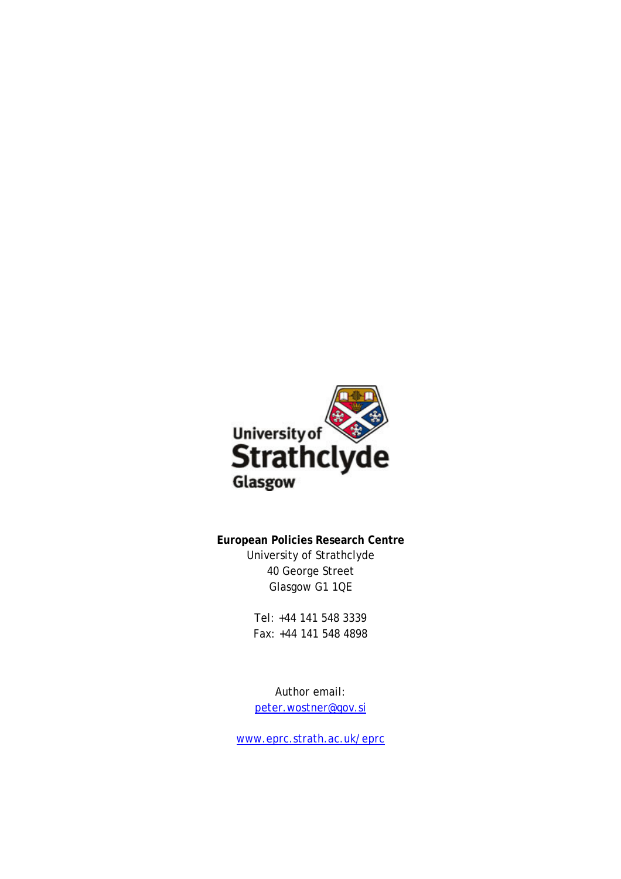

**European Policies Research Centre**  University of Strathclyde 40 George Street Glasgow G1 1QE

> Tel: +44 141 548 3339 Fax: +44 141 548 4898

Author email: [peter.wostner@gov.si](mailto:peter.wostner@gov.si)

[www.eprc.strath.ac.uk/eprc](http://www.eprc.strath.ac.uk/eprc)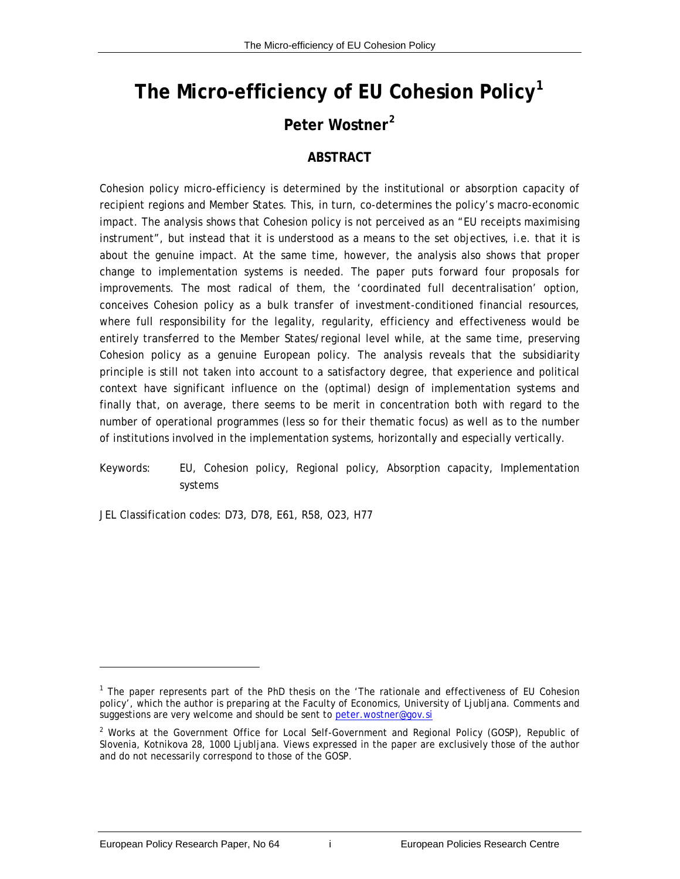# **The Micro-efficiency of EU Cohesion Policy[1](#page-2-0)**

## **Peter Wostner[2](#page-2-1)**

#### **ABSTRACT**

Cohesion policy micro-efficiency is determined by the institutional or absorption capacity of recipient regions and Member States. This, in turn, co-determines the policy's macro-economic impact. The analysis shows that Cohesion policy is not perceived as an "EU receipts maximising instrument", but instead that it is understood as a means to the set objectives, i.e. that it is about the genuine impact. At the same time, however, the analysis also shows that proper change to implementation systems is needed. The paper puts forward four proposals for improvements. The most radical of them, the 'coordinated full decentralisation' option, conceives Cohesion policy as a bulk transfer of investment-conditioned financial resources, where full responsibility for the legality, regularity, efficiency and effectiveness would be entirely transferred to the Member States/regional level while, at the same time, preserving Cohesion policy as a genuine European policy. The analysis reveals that the subsidiarity principle is still not taken into account to a satisfactory degree, that experience and political context have significant influence on the (optimal) design of implementation systems and finally that, on average, there seems to be merit in concentration both with regard to the number of operational programmes (less so for their thematic focus) as well as to the number of institutions involved in the implementation systems, horizontally and especially vertically.

Keywords: EU, Cohesion policy, Regional policy, Absorption capacity, Implementation systems

JEL Classification codes: D73, D78, E61, R58, O23, H77

<span id="page-2-0"></span>l

<span id="page-2-1"></span><sup>&</sup>lt;sup>1</sup> The paper represents part of the PhD thesis on the 'The rationale and effectiveness of EU Cohesion policy', which the author is preparing at the Faculty of Economics, University of Ljubljana. Comments and suggestions are very welcome and should be sent to [peter.wostner@gov.si](mailto:peter.wostner@gov.si)

<sup>&</sup>lt;sup>2</sup> Works at the Government Office for Local Self-Government and Regional Policy (GOSP), Republic of Slovenia, Kotnikova 28, 1000 Ljubljana. Views expressed in the paper are exclusively those of the author and do not necessarily correspond to those of the GOSP.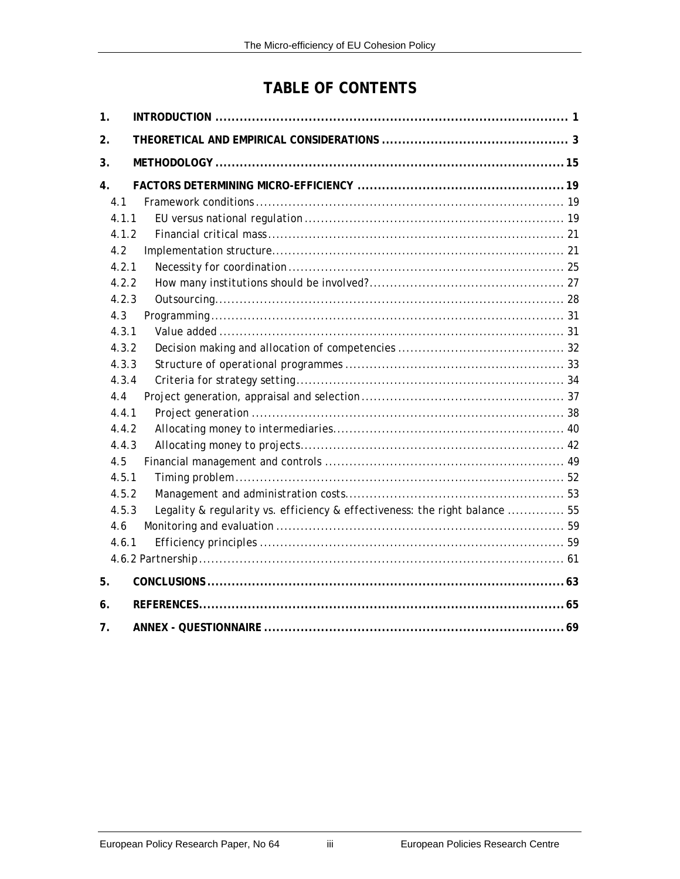## **TABLE OF CONTENTS**

| 1.    |                                                                             |  |
|-------|-----------------------------------------------------------------------------|--|
| 2.    |                                                                             |  |
| 3.    |                                                                             |  |
| 4.    |                                                                             |  |
| 4.1   |                                                                             |  |
| 4.1.1 |                                                                             |  |
| 4.1.2 |                                                                             |  |
| 4.2   |                                                                             |  |
| 4.2.1 |                                                                             |  |
| 4.2.2 |                                                                             |  |
| 4.2.3 |                                                                             |  |
| 4.3   |                                                                             |  |
| 4.3.1 |                                                                             |  |
| 4.3.2 |                                                                             |  |
| 4.3.3 |                                                                             |  |
| 4.3.4 |                                                                             |  |
| 4.4   |                                                                             |  |
| 4.4.1 |                                                                             |  |
| 4.4.2 |                                                                             |  |
| 4.4.3 |                                                                             |  |
| 4.5   |                                                                             |  |
| 4.5.1 |                                                                             |  |
| 4.5.2 |                                                                             |  |
| 4.5.3 | Legality & regularity vs. efficiency & effectiveness: the right balance  55 |  |
| 4.6   |                                                                             |  |
| 4.6.1 |                                                                             |  |
|       |                                                                             |  |
| 5.    |                                                                             |  |
| 6.    |                                                                             |  |
| 7.    |                                                                             |  |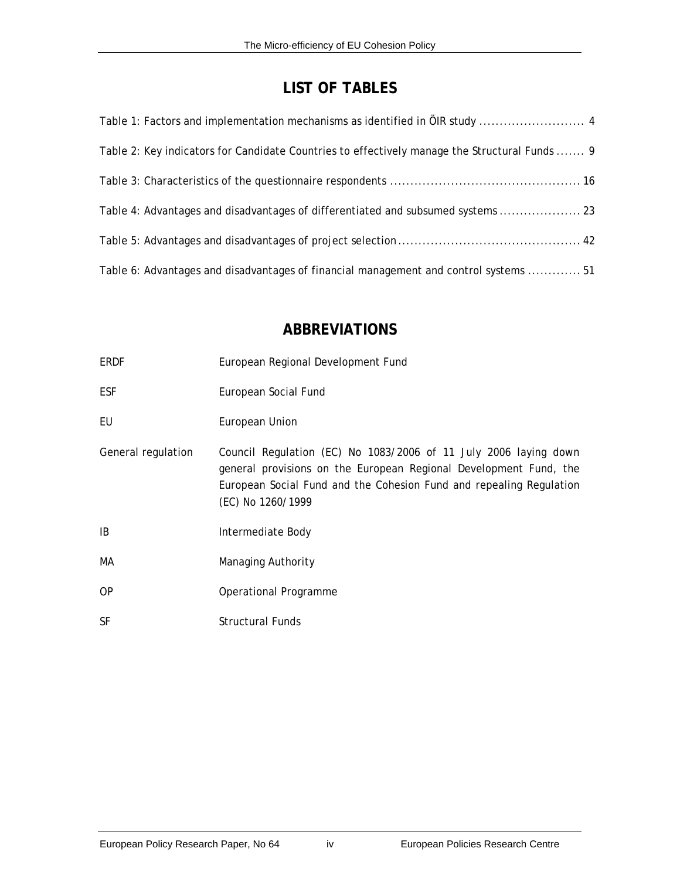## **LIST OF TABLES**

| Table 2: Key indicators for Candidate Countries to effectively manage the Structural Funds  9 |
|-----------------------------------------------------------------------------------------------|
|                                                                                               |
| Table 4: Advantages and disadvantages of differentiated and subsumed systems  23              |
|                                                                                               |
| Table 6: Advantages and disadvantages of financial management and control systems  51         |

#### **ABBREVIATIONS**

| ERDF               | European Regional Development Fund                                                                                                                                                                                                |
|--------------------|-----------------------------------------------------------------------------------------------------------------------------------------------------------------------------------------------------------------------------------|
| <b>ESF</b>         | European Social Fund                                                                                                                                                                                                              |
| EU                 | European Union                                                                                                                                                                                                                    |
| General regulation | Council Regulation (EC) No 1083/2006 of 11 July 2006 laying down<br>general provisions on the European Regional Development Fund, the<br>European Social Fund and the Cohesion Fund and repealing Regulation<br>(EC) No 1260/1999 |
| IB                 | Intermediate Body                                                                                                                                                                                                                 |
| МA                 | Managing Authority                                                                                                                                                                                                                |
| <b>OP</b>          | Operational Programme                                                                                                                                                                                                             |
| <b>SF</b>          | <b>Structural Funds</b>                                                                                                                                                                                                           |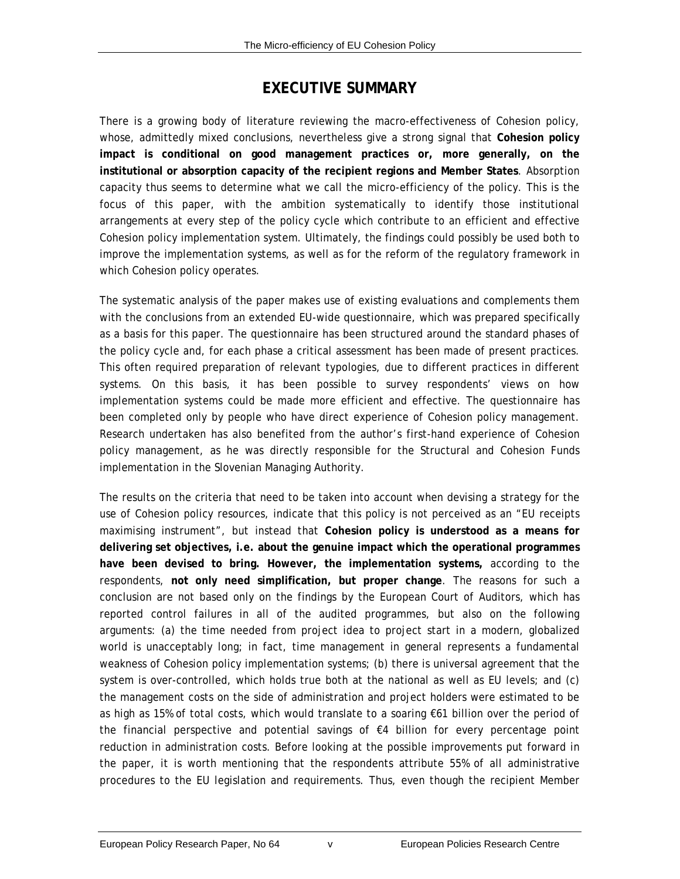#### **EXECUTIVE SUMMARY**

There is a growing body of literature reviewing the macro-effectiveness of Cohesion policy, whose, admittedly mixed conclusions, nevertheless give a strong signal that **Cohesion policy impact is conditional on good management practices or, more generally, on the institutional or absorption capacity of the recipient regions and Member States**. Absorption capacity thus seems to determine what we call the micro-efficiency of the policy. This is the focus of this paper, with the ambition systematically to identify those institutional arrangements at every step of the policy cycle which contribute to an efficient and effective Cohesion policy implementation system. Ultimately, the findings could possibly be used both to improve the implementation systems, as well as for the reform of the regulatory framework in which Cohesion policy operates.

The systematic analysis of the paper makes use of existing evaluations and complements them with the conclusions from an extended EU-wide questionnaire, which was prepared specifically as a basis for this paper. The questionnaire has been structured around the standard phases of the policy cycle and, for each phase a critical assessment has been made of present practices. This often required preparation of relevant typologies, due to different practices in different systems. On this basis, it has been possible to survey respondents' views on how implementation systems could be made more efficient and effective. The questionnaire has been completed only by people who have direct experience of Cohesion policy management. Research undertaken has also benefited from the author's first-hand experience of Cohesion policy management, as he was directly responsible for the Structural and Cohesion Funds implementation in the Slovenian Managing Authority.

The results on the criteria that need to be taken into account when devising a strategy for the use of Cohesion policy resources, indicate that this policy is not perceived as an "EU receipts maximising instrument", but instead that **Cohesion policy is understood as a means for delivering set objectives, i.e. about the genuine impact which the operational programmes have been devised to bring. However, the implementation systems,** according to the respondents, **not only need simplification, but proper change**. The reasons for such a conclusion are not based only on the findings by the European Court of Auditors, which has reported control failures in all of the audited programmes, but also on the following arguments: (a) the time needed from project idea to project start in a modern, globalized world is unacceptably long; in fact, time management in general represents a fundamental weakness of Cohesion policy implementation systems; (b) there is universal agreement that the system is over-controlled, which holds true both at the national as well as EU levels; and (c) the management costs on the side of administration and project holders were estimated to be as high as 15% of total costs, which would translate to a soaring €61 billion over the period of the financial perspective and potential savings of €4 billion for every percentage point reduction in administration costs. Before looking at the possible improvements put forward in the paper, it is worth mentioning that the respondents attribute 55% of all administrative procedures to the EU legislation and requirements. Thus, even though the recipient Member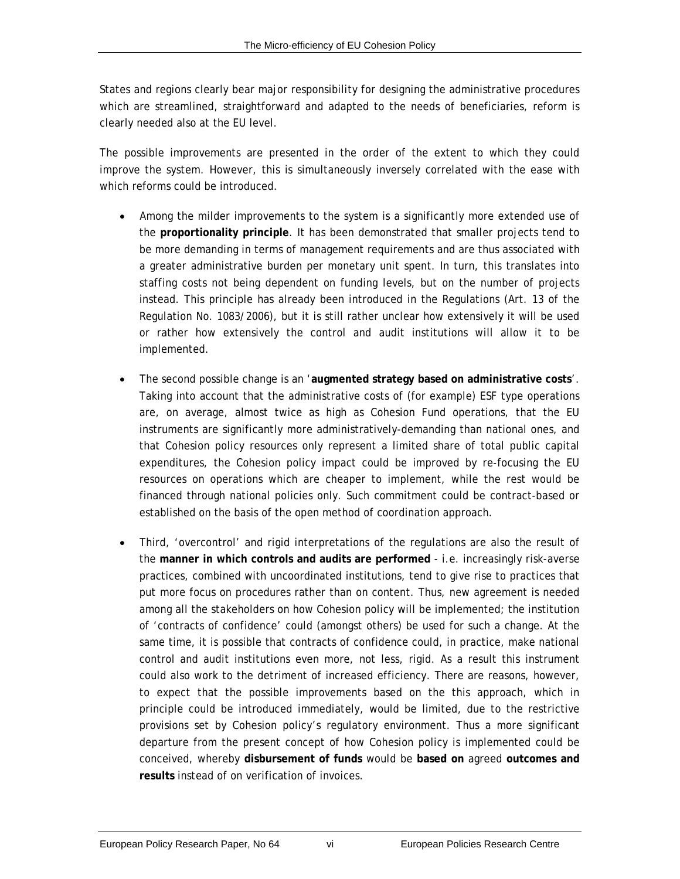States and regions clearly bear major responsibility for designing the administrative procedures which are streamlined, straightforward and adapted to the needs of beneficiaries, reform is clearly needed also at the EU level.

The possible improvements are presented in the order of the extent to which they could improve the system. However, this is simultaneously inversely correlated with the ease with which reforms could be introduced.

- Among the milder improvements to the system is a significantly more extended use of the **proportionality principle**. It has been demonstrated that smaller projects tend to be more demanding in terms of management requirements and are thus associated with a greater administrative burden per monetary unit spent. In turn, this translates into staffing costs not being dependent on funding levels, but on the number of projects instead. This principle has already been introduced in the Regulations (Art. 13 of the Regulation No. 1083/2006), but it is still rather unclear how extensively it will be used or rather how extensively the control and audit institutions will allow it to be implemented.
- The second possible change is an '**augmented strategy based on administrative costs**'. Taking into account that the administrative costs of (for example) ESF type operations are, on average, almost twice as high as Cohesion Fund operations, that the EU instruments are significantly more administratively-demanding than national ones, and that Cohesion policy resources only represent a limited share of total public capital expenditures, the Cohesion policy impact could be improved by re-focusing the EU resources on operations which are cheaper to implement, while the rest would be financed through national policies only. Such commitment could be contract-based or established on the basis of the open method of coordination approach.
- Third, 'overcontrol' and rigid interpretations of the regulations are also the result of the **manner in which controls and audits are performed** - i.e. increasingly risk-averse practices, combined with uncoordinated institutions, tend to give rise to practices that put more focus on procedures rather than on content. Thus, new agreement is needed among all the stakeholders on how Cohesion policy will be implemented; the institution of 'contracts of confidence' could (amongst others) be used for such a change. At the same time, it is possible that contracts of confidence could, in practice, make national control and audit institutions even more, not less, rigid. As a result this instrument could also work to the detriment of increased efficiency. There are reasons, however, to expect that the possible improvements based on the this approach, which in principle could be introduced immediately, would be limited, due to the restrictive provisions set by Cohesion policy's regulatory environment. Thus a more significant departure from the present concept of how Cohesion policy is implemented could be conceived, whereby **disbursement of funds** would be **based on** agreed **outcomes and results** instead of on verification of invoices.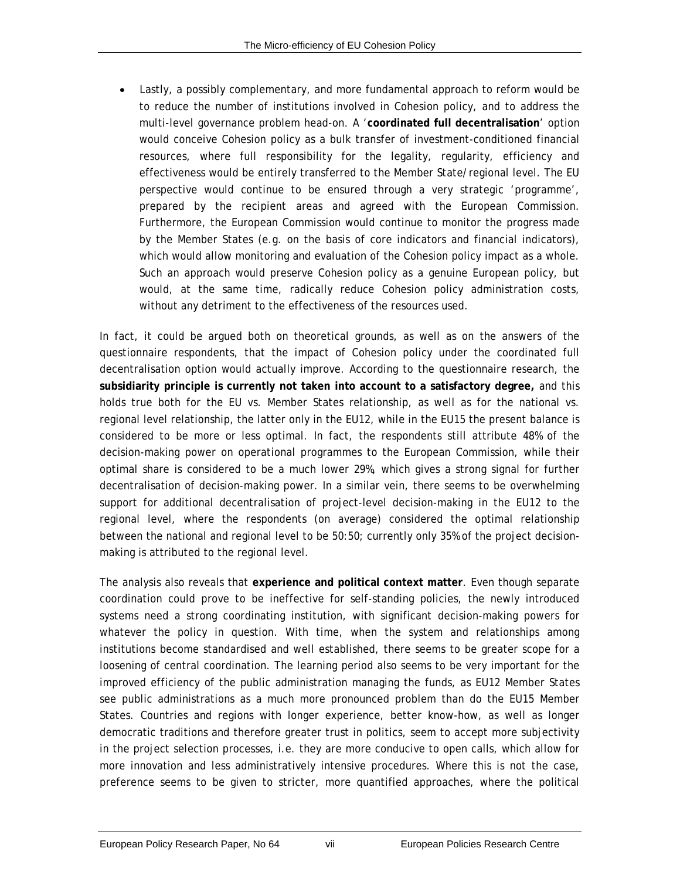• Lastly, a possibly complementary, and more fundamental approach to reform would be to reduce the number of institutions involved in Cohesion policy, and to address the multi-level governance problem head-on. A '**coordinated full decentralisation**' option would conceive Cohesion policy as a bulk transfer of investment-conditioned financial resources, where full responsibility for the legality, regularity, efficiency and effectiveness would be entirely transferred to the Member State/regional level. The EU perspective would continue to be ensured through a very strategic 'programme', prepared by the recipient areas and agreed with the European Commission. Furthermore, the European Commission would continue to monitor the progress made by the Member States (e.g. on the basis of core indicators and financial indicators), which would allow monitoring and evaluation of the Cohesion policy impact as a whole. Such an approach would preserve Cohesion policy as a genuine European policy, but would, at the same time, radically reduce Cohesion policy administration costs, without any detriment to the effectiveness of the resources used.

In fact, it could be argued both on theoretical grounds, as well as on the answers of the questionnaire respondents, that the impact of Cohesion policy under the coordinated full decentralisation option would actually improve. According to the questionnaire research, the **subsidiarity principle is currently not taken into account to a satisfactory degree,** and this holds true both for the EU vs. Member States relationship, as well as for the national vs. regional level relationship, the latter only in the EU12, while in the EU15 the present balance is considered to be more or less optimal. In fact, the respondents still attribute 48% of the decision-making power on operational programmes to the European Commission, while their optimal share is considered to be a much lower 29%, which gives a strong signal for further decentralisation of decision-making power. In a similar vein, there seems to be overwhelming support for additional decentralisation of project-level decision-making in the EU12 to the regional level, where the respondents (on average) considered the optimal relationship between the national and regional level to be 50:50; currently only 35% of the project decisionmaking is attributed to the regional level.

The analysis also reveals that **experience and political context matter**. Even though separate coordination could prove to be ineffective for self-standing policies, the newly introduced systems need a strong coordinating institution, with significant decision-making powers for whatever the policy in question. With time, when the system and relationships among institutions become standardised and well established, there seems to be greater scope for a loosening of central coordination. The learning period also seems to be very important for the improved efficiency of the public administration managing the funds, as EU12 Member States see public administrations as a much more pronounced problem than do the EU15 Member States. Countries and regions with longer experience, better know-how, as well as longer democratic traditions and therefore greater trust in politics, seem to accept more subjectivity in the project selection processes, i.e. they are more conducive to open calls, which allow for more innovation and less administratively intensive procedures. Where this is not the case, preference seems to be given to stricter, more quantified approaches, where the political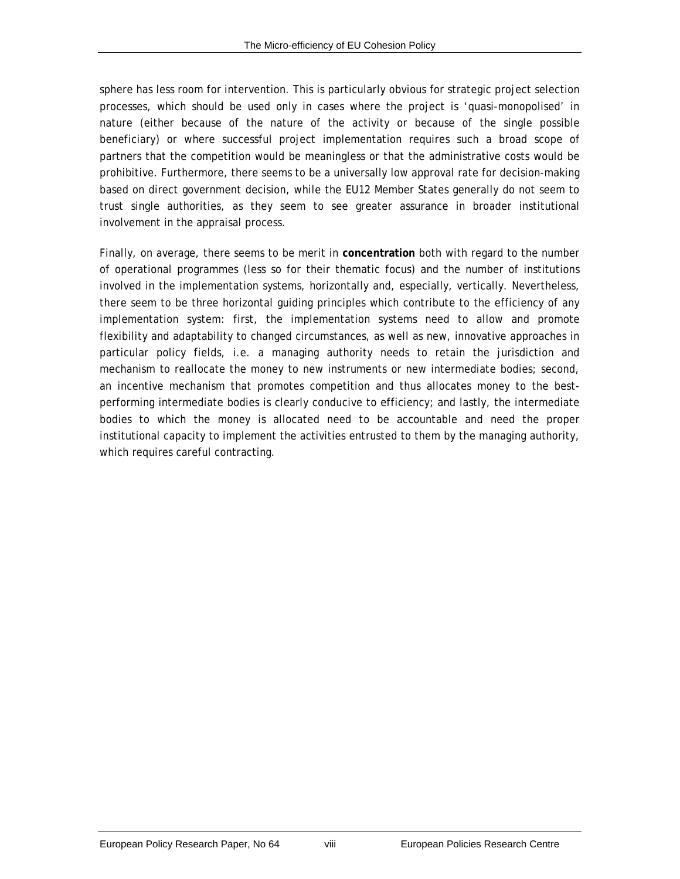sphere has less room for intervention. This is particularly obvious for strategic project selection processes, which should be used only in cases where the project is 'quasi-monopolised' in nature (either because of the nature of the activity or because of the single possible beneficiary) or where successful project implementation requires such a broad scope of partners that the competition would be meaningless or that the administrative costs would be prohibitive. Furthermore, there seems to be a universally low approval rate for decision-making based on direct government decision, while the EU12 Member States generally do not seem to trust single authorities, as they seem to see greater assurance in broader institutional involvement in the appraisal process.

Finally, on average, there seems to be merit in **concentration** both with regard to the number of operational programmes (less so for their thematic focus) and the number of institutions involved in the implementation systems, horizontally and, especially, vertically. Nevertheless, there seem to be three horizontal guiding principles which contribute to the efficiency of any implementation system: first, the implementation systems need to allow and promote flexibility and adaptability to changed circumstances, as well as new, innovative approaches in particular policy fields, i.e. a managing authority needs to retain the jurisdiction and mechanism to reallocate the money to new instruments or new intermediate bodies; second, an incentive mechanism that promotes competition and thus allocates money to the bestperforming intermediate bodies is clearly conducive to efficiency; and lastly, the intermediate bodies to which the money is allocated need to be accountable and need the proper institutional capacity to implement the activities entrusted to them by the managing authority, which requires careful contracting.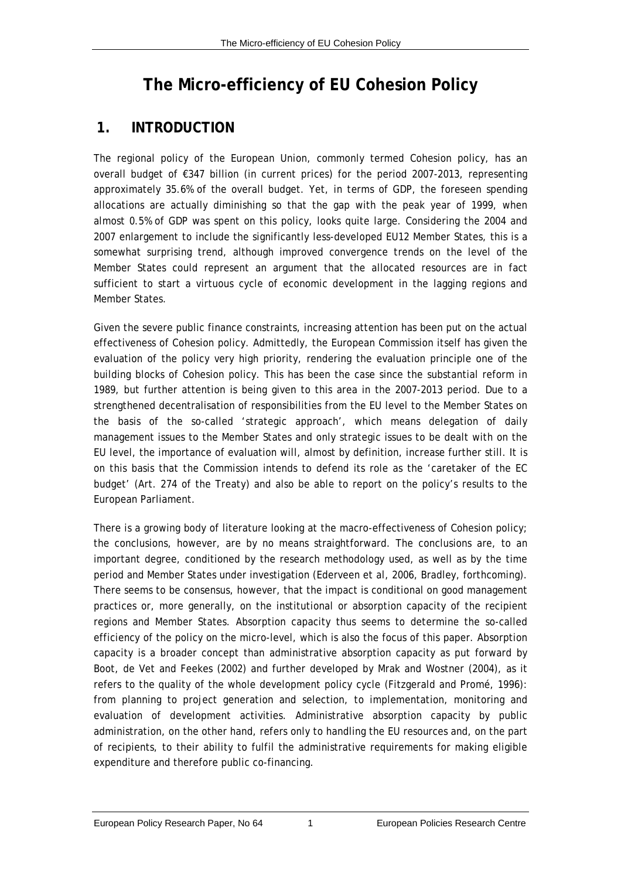## <span id="page-10-0"></span>**The Micro-efficiency of EU Cohesion Policy**

## **1. INTRODUCTION**

The regional policy of the European Union, commonly termed Cohesion policy, has an overall budget of €347 billion (in current prices) for the period 2007-2013, representing approximately 35.6% of the overall budget. Yet, in terms of GDP, the foreseen spending allocations are actually diminishing so that the gap with the peak year of 1999, when almost 0.5% of GDP was spent on this policy, looks quite large. Considering the 2004 and 2007 enlargement to include the significantly less-developed EU12 Member States, this is a somewhat surprising trend, although improved convergence trends on the level of the Member States could represent an argument that the allocated resources are in fact sufficient to start a virtuous cycle of economic development in the lagging regions and Member States.

Given the severe public finance constraints, increasing attention has been put on the actual effectiveness of Cohesion policy. Admittedly, the European Commission itself has given the evaluation of the policy very high priority, rendering the evaluation principle one of the building blocks of Cohesion policy. This has been the case since the substantial reform in 1989, but further attention is being given to this area in the 2007-2013 period. Due to a strengthened decentralisation of responsibilities from the EU level to the Member States on the basis of the so-called 'strategic approach', which means delegation of daily management issues to the Member States and only strategic issues to be dealt with on the EU level, the importance of evaluation will, almost by definition, increase further still. It is on this basis that the Commission intends to defend its role as the 'caretaker of the EC budget' (Art. 274 of the Treaty) and also be able to report on the policy's results to the European Parliament.

There is a growing body of literature looking at the macro-effectiveness of Cohesion policy; the conclusions, however, are by no means straightforward. The conclusions are, to an important degree, conditioned by the research methodology used, as well as by the time period and Member States under investigation (Ederveen *et al*, 2006, Bradley, forthcoming). There seems to be consensus, however, that the impact is conditional on good management practices or, more generally, on the institutional or absorption capacity of the recipient regions and Member States. Absorption capacity thus seems to determine the so-called efficiency of the policy on the micro-level, which is also the focus of this paper. Absorption capacity is a broader concept than administrative absorption capacity as put forward by Boot, de Vet and Feekes (2002) and further developed by Mrak and Wostner (2004), as it refers to the quality of the whole development policy cycle (Fitzgerald and Promé, 1996): from planning to project generation and selection, to implementation, monitoring and evaluation of development activities. Administrative absorption capacity by public administration, on the other hand, refers only to handling the EU resources and, on the part of recipients, to their ability to fulfil the administrative requirements for making eligible expenditure and therefore public co-financing.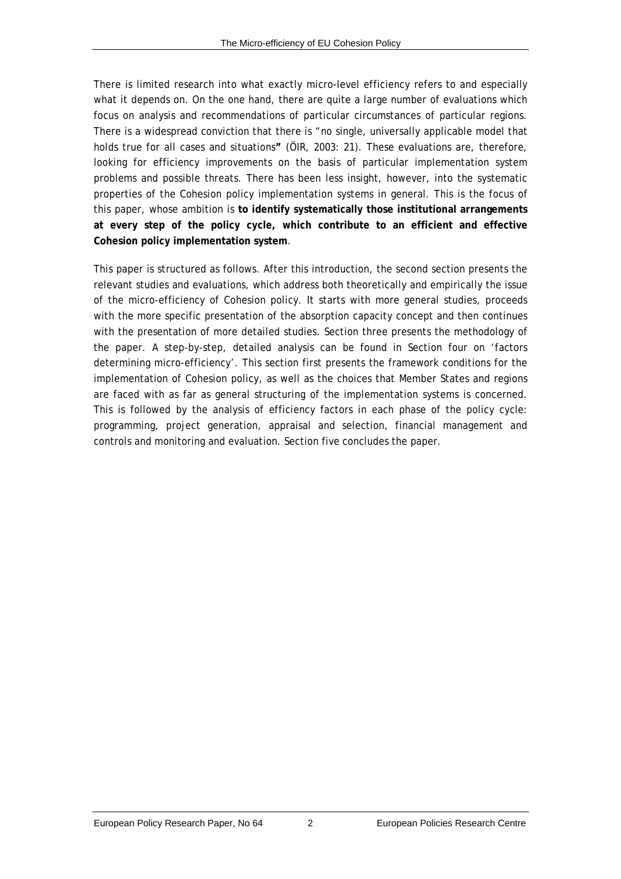There is limited research into what exactly micro-level efficiency refers to and especially what it depends on. On the one hand, there are quite a large number of evaluations which focus on analysis and recommendations of particular circumstances of particular regions. There is a widespread conviction that there is "no single, universally applicable model that holds true for all cases and situations**"** (ÖIR, 2003: 21). These evaluations are, therefore, looking for efficiency improvements on the basis of particular implementation system problems and possible threats. There has been less insight, however, into the systematic properties of the Cohesion policy implementation systems in general. This is the focus of this paper, whose ambition is **to identify systematically those institutional arrangements at every step of the policy cycle, which contribute to an efficient and effective Cohesion policy implementation system**.

This paper is structured as follows. After this introduction, the second section presents the relevant studies and evaluations, which address both theoretically and empirically the issue of the micro-efficiency of Cohesion policy. It starts with more general studies, proceeds with the more specific presentation of the absorption capacity concept and then continues with the presentation of more detailed studies. Section three presents the methodology of the paper. A step-by-step, detailed analysis can be found in Section four on 'factors determining micro-efficiency'. This section first presents the framework conditions for the implementation of Cohesion policy, as well as the choices that Member States and regions are faced with as far as general structuring of the implementation systems is concerned. This is followed by the analysis of efficiency factors in each phase of the policy cycle: programming, project generation, appraisal and selection, financial management and controls and monitoring and evaluation. Section five concludes the paper.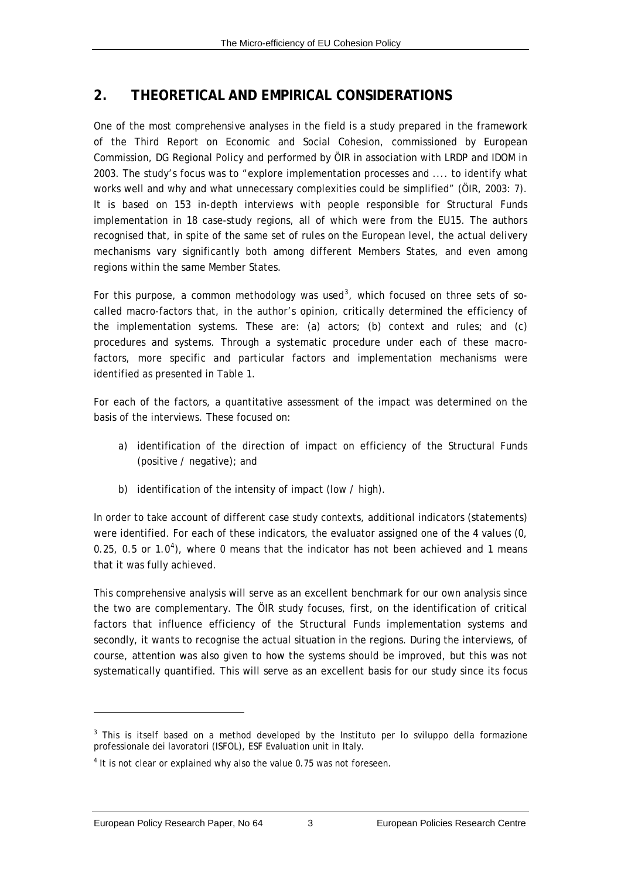### <span id="page-12-1"></span><span id="page-12-0"></span>**2. THEORETICAL AND EMPIRICAL CONSIDERATIONS**

One of the most comprehensive analyses in the field is a study prepared in the framework of the Third Report on Economic and Social Cohesion, commissioned by European Commission, DG Regional Policy and performed by ÖIR in association with LRDP and IDOM in 2003. The study's focus was to "explore implementation processes and .... to identify what works well and why and what unnecessary complexities could be simplified" (ÖIR, 2003: 7). It is based on 153 in-depth interviews with people responsible for Structural Funds implementation in 18 case-study regions, all of which were from the EU15. The authors recognised that, in spite of the same set of rules on the European level, the actual delivery mechanisms vary significantly both among different Members States, and even among regions within the same Member States.

For this purpose, a common methodology was used<sup>[3](#page-12-1)</sup>, which focused on three sets of socalled macro-factors that, in the author's opinion, critically determined the efficiency of the implementation systems. These are: (a) actors; (b) context and rules; and (c) procedures and systems. Through a systematic procedure under each of these macrofactors, more specific and particular factors and implementation mechanisms were identified as presented in [Table 1](#page-13-1).

For each of the factors, a quantitative assessment of the impact was determined on the basis of the interviews. These focused on:

- a) identification of the direction of impact on efficiency of the Structural Funds (positive / negative); and
- b) identification of the intensity of impact (low / high).

In order to take account of different case study contexts, additional indicators (statements) were identified. For each of these indicators, the evaluator assigned one of the 4 values (0, 0.25, 0.5 or 1.0<sup>[4](#page-12-1)</sup>), where 0 means that the indicator has not been achieved and 1 means that it was fully achieved.

This comprehensive analysis will serve as an excellent benchmark for our own analysis since the two are complementary. The ÖIR study focuses, first, on the identification of critical factors that influence efficiency of the Structural Funds implementation systems and secondly, it wants to recognise the actual situation in the regions. During the interviews, of course, attention was also given to how the systems should be improved, but this was not systematically quantified. This will serve as an excellent basis for our study since its focus

 $\overline{a}$ 

<sup>&</sup>lt;sup>3</sup> This is itself based on a method developed by the Instituto per lo sviluppo della formazione professionale dei lavoratori (ISFOL), ESF Evaluation unit in Italy.

 $<sup>4</sup>$  It is not clear or explained why also the value 0.75 was not foreseen.</sup>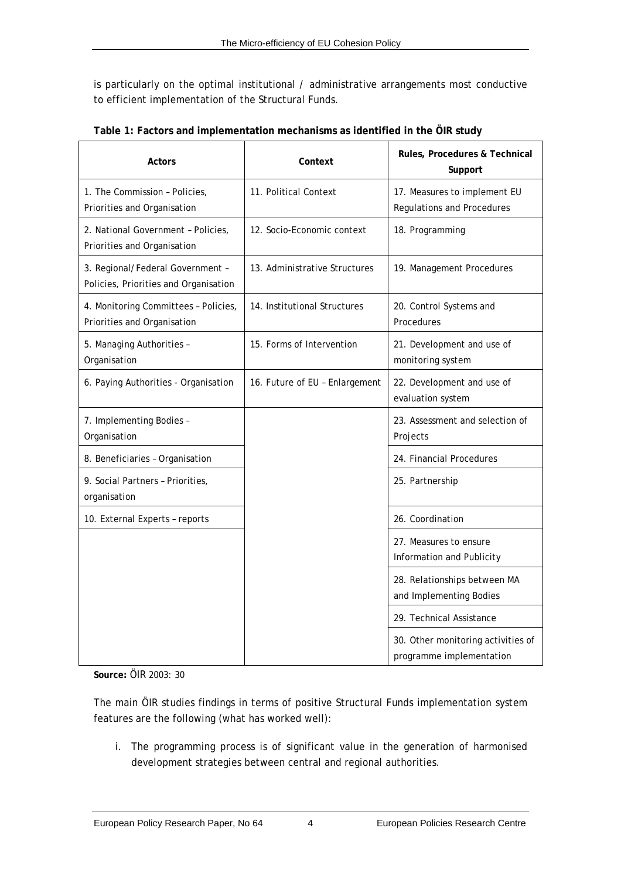<span id="page-13-0"></span>is particularly on the optimal institutional / administrative arrangements most conductive to efficient implementation of the Structural Funds.

<span id="page-13-1"></span>

| Actors                                                                    | Context                        | Rules, Procedures & Technical<br>Support                          |
|---------------------------------------------------------------------------|--------------------------------|-------------------------------------------------------------------|
| 1. The Commission - Policies,<br>Priorities and Organisation              | 11. Political Context          | 17. Measures to implement EU<br><b>Regulations and Procedures</b> |
| 2. National Government - Policies,<br>Priorities and Organisation         | 12. Socio-Economic context     | 18. Programming                                                   |
| 3. Regional/Federal Government -<br>Policies, Priorities and Organisation | 13. Administrative Structures  | 19. Management Procedures                                         |
| 4. Monitoring Committees - Policies,<br>Priorities and Organisation       | 14. Institutional Structures   | 20. Control Systems and<br>Procedures                             |
| 5. Managing Authorities -<br>Organisation                                 | 15. Forms of Intervention      | 21. Development and use of<br>monitoring system                   |
| 6. Paying Authorities - Organisation                                      | 16. Future of EU - Enlargement | 22. Development and use of<br>evaluation system                   |
| 7. Implementing Bodies -<br>Organisation                                  |                                | 23. Assessment and selection of<br>Projects                       |
| 8. Beneficiaries - Organisation                                           |                                | 24. Financial Procedures                                          |
| 9. Social Partners - Priorities,<br>organisation                          |                                | 25. Partnership                                                   |
| 10. External Experts - reports                                            |                                | 26. Coordination                                                  |
|                                                                           |                                | 27. Measures to ensure<br>Information and Publicity               |
|                                                                           |                                | 28. Relationships between MA<br>and Implementing Bodies           |
|                                                                           |                                | 29. Technical Assistance                                          |
|                                                                           |                                | 30. Other monitoring activities of<br>programme implementation    |

**Table 1: Factors and implementation mechanisms as identified in the ÖIR study** 

**Source:** ÖIR 2003: 30

The main ÖIR studies findings in terms of positive Structural Funds implementation system features are the following (what has worked well):

i. The programming process is of significant value in the generation of harmonised development strategies between central and regional authorities.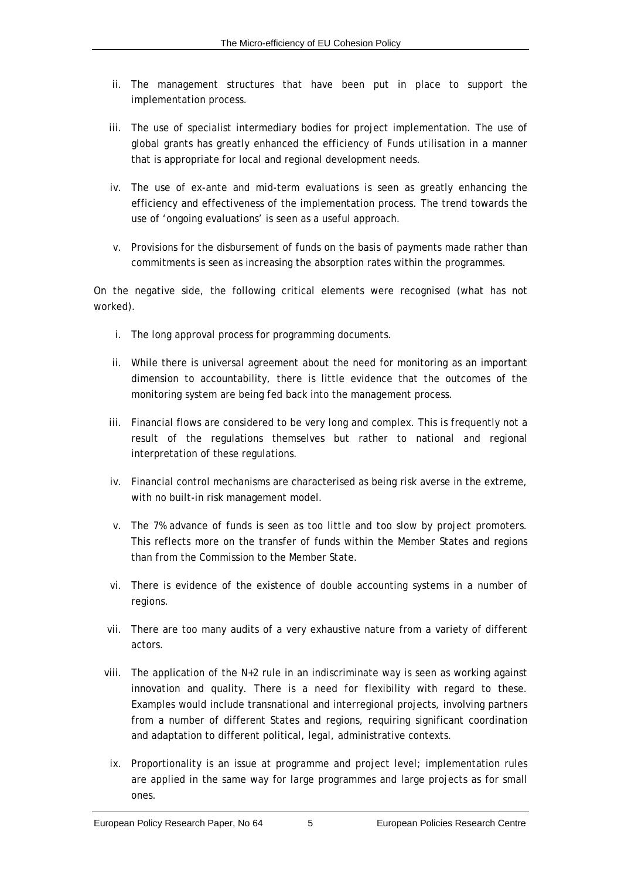- ii. The management structures that have been put in place to support the implementation process.
- iii. The use of specialist intermediary bodies for project implementation. The use of global grants has greatly enhanced the efficiency of Funds utilisation in a manner that is appropriate for local and regional development needs.
- iv. The use of *ex-ante* and mid-term evaluations is seen as greatly enhancing the efficiency and effectiveness of the implementation process. The trend towards the use of 'ongoing evaluations' is seen as a useful approach.
- v. Provisions for the disbursement of funds on the basis of payments made rather than commitments is seen as increasing the absorption rates within the programmes.

On the negative side, the following critical elements were recognised (what has not worked).

- i. The long approval process for programming documents.
- ii. While there is universal agreement about the need for monitoring as an important dimension to accountability, there is little evidence that the outcomes of the monitoring system are being fed back into the management process.
- iii. Financial flows are considered to be very long and complex. This is frequently not a result of the regulations themselves but rather to national and regional interpretation of these regulations.
- iv. Financial control mechanisms are characterised as being risk averse in the extreme, with no built-in risk management model.
- v. The 7% advance of funds is seen as too little and too slow by project promoters. This reflects more on the transfer of funds within the Member States and regions than from the Commission to the Member State.
- vi. There is evidence of the existence of double accounting systems in a number of regions.
- vii. There are too many audits of a very exhaustive nature from a variety of different actors.
- viii. The application of the N+2 rule in an indiscriminate way is seen as working against innovation and quality. There is a need for flexibility with regard to these. Examples would include transnational and interregional projects, involving partners from a number of different States and regions, requiring significant coordination and adaptation to different political, legal, administrative contexts.
	- ix. Proportionality is an issue at programme and project level; implementation rules are applied in the same way for large programmes and large projects as for small ones.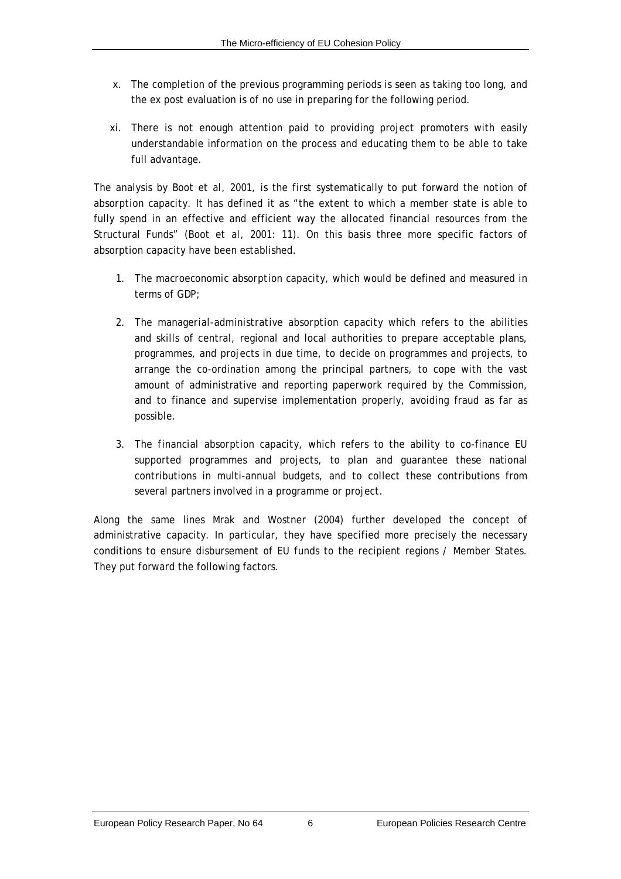- x. The completion of the previous programming periods is seen as taking too long, and the *ex post* evaluation is of no use in preparing for the following period.
- xi. There is not enough attention paid to providing project promoters with easily understandable information on the process and educating them to be able to take full advantage.

The analysis by Boot *et al*, 2001, is the first systematically to put forward the notion of *absorption capacity*. It has defined it as "the extent to which a member state is able to fully spend in an effective and efficient way the allocated financial resources from the Structural Funds" (Boot *et al*, 2001: 11). On this basis three more specific factors of absorption capacity have been established.

- 1. The *macroeconomic absorption capacity*, which would be defined and measured in terms of GDP;
- 2. The *managerial-administrative absorption capacity* which refers to the abilities and skills of central, regional and local authorities to prepare acceptable plans, programmes, and projects in due time, to decide on programmes and projects, to arrange the co-ordination among the principal partners, to cope with the vast amount of administrative and reporting paperwork required by the Commission, and to finance and supervise implementation properly, avoiding fraud as far as possible.
- 3. The *financial absorption capacity*, which refers to the ability to co-finance EU supported programmes and projects, to plan and guarantee these national contributions in multi-annual budgets, and to collect these contributions from several partners involved in a programme or project.

Along the same lines Mrak and Wostner (2004) further developed the concept of administrative capacity. In particular, they have specified more precisely the necessary conditions to ensure disbursement of EU funds to the recipient regions / Member States. They put forward the following factors.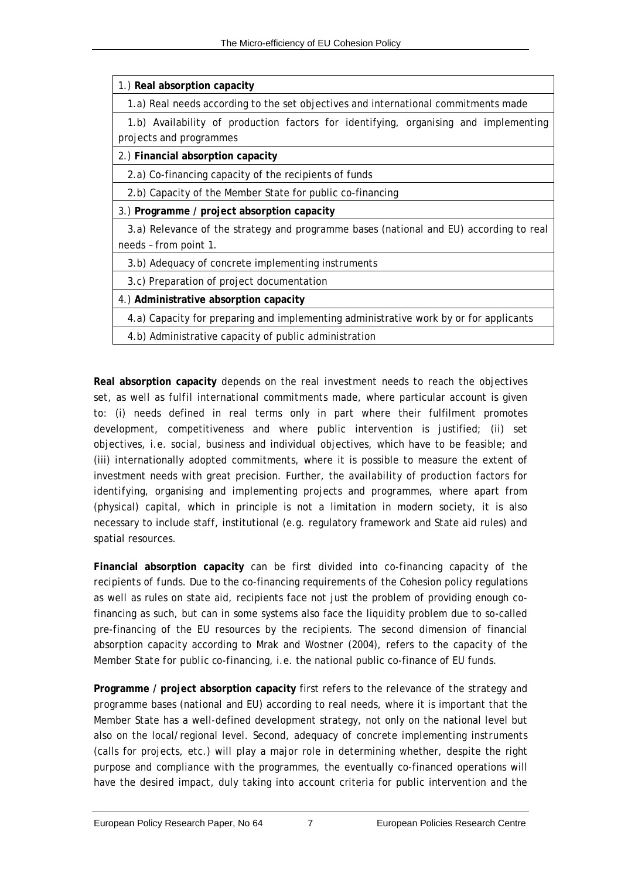| 1.) Real absorption capacity |  |  |
|------------------------------|--|--|
|------------------------------|--|--|

1.a) Real needs according to the set objectives and international commitments made

 1.b) Availability of production factors for identifying, organising and implementing projects and programmes

2.) **Financial absorption capacity**

2.a) Co-financing capacity of the recipients of funds

2.b) Capacity of the Member State for public co-financing

3.) **Programme / project absorption capacity**

 3.a) Relevance of the strategy and programme bases (national and EU) according to real needs – from point 1.

3.b) Adequacy of concrete implementing instruments

3.c) Preparation of project documentation

4.) **Administrative absorption capacity**

4.a) Capacity for preparing and implementing administrative work by or for applicants

4.b) Administrative capacity of public administration

**Real absorption capacity** depends on the r*eal investment needs to reach the objectives set, as well as fulfil international commitments made*, where particular account is given to: (i) needs defined in real terms only in part where their fulfilment promotes development, competitiveness and where public intervention is justified; (ii) set objectives, i.e. social, business and individual objectives, which have to be feasible; and (iii) internationally adopted commitments, where it is possible to measure the extent of investment needs with great precision. Further, the a*vailability of production factors for identifying, organising and implementing projects and programmes*, where apart from (physical) capital, which in principle is not a limitation in modern society, it is also necessary to include staff, institutional (e.g. regulatory framework and State aid rules) and spatial resources.

**Financial absorption capacity** can be first divided into c*o-financing capacity of the recipients of funds*. Due to the co-financing requirements of the Cohesion policy regulations as well as rules on state aid, recipients face not just the problem of providing enough cofinancing as such, but can in some systems also face the liquidity problem due to so-called pre-financing of the EU resources by the recipients. The second dimension of financial absorption capacity according to Mrak and Wostner (2004), refers to the *capacity of the Member State for public co-financing*, i.e. the national public co-finance of EU funds.

**Programme / project absorption capacity** first refers to the *relevance of the strategy and programme bases (national and EU) according to real needs*, where it is important that the Member State has a well-defined development strategy, not only on the national level but also on the local/regional level. Second, a*dequacy of concrete implementing instruments* (calls for projects, etc.) will play a major role in determining whether, despite the right purpose and compliance with the programmes, the eventually co-financed operations will have the desired impact, duly taking into account criteria for public intervention and the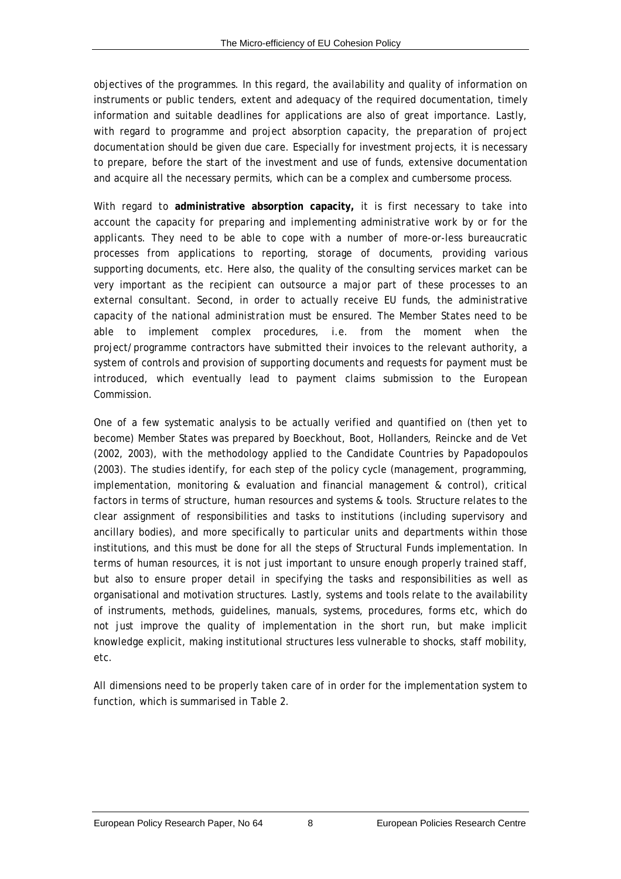objectives of the programmes. In this regard, the availability and quality of information on instruments or public tenders, extent and adequacy of the required documentation, timely information and suitable deadlines for applications are also of great importance. Lastly, with regard to programme and project absorption capacity, the *preparation of project documentation* should be given due care*.* Especially for investment projects, it is necessary to prepare, before the start of the investment and use of funds, extensive documentation and acquire all the necessary permits, which can be a complex and cumbersome process.

With regard to **administrative absorption capacity,** it is first necessary to take into account the *capacity for preparing and implementing administrative work by or for the applicants*. They need to be able to cope with a number of more-or-less bureaucratic processes from applications to reporting, storage of documents, providing various supporting documents, etc. Here also, the quality of the consulting services market can be very important as the recipient can outsource a major part of these processes to an external consultant. Second, in order to actually receive EU funds, the *administrative capacity of the national administration* must be ensured. The Member States need to be able to implement complex procedures, i.e. from the moment when the project/programme contractors have submitted their invoices to the relevant authority, a system of controls and provision of supporting documents and requests for payment must be introduced, which eventually lead to payment claims submission to the European Commission.

One of a few systematic analysis to be actually verified and quantified on (then yet to become) Member States was prepared by Boeckhout, Boot, Hollanders, Reincke and de Vet (2002, 2003), with the methodology applied to the Candidate Countries by Papadopoulos (2003). The studies identify, for each step of the policy cycle (management, programming, implementation, monitoring & evaluation and financial management & control), critical factors in terms of structure, human resources and systems & tools. Structure relates to the clear assignment of responsibilities and tasks to institutions (including supervisory and ancillary bodies), and more specifically to particular units and departments within those institutions, and this must be done for all the steps of Structural Funds implementation. In terms of human resources, it is not just important to unsure enough properly trained staff, but also to ensure proper detail in specifying the tasks and responsibilities as well as organisational and motivation structures. Lastly, systems and tools relate to the availability of instruments, methods, guidelines, manuals, systems, procedures, forms etc, which do not just improve the quality of implementation in the short run, but make implicit knowledge explicit, making institutional structures less vulnerable to shocks, staff mobility, etc.

All dimensions need to be properly taken care of in order for the implementation system to function, which is summarised in [Table 2.](#page-18-1)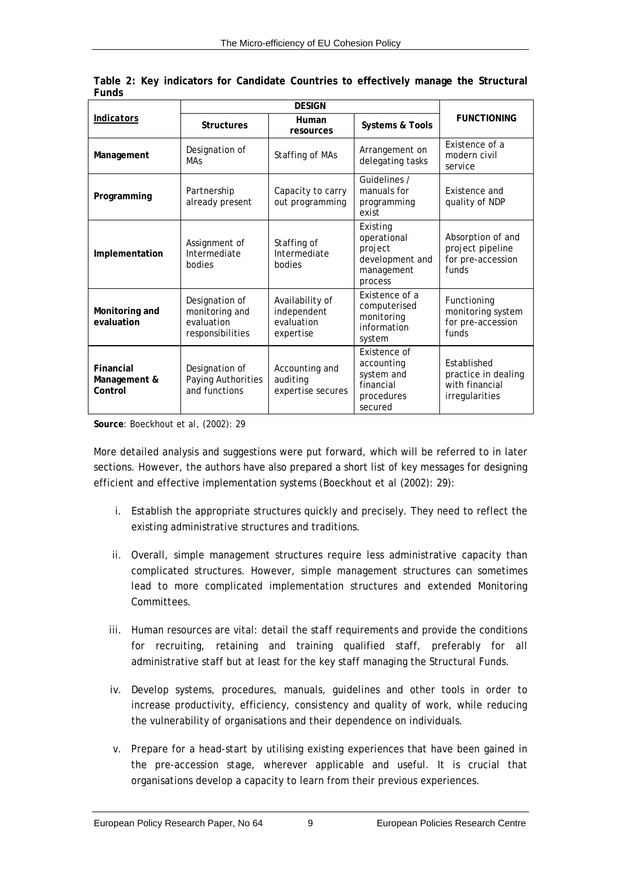<span id="page-18-1"></span>

| <b>Indicators</b>                    | <b>Structures</b>                                                  | Human<br><b>Systems &amp; Tools</b><br>resources          |                                                                                | <b>FUNCTIONING</b>                                                     |  |
|--------------------------------------|--------------------------------------------------------------------|-----------------------------------------------------------|--------------------------------------------------------------------------------|------------------------------------------------------------------------|--|
| Management                           | Designation of<br><b>MAs</b>                                       | Staffing of MAs                                           | Arrangement on<br>delegating tasks                                             | Existence of a<br>modern civil<br>service                              |  |
| Programming                          | Partnership<br>already present                                     | Capacity to carry<br>out programming                      | Guidelines /<br>manuals for<br>programming<br>exist                            | Existence and<br>quality of NDP                                        |  |
| Implementation                       | Assignment of<br>Intermediate<br>bodies                            | Staffing of<br>Intermediate<br>bodies                     | Existing<br>operational<br>project<br>development and<br>management<br>process | Absorption of and<br>project pipeline<br>for pre-accession<br>funds    |  |
| Monitoring and<br>evaluation         | Designation of<br>monitoring and<br>evaluation<br>responsibilities | Availability of<br>independent<br>evaluation<br>expertise | Existence of a<br>computerised<br>monitoring<br>information<br>system          | Functioning<br>monitoring system<br>for pre-accession<br>funds         |  |
| Financial<br>Management &<br>Control | Designation of<br>Paying Authorities<br>and functions              | Accounting and<br>auditing<br>expertise secures           | Existence of<br>accounting<br>system and<br>financial<br>procedures<br>secured | Established<br>practice in dealing<br>with financial<br>irregularities |  |

<span id="page-18-0"></span>

|       |  |  | Table 2: Key indicators for Candidate Countries to effectively manage the Structural |  |  |
|-------|--|--|--------------------------------------------------------------------------------------|--|--|
| Funds |  |  |                                                                                      |  |  |

**Source**: Boeckhout *et al*, (2002): 29

More detailed analysis and suggestions were put forward, which will be referred to in later sections. However, the authors have also prepared a short list of key messages for designing efficient and effective implementation systems (Boeckhout *et al* (2002): 29):

- i. Establish the appropriate structures quickly and precisely. They need to reflect the existing administrative structures and traditions.
- ii. Overall, simple management structures require less administrative capacity than complicated structures. However, simple management structures can sometimes lead to more complicated implementation structures and extended Monitoring Committees.
- iii. Human resources are vital: detail the staff requirements and provide the conditions for recruiting, retaining and training qualified staff, preferably for all administrative staff but at least for the key staff managing the Structural Funds.
- iv. Develop systems, procedures, manuals, guidelines and other tools in order to increase productivity, efficiency, consistency and quality of work, while reducing the vulnerability of organisations and their dependence on individuals.
- v. Prepare for a head-start by utilising existing experiences that have been gained in the pre-accession stage, wherever applicable and useful. It is crucial that organisations develop a capacity to learn from their previous experiences.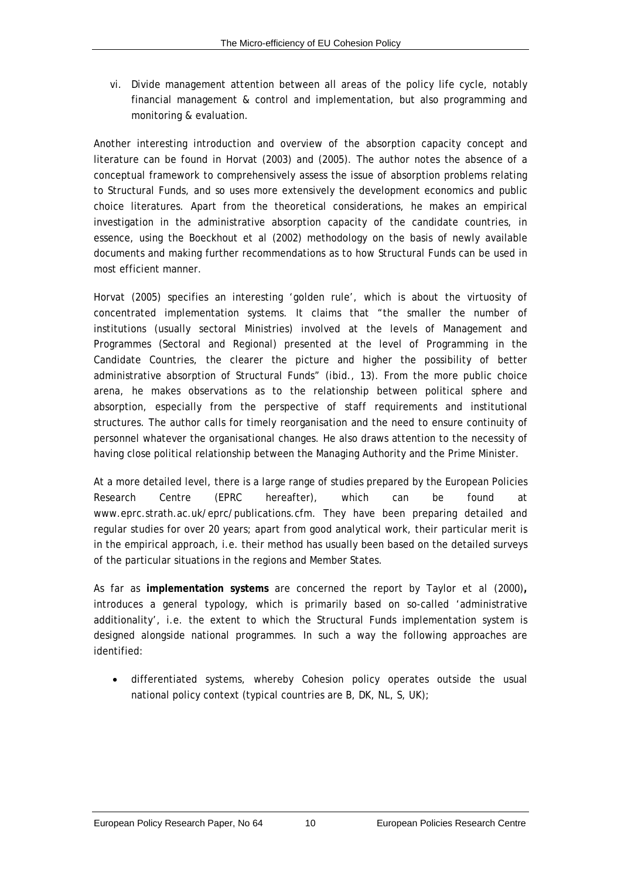vi. Divide management attention between all areas of the policy life cycle, notably financial management & control and implementation, but also programming and monitoring & evaluation.

Another interesting introduction and overview of the absorption capacity concept and literature can be found in Horvat (2003) and (2005). The author notes the absence of a conceptual framework to comprehensively assess the issue of absorption problems relating to Structural Funds, and so uses more extensively the development economics and public choice literatures. Apart from the theoretical considerations, he makes an empirical investigation in the administrative absorption capacity of the candidate countries, in essence, using the Boeckhout *et al* (2002) methodology on the basis of newly available documents and making further recommendations as to how Structural Funds can be used in most efficient manner.

Horvat (2005) specifies an interesting 'golden rule', which is about the virtuosity of concentrated implementation systems. It claims that "the smaller the number of institutions (usually sectoral Ministries) involved at the levels of Management and Programmes (Sectoral and Regional) presented at the level of Programming in the Candidate Countries, the clearer the picture and higher the possibility of better administrative absorption of Structural Funds" (*ibid*., 13). From the more public choice arena, he makes observations as to the relationship between political sphere and absorption, especially from the perspective of staff requirements and institutional structures. The author calls for timely reorganisation and the need to ensure continuity of personnel whatever the organisational changes. He also draws attention to the necessity of having close political relationship between the Managing Authority and the Prime Minister.

At a more detailed level, there is a large range of studies prepared by the European Policies Research Centre (EPRC hereafter), which can be found at www.eprc.strath.ac.uk/eprc/publications.cfm. They have been preparing detailed and regular studies for over 20 years; apart from good analytical work, their particular merit is in the empirical approach, i.e. their method has usually been based on the detailed surveys of the particular situations in the regions and Member States.

As far as **implementation systems** are concerned the report by Taylor *et al* (2000)**,**  introduces a general typology, which is primarily based on so-called 'administrative additionality', i.e. the extent to which the Structural Funds implementation system is designed alongside national programmes. In such a way the following approaches are identified:

• differentiated systems, whereby Cohesion policy operates outside the usual national policy context (typical countries are B, DK, NL, S, UK);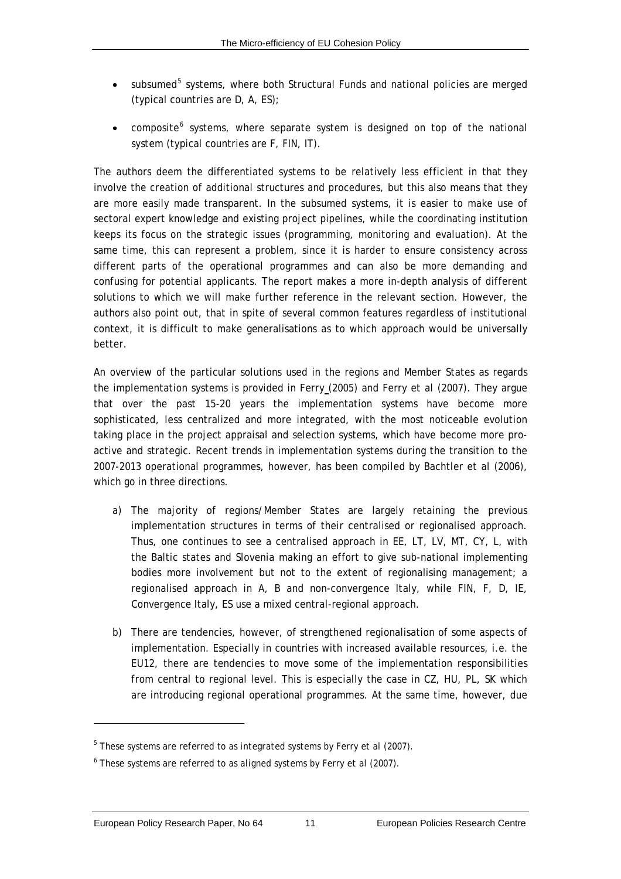- <span id="page-20-0"></span>• subsumed<sup>[5](#page-20-0)</sup> systems, where both Structural Funds and national policies are merged (typical countries are D, A, ES);
- composite<sup>[6](#page-20-0)</sup> systems, where separate system is designed on top of the national system (typical countries are F, FIN, IT).

The authors deem the differentiated systems to be relatively less efficient in that they involve the creation of additional structures and procedures, but this also means that they are more easily made transparent. In the subsumed systems, it is easier to make use of sectoral expert knowledge and existing project pipelines, while the coordinating institution keeps its focus on the strategic issues (programming, monitoring and evaluation). At the same time, this can represent a problem, since it is harder to ensure consistency across different parts of the operational programmes and can also be more demanding and confusing for potential applicants. The report makes a more in-depth analysis of different solutions to which we will make further reference in the relevant section. However, the authors also point out, that in spite of several common features regardless of institutional context, it is difficult to make generalisations as to which approach would be universally better.

An overview of the particular solutions used in the regions and Member States as regards the implementation systems is provided in Ferry (2005) and Ferry *et al* (2007). They argue that over the past 15-20 years the implementation systems have become more sophisticated, less centralized and more integrated, with the most noticeable evolution taking place in the project appraisal and selection systems, which have become more proactive and strategic. Recent trends in implementation systems during the transition to the 2007-2013 operational programmes, however, has been compiled by Bachtler *et al* (2006), which go in three directions.

- a) The majority of regions/Member States are largely retaining the previous implementation structures in terms of their centralised or regionalised approach. Thus, one continues to see a centralised approach in EE, LT, LV, MT, CY, L, with the Baltic states and Slovenia making an effort to give sub-national implementing bodies more involvement but not to the extent of regionalising management; a regionalised approach in A, B and non-convergence Italy, while FIN, F, D, IE, Convergence Italy, ES use a mixed central-regional approach.
- b) There are tendencies, however, of strengthened regionalisation of some aspects of implementation. Especially in countries with increased available resources, i.e. the EU12, there are tendencies to move some of the implementation responsibilities from central to regional level. This is especially the case in CZ, HU, PL, SK which are introducing regional operational programmes. At the same time, however, due

 $\overline{a}$ 

<sup>5</sup> These systems are referred to as *integrated systems* by Ferry *et al* (2007).

<sup>6</sup> These systems are referred to as *aligned systems* by Ferry *et al* (2007).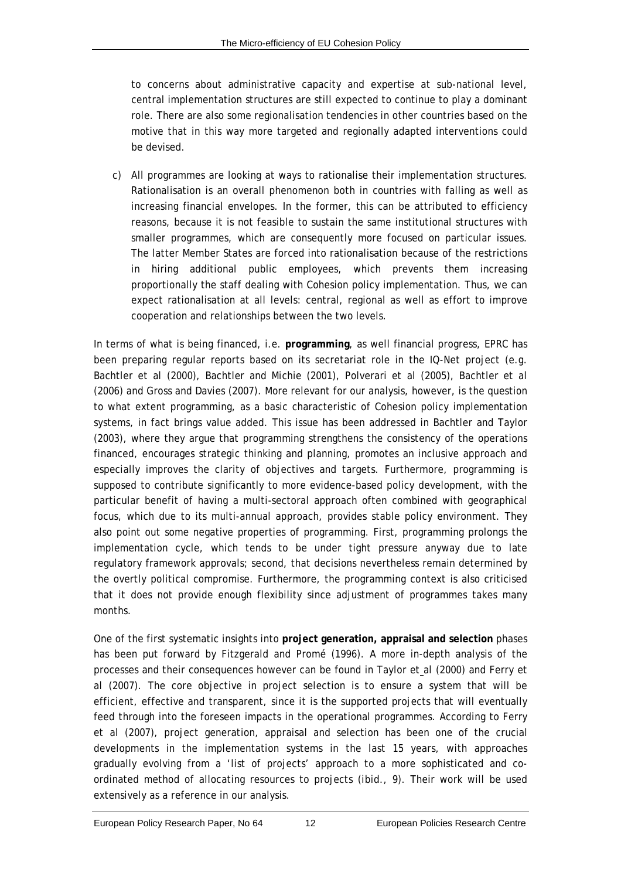to concerns about administrative capacity and expertise at sub-national level, central implementation structures are still expected to continue to play a dominant role. There are also some regionalisation tendencies in other countries based on the motive that in this way more targeted and regionally adapted interventions could be devised.

c) All programmes are looking at ways to rationalise their implementation structures. Rationalisation is an overall phenomenon both in countries with falling as well as increasing financial envelopes. In the former, this can be attributed to efficiency reasons, because it is not feasible to sustain the same institutional structures with smaller programmes, which are consequently more focused on particular issues. The latter Member States are forced into rationalisation because of the restrictions in hiring additional public employees, which prevents them increasing proportionally the staff dealing with Cohesion policy implementation. Thus, we can expect rationalisation at all levels: central, regional as well as effort to improve cooperation and relationships between the two levels.

In terms of what is being financed, i.e. **programming**, as well financial progress, EPRC has been preparing regular reports based on its secretariat role in the IQ-Net project (e.g. Bachtler *et al* (2000), Bachtler and Michie (2001), Polverari *et al* (2005), Bachtler *et al* (2006) and Gross and Davies (2007). More relevant for our analysis, however, is the question to what extent programming, as a basic characteristic of Cohesion policy implementation systems, in fact brings value added. This issue has been addressed in Bachtler and Taylor (2003), where they argue that programming strengthens the consistency of the operations financed, encourages strategic thinking and planning, promotes an inclusive approach and especially improves the clarity of objectives and targets. Furthermore, programming is supposed to contribute significantly to more evidence-based policy development, with the particular benefit of having a multi-sectoral approach often combined with geographical focus, which due to its multi-annual approach, provides stable policy environment. They also point out some negative properties of programming. First, programming prolongs the implementation cycle, which tends to be under tight pressure anyway due to late regulatory framework approvals; second, that decisions nevertheless remain determined by the overtly political compromise. Furthermore, the programming context is also criticised that it does not provide enough flexibility since adjustment of programmes takes many months.

One of the first systematic insights into **project generation, appraisal and selection** phases has been put forward by Fitzgerald and Promé (1996). A more in-depth analysis of the processes and their consequences however can be found in Taylor *et al* (2000) and Ferry *et al* (2007). The core objective in project selection is to ensure a system that will be efficient, effective and transparent, since it is the supported projects that will eventually feed through into the foreseen impacts in the operational programmes. According to Ferry *et al* (2007), project generation, appraisal and selection has been one of the crucial developments in the implementation systems in the last 15 years, with approaches gradually evolving from a 'list of projects' approach to a more sophisticated and coordinated method of allocating resources to projects (*ibid*., 9). Their work will be used extensively as a reference in our analysis.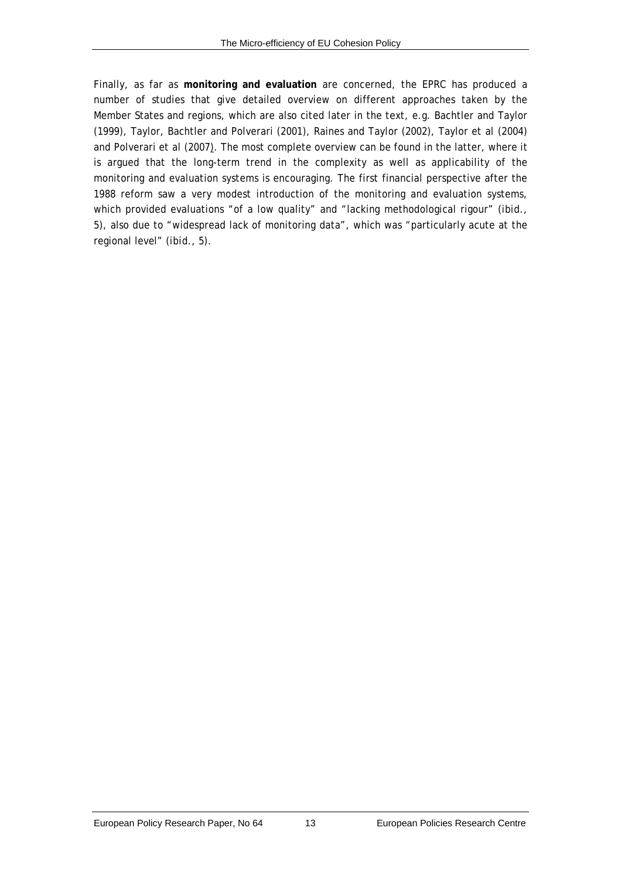Finally, as far as **monitoring and evaluation** are concerned, the EPRC has produced a number of studies that give detailed overview on different approaches taken by the Member States and regions, which are also cited later in the text, e.g. Bachtler and Taylor (1999), Taylor, Bachtler and Polverari (2001), Raines and Taylor (2002), Taylor *et al* (2004) and Polverari *et al* (2007). The most complete overview can be found in the latter, where it is argued that the long-term trend in the complexity as well as applicability of the monitoring and evaluation systems is encouraging. The first financial perspective after the 1988 reform saw a very modest introduction of the monitoring and evaluation systems, which provided evaluations "of a low quality" and "lacking methodological rigour" (*ibid*., 5), also due to "widespread lack of monitoring data", which was "particularly acute at the regional level" (*ibid*., 5).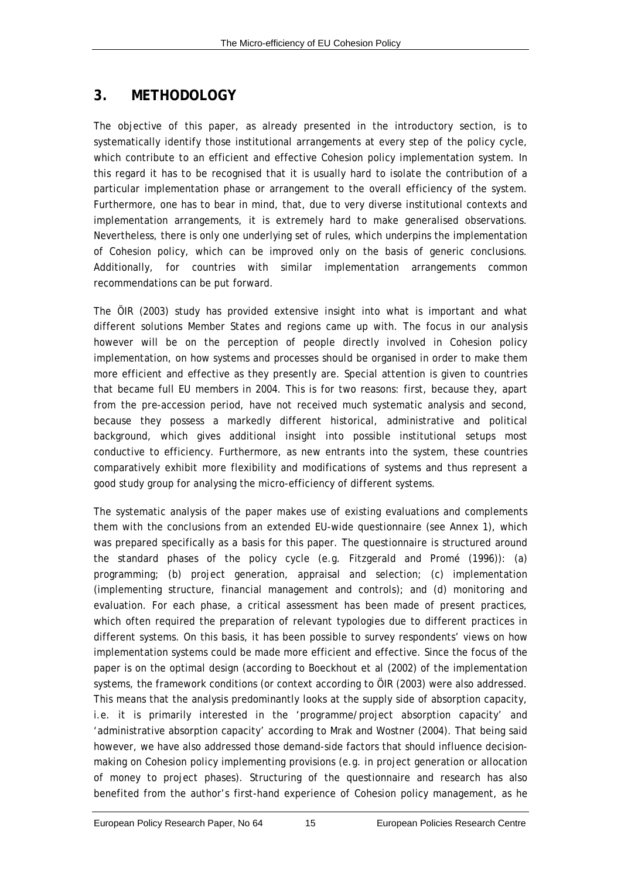## <span id="page-24-0"></span>**3. METHODOLOGY**

The objective of this paper, as already presented in the introductory section, is to systematically identify those institutional arrangements at every step of the policy cycle, which contribute to an efficient and effective Cohesion policy implementation system. In this regard it has to be recognised that it is usually hard to isolate the contribution of a particular implementation phase or arrangement to the overall efficiency of the system. Furthermore, one has to bear in mind, that, due to very diverse institutional contexts and implementation arrangements, it is extremely hard to make generalised observations. Nevertheless, there is only one underlying set of rules, which underpins the implementation of Cohesion policy, which can be improved only on the basis of generic conclusions. Additionally, for countries with similar implementation arrangements common recommendations can be put forward.

The ÖIR (2003) study has provided extensive insight into what is important and what different solutions Member States and regions came up with. The focus in our analysis however will be on the perception of people directly involved in Cohesion policy implementation, on how systems and processes *should* be organised in order to make them more efficient and effective as they presently are. Special attention is given to countries that became full EU members in 2004. This is for two reasons: first, because they, apart from the pre-accession period, have not received much systematic analysis and second, because they possess a markedly different historical, administrative and political background, which gives additional insight into possible institutional setups most conductive to efficiency. Furthermore, as new entrants into the system, these countries comparatively exhibit more flexibility and modifications of systems and thus represent a good study group for analysing the micro-efficiency of different systems.

The systematic analysis of the paper makes use of existing evaluations and complements them with the conclusions from an extended EU-wide questionnaire (see Annex 1), which was prepared specifically as a basis for this paper. The questionnaire is structured around the standard phases of the policy cycle (e.g. Fitzgerald and Promé (1996)): (a) programming; (b) project generation, appraisal and selection; (c) implementation (implementing structure, financial management and controls); and (d) monitoring and evaluation. For each phase, a critical assessment has been made of present practices, which often required the preparation of relevant typologies due to different practices in different systems. On this basis, it has been possible to survey respondents' views on how implementation systems could be made more efficient and effective. Since the focus of the paper is on the optimal design (according to Boeckhout *et al* (2002) of the implementation systems, the framework conditions (or context according to ÖIR (2003) were also addressed. This means that the analysis predominantly looks at the supply side of absorption capacity, i.e. it is primarily interested in the 'programme/project absorption capacity' and 'administrative absorption capacity' according to Mrak and Wostner (2004). That being said however, we have also addressed those demand-side factors that should influence decisionmaking on Cohesion policy implementing provisions (e.g. in project generation or allocation of money to project phases). Structuring of the questionnaire and research has also benefited from the author's first-hand experience of Cohesion policy management, as he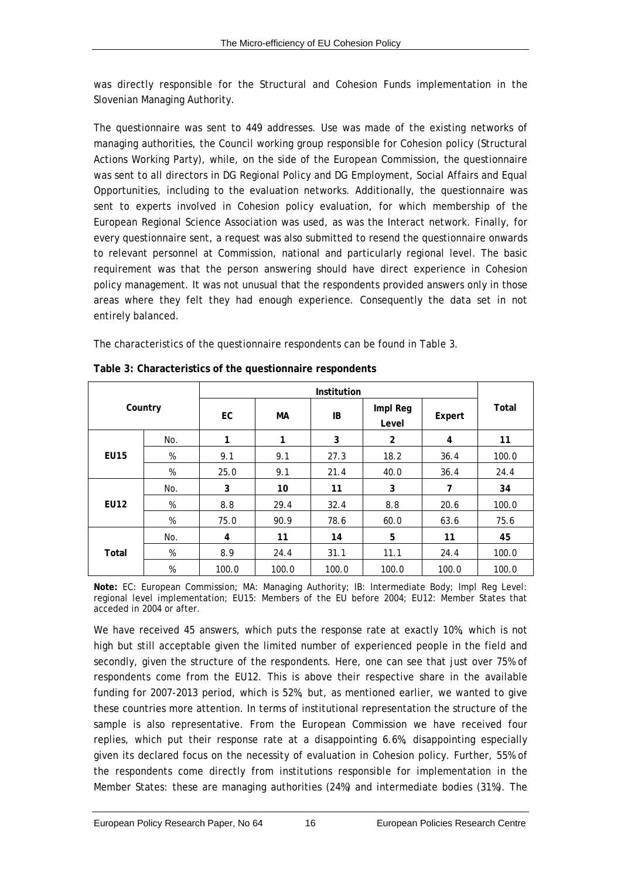<span id="page-25-0"></span>was directly responsible for the Structural and Cohesion Funds implementation in the Slovenian Managing Authority.

The questionnaire was sent to 449 addresses. Use was made of the existing networks of managing authorities, the Council working group responsible for Cohesion policy (Structural Actions Working Party), while, on the side of the European Commission, the questionnaire was sent to all directors in DG Regional Policy and DG Employment, Social Affairs and Equal Opportunities, including to the evaluation networks. Additionally, the questionnaire was sent to experts involved in Cohesion policy evaluation, for which membership of the European Regional Science Association was used, as was the Interact network. Finally, for every questionnaire sent, a request was also submitted to resend the questionnaire onwards to relevant personnel at Commission, national and particularly regional level. The basic requirement was that the person answering should have direct experience in Cohesion policy management. It was not unusual that the respondents provided answers only in those areas where they felt they had enough experience. Consequently the data set in not entirely balanced.

The characteristics of the questionnaire respondents can be found in [Table 3.](#page-25-1)

<span id="page-25-1"></span>

| Country     |     | EC          | МA    | IB    | Impl Reg<br>Level | Expert | Total |
|-------------|-----|-------------|-------|-------|-------------------|--------|-------|
|             | No. | 1           | 1     | 3     | $\overline{2}$    | 4      | 11    |
| <b>EU15</b> | %   | 9.1         | 9.1   | 27.3  | 18.2              | 36.4   | 100.0 |
|             | %   | 25.0        | 9.1   | 21.4  | 40.0              | 36.4   | 24.4  |
|             | No. | 3           | 10    | 11    | 3                 | 7      | 34    |
| <b>EU12</b> | %   | 8.8         | 29.4  | 32.4  | 8.8               | 20.6   | 100.0 |
|             | %   | <i>75.0</i> | 90.9  | 78.6  | 60.0              | 63.6   | 75.6  |
| Total       | No. | 4           | 11    | 14    | 5                 | 11     | 45    |
|             | %   | 8.9         | 24.4  | 31.1  | 11.1              | 24.4   | 100.0 |
|             | %   | 100.0       | 100.0 | 100.0 | 100.0             | 100.0  | 100.0 |

|  | Table 3: Characteristics of the questionnaire respondents |
|--|-----------------------------------------------------------|
|--|-----------------------------------------------------------|

**Note:** EC: European Commission; MA: Managing Authority; IB: Intermediate Body; Impl Reg Level: regional level implementation; EU15: Members of the EU before 2004; EU12: Member States that acceded in 2004 or after.

We have received 45 answers, which puts the response rate at exactly 10%, which is not high but still acceptable given the limited number of experienced people in the field and secondly, given the structure of the respondents. Here, one can see that just over 75% of respondents come from the EU12. This is above their respective share in the available funding for 2007-2013 period, which is 52%, but, as mentioned earlier, we wanted to give these countries more attention. In terms of institutional representation the structure of the sample is also representative. From the European Commission we have received four replies, which put their response rate at a disappointing 6.6%, disappointing especially given its declared focus on the necessity of evaluation in Cohesion policy. Further, 55% of the respondents come directly from institutions responsible for implementation in the Member States: these are managing authorities (24%) and intermediate bodies (31%). The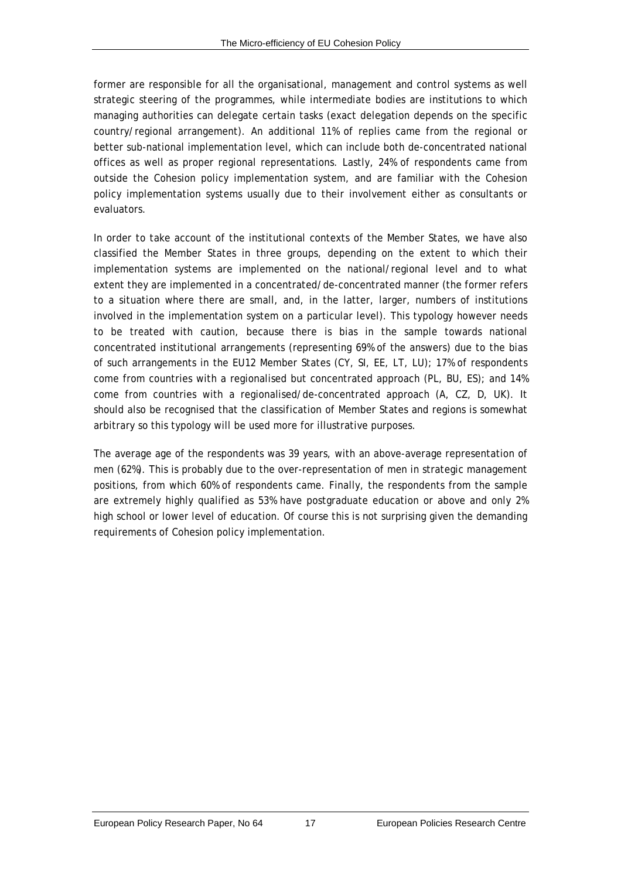former are responsible for all the organisational, management and control systems as well strategic steering of the programmes, while intermediate bodies are institutions to which managing authorities can delegate certain tasks (exact delegation depends on the specific country/regional arrangement). An additional 11% of replies came from the regional or better sub-national implementation level, which can include both de-concentrated national offices as well as proper regional representations. Lastly, 24% of respondents came from outside the Cohesion policy implementation system, and are familiar with the Cohesion policy implementation systems usually due to their involvement either as consultants or evaluators.

In order to take account of the institutional contexts of the Member States, we have also classified the Member States in three groups, depending on the extent to which their implementation systems are implemented on the national/regional level and to what extent they are implemented in a concentrated/de-concentrated manner (the former refers to a situation where there are small, and, in the latter, larger, numbers of institutions involved in the implementation system on a particular level). This typology however needs to be treated with caution, because there is bias in the sample towards national concentrated institutional arrangements (representing 69% of the answers) due to the bias of such arrangements in the EU12 Member States (CY, SI, EE, LT, LU); 17% of respondents come from countries with a regionalised but concentrated approach (PL, BU, ES); and 14% come from countries with a regionalised/de-concentrated approach (A, CZ, D, UK). It should also be recognised that the classification of Member States and regions is somewhat arbitrary so this typology will be used more for illustrative purposes.

The average age of the respondents was 39 years, with an above-average representation of men (62%). This is probably due to the over-representation of men in strategic management positions, from which 60% of respondents came. Finally, the respondents from the sample are extremely highly qualified as 53% have postgraduate education or above and only 2% high school or lower level of education. Of course this is not surprising given the demanding requirements of Cohesion policy implementation.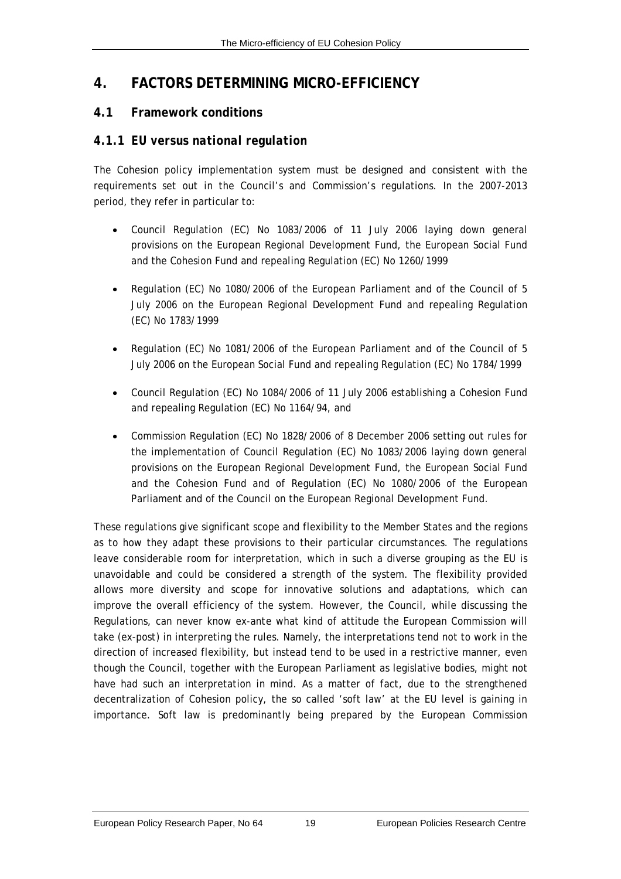#### <span id="page-28-0"></span>**4. FACTORS DETERMINING MICRO-EFFICIENCY**

#### **4.1 Framework conditions**

#### *4.1.1 EU versus national regulation*

The Cohesion policy implementation system must be designed and consistent with the requirements set out in the Council's and Commission's regulations. In the 2007-2013 period, they refer in particular to:

- Council Regulation (EC) No 1083/2006 of 11 July 2006 laying down general provisions on the European Regional Development Fund, the European Social Fund and the Cohesion Fund and repealing Regulation (EC) No 1260/1999
- Regulation (EC) No 1080/2006 of the European Parliament and of the Council of 5 July 2006 on the European Regional Development Fund and repealing Regulation (EC) No 1783/1999
- Regulation (EC) No 1081/2006 of the European Parliament and of the Council of 5 July 2006 on the European Social Fund and repealing Regulation (EC) No 1784/1999
- Council Regulation (EC) No 1084/2006 of 11 July 2006 establishing a Cohesion Fund and repealing Regulation (EC) No 1164/94, and
- Commission Regulation (EC) No 1828/2006 of 8 December 2006 setting out rules for the implementation of Council Regulation (EC) No 1083/2006 laying down general provisions on the European Regional Development Fund, the European Social Fund and the Cohesion Fund and of Regulation (EC) No 1080/2006 of the European Parliament and of the Council on the European Regional Development Fund.

These regulations give significant scope and flexibility to the Member States and the regions as to how they adapt these provisions to their particular circumstances. The regulations leave considerable room for interpretation, which in such a diverse grouping as the EU is unavoidable and could be considered a strength of the system. The flexibility provided allows more diversity and scope for innovative solutions and adaptations, which can improve the overall efficiency of the system. However, the Council, while discussing the Regulations, can never know *ex-ante* what kind of attitude the European Commission will take (*ex-post*) in interpreting the rules. Namely, the interpretations tend not to work in the direction of increased flexibility, but instead tend to be used in a restrictive manner, even though the Council, together with the European Parliament as legislative bodies, might not have had such an interpretation in mind. As a matter of fact, due to the strengthened decentralization of Cohesion policy, the so called 'soft law' at the EU level is gaining in importance. Soft law is predominantly being prepared by the European Commission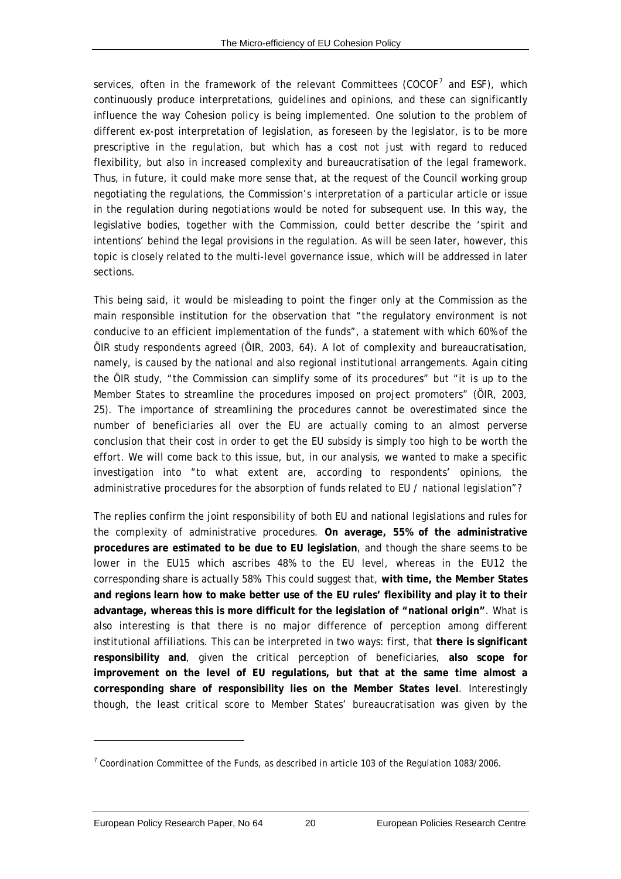<span id="page-29-0"></span>services, often in the framework of the relevant Committees (COCOF<sup>[7](#page-29-0)</sup> and ESF), which continuously produce interpretations, guidelines and opinions, and these can significantly influence the way Cohesion policy is being implemented. One solution to the problem of different *ex-post* interpretation of legislation, as foreseen by the legislator, is to be more prescriptive in the regulation, but which has a cost not just with regard to reduced flexibility, but also in increased complexity and bureaucratisation of the legal framework. Thus, in future, it could make more sense that, at the request of the Council working group negotiating the regulations, the Commission's interpretation of a particular article or issue in the regulation during negotiations would be noted for subsequent use. In this way, the legislative bodies, together with the Commission, could better describe the 'spirit and intentions' behind the legal provisions in the regulation. As will be seen later, however, this topic is closely related to the multi-level governance issue, which will be addressed in later sections.

This being said, it would be misleading to point the finger only at the Commission as the main responsible institution for the observation that "the regulatory environment is not conducive to an efficient implementation of the funds", a statement with which 60% of the ÖIR study respondents agreed (ÖIR, 2003, 64). A lot of complexity and bureaucratisation, namely, is caused by the national and also regional institutional arrangements. Again citing the ÖIR study, "the Commission can simplify some of its procedures" but "it is up to the Member States to streamline the procedures imposed on project promoters" (ÖIR, 2003, 25). The importance of streamlining the procedures cannot be overestimated since the number of beneficiaries all over the EU are actually coming to an almost perverse conclusion that their cost in order to get the EU subsidy is simply too high to be worth the effort. We will come back to this issue, but, in our analysis, we wanted to make a specific investigation into "to what extent are, according to respondents' opinions, the administrative procedures for the absorption of funds related to EU / national legislation"?

The replies confirm the joint responsibility of both EU and national legislations and rules for the complexity of administrative procedures. **On average, 55% of the administrative procedures are estimated to be due to EU legislation**, and though the share seems to be lower in the EU15 which ascribes 48% to the EU level, whereas in the EU12 the corresponding share is actually 58%. This could suggest that, **with time, the Member States and regions learn how to make better use of the EU rules' flexibility and play it to their advantage, whereas this is more difficult for the legislation of "national origin"**. What is also interesting is that there is no major difference of perception among different institutional affiliations. This can be interpreted in two ways: first, that **there is significant responsibility and**, given the critical perception of beneficiaries, **also scope for improvement on the level of EU regulations, but that at the same time almost a corresponding share of responsibility lies on the Member States level**. Interestingly though, the least critical score to Member States' bureaucratisation was given by the

l

 $7$  Coordination Committee of the Funds, as described in article 103 of the Regulation 1083/2006.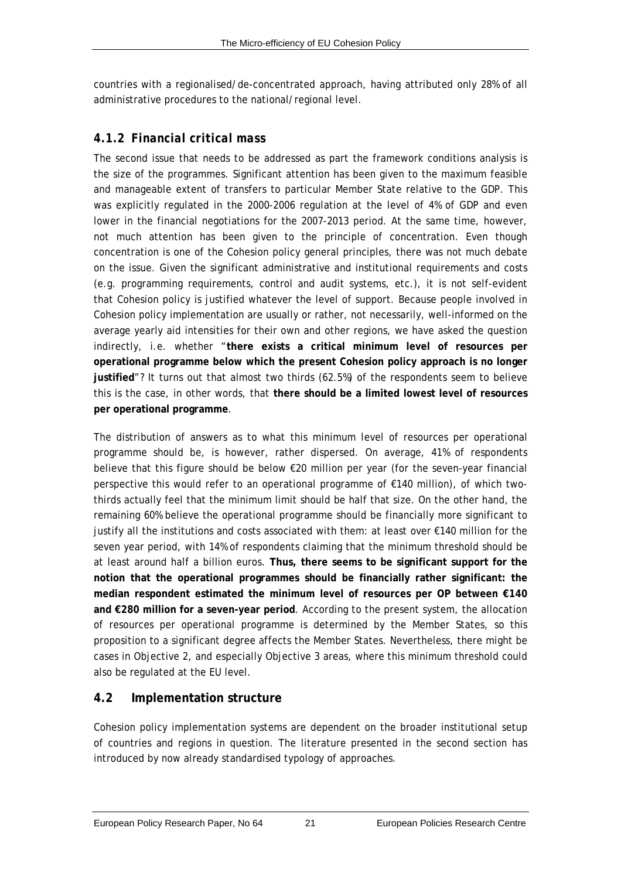<span id="page-30-0"></span>countries with a regionalised/de-concentrated approach, having attributed only 28% of all administrative procedures to the national/regional level.

#### *4.1.2 Financial critical mass*

The second issue that needs to be addressed as part the framework conditions analysis is the size of the programmes. Significant attention has been given to the maximum feasible and manageable extent of transfers to particular Member State relative to the GDP. This was explicitly regulated in the 2000-2006 regulation at the level of 4% of GDP and even lower in the financial negotiations for the 2007-2013 period. At the same time, however, not much attention has been given to the principle of concentration. Even though concentration is one of the Cohesion policy general principles, there was not much debate on the issue. Given the significant administrative and institutional requirements and costs (e.g. programming requirements, control and audit systems, etc.), it is not self-evident that Cohesion policy is justified whatever the level of support. Because people involved in Cohesion policy implementation are usually or rather, not necessarily, well-informed on the average yearly aid intensities for their own and other regions, we have asked the question indirectly, i.e. whether "**there exists a critical minimum level of resources per operational programme below which the present Cohesion policy approach is no longer justified**"? It turns out that almost two thirds (62.5%) of the respondents seem to believe this is the case, in other words, that **there should be a limited lowest level of resources per operational programme**.

The distribution of answers as to what this minimum level of resources per operational programme should be, is however, rather dispersed. On average, 41% of respondents believe that this figure should be below €20 million per year (for the seven-year financial perspective this would refer to an operational programme of €140 million), of which twothirds actually feel that the minimum limit should be half that size. On the other hand, the remaining 60% believe the operational programme should be financially more significant to justify all the institutions and costs associated with them: at least over €140 million for the seven year period, with 14% of respondents claiming that the minimum threshold should be at least around half a billion euros. **Thus, there seems to be significant support for the notion that the operational programmes should be financially rather significant: the median respondent estimated the minimum level of resources per OP between €140 and €280 million for a seven-year period**. According to the present system, the allocation of resources per operational programme is determined by the Member States, so this proposition to a significant degree affects the Member States. Nevertheless, there might be cases in Objective 2, and especially Objective 3 areas, where this minimum threshold could also be regulated at the EU level.

#### **4.2 Implementation structure**

Cohesion policy implementation systems are dependent on the broader institutional setup of countries and regions in question. The literature presented in the second section has introduced by now already standardised typology of approaches.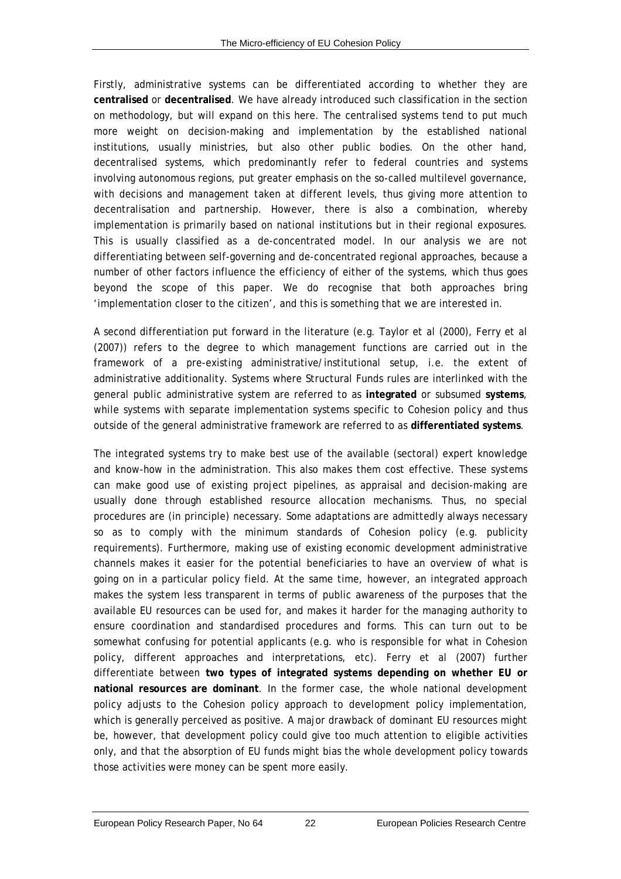Firstly, administrative systems can be differentiated according to whether they are **centralised** or **decentralised**. We have already introduced such classification in the section on methodology, but will expand on this here. The centralised systems tend to put much more weight on decision-making and implementation by the established national institutions, usually ministries, but also other public bodies. On the other hand, decentralised systems, which predominantly refer to federal countries and systems involving autonomous regions, put greater emphasis on the so-called multilevel governance, with decisions and management taken at different levels, thus giving more attention to decentralisation and partnership. However, there is also a combination, whereby implementation is primarily based on national institutions but in their regional exposures. This is usually classified as a de-concentrated model. In our analysis we are not differentiating between self-governing and de-concentrated regional approaches, because a number of other factors influence the efficiency of either of the systems, which thus goes beyond the scope of this paper. We do recognise that both approaches bring 'implementation closer to the citizen', and this is something that we are interested in.

A second differentiation put forward in the literature (e.g. Taylor *et al* (2000), Ferry *et al* (2007)) refers to the degree to which management functions are carried out in the framework of a pre-existing administrative/institutional setup, i.e. the extent of administrative additionality. Systems where Structural Funds rules are interlinked with the general public administrative system are referred to as **integrated** or subsumed **systems**, while systems with separate implementation systems specific to Cohesion policy and thus outside of the general administrative framework are referred to as **differentiated systems**.

The integrated systems try to make best use of the available (sectoral) expert knowledge and know-how in the administration. This also makes them cost effective. These systems can make good use of existing project pipelines, as appraisal and decision-making are usually done through established resource allocation mechanisms. Thus, no special procedures are (in principle) necessary. Some adaptations are admittedly always necessary so as to comply with the minimum standards of Cohesion policy (e.g. publicity requirements). Furthermore, making use of existing economic development administrative channels makes it easier for the potential beneficiaries to have an overview of what is going on in a particular policy field. At the same time, however, an integrated approach makes the system less transparent in terms of public awareness of the purposes that the available EU resources can be used for, and makes it harder for the managing authority to ensure coordination and standardised procedures and forms. This can turn out to be somewhat confusing for potential applicants (e.g. who is responsible for what in Cohesion policy, different approaches and interpretations, etc). Ferry *et al* (2007) further differentiate between **two types of integrated systems depending on whether EU or national resources are dominant**. In the former case, the whole national development policy adjusts to the Cohesion policy approach to development policy implementation, which is generally perceived as positive. A major drawback of dominant EU resources might be, however, that development policy could give too much attention to eligible activities only, and that the absorption of EU funds might bias the whole development policy towards those activities were money can be spent more easily.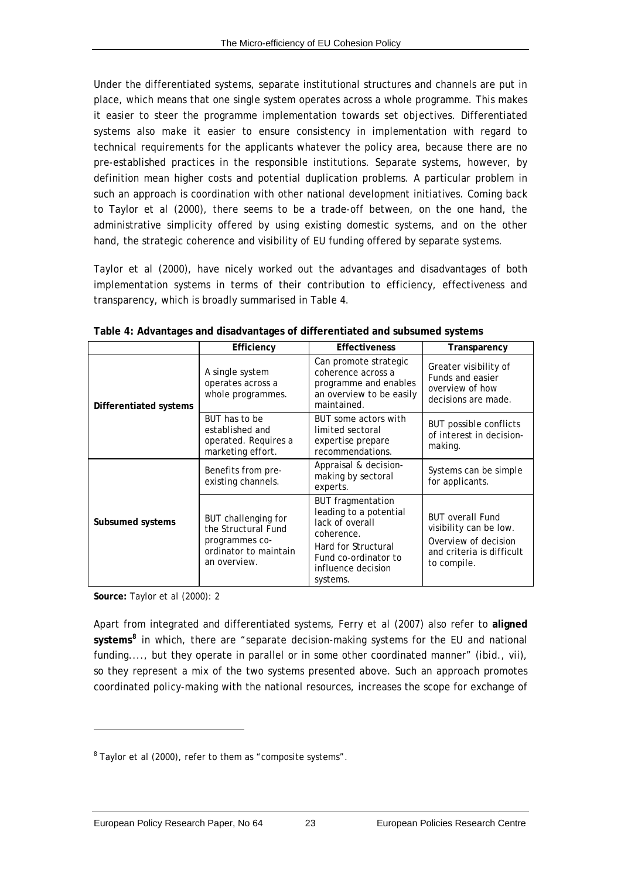<span id="page-32-2"></span><span id="page-32-0"></span>Under the differentiated systems, separate institutional structures and channels are put in place, which means that one single system operates across a whole programme. This makes it easier to steer the programme implementation towards set objectives. Differentiated systems also make it easier to ensure consistency in implementation with regard to technical requirements for the applicants whatever the policy area, because there are no pre-established practices in the responsible institutions. Separate systems, however, by definition mean higher costs and potential duplication problems. A particular problem in such an approach is coordination with other national development initiatives. Coming back to Taylor *et al* (2000), there seems to be a trade-off between, on the one hand, the administrative simplicity offered by using existing domestic systems, and on the other hand, the strategic coherence and visibility of EU funding offered by separate systems.

Taylor *et al* (2000), have nicely worked out the advantages and disadvantages of both implementation systems in terms of their contribution to efficiency, effectiveness and transparency, which is broadly summarised in [Table 4](#page-32-1).

<span id="page-32-1"></span>

|                        | Transparency                                                                                          |                                                                                                                                                                      |                                                                                                                       |
|------------------------|-------------------------------------------------------------------------------------------------------|----------------------------------------------------------------------------------------------------------------------------------------------------------------------|-----------------------------------------------------------------------------------------------------------------------|
|                        | Efficiency                                                                                            | <b>Effectiveness</b>                                                                                                                                                 |                                                                                                                       |
| Differentiated systems | A single system<br>operates across a<br>whole programmes.                                             | Can promote strategic<br>coherence across a<br>programme and enables<br>an overview to be easily<br>maintained.                                                      | Greater visibility of<br>Funds and easier<br>overview of how<br>decisions are made.                                   |
|                        | BUT has to be<br>established and<br>operated. Requires a<br>marketing effort.                         | BUT some actors with<br>limited sectoral<br>expertise prepare<br>recommendations.                                                                                    | <b>BUT possible conflicts</b><br>of interest in decision-<br>making.                                                  |
|                        | Benefits from pre-<br>existing channels.                                                              | Appraisal & decision-<br>making by sectoral<br>experts.                                                                                                              | Systems can be simple<br>for applicants.                                                                              |
| Subsumed systems       | BUT challenging for<br>the Structural Fund<br>programmes co-<br>ordinator to maintain<br>an overview. | <b>BUT</b> fragmentation<br>leading to a potential<br>lack of overall<br>coherence.<br>Hard for Structural<br>Fund co-ordinator to<br>influence decision<br>systems. | <b>BUT overall Fund</b><br>visibility can be low.<br>Overview of decision<br>and criteria is difficult<br>to compile. |

**Table 4: Advantages and disadvantages of differentiated and subsumed systems** 

**Source:** Taylor *et al* (2000): 2

l

Apart from integrated and differentiated systems, Ferry *et al* (2007) also refer to **aligned systems[8](#page-32-2)** in which, there are "separate decision-making systems for the EU and national funding...., but they operate in parallel or in some other coordinated manner" (*ibid*., vii), so they represent a mix of the two systems presented above. Such an approach promotes coordinated policy-making with the national resources, increases the scope for exchange of

<sup>&</sup>lt;sup>8</sup> Taylor *et al* (2000), refer to them as "composite systems".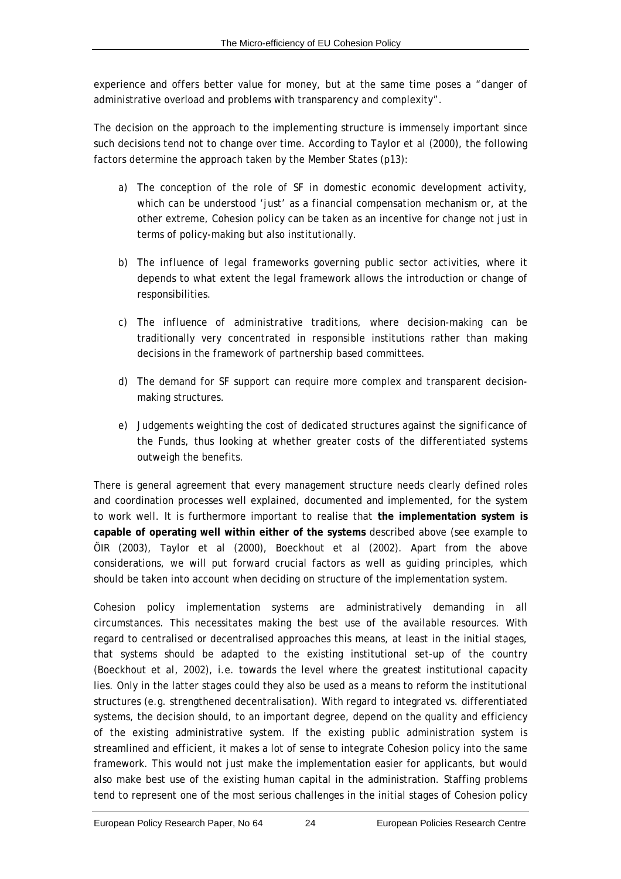experience and offers better value for money, but at the same time poses a "danger of administrative overload and problems with transparency and complexity".

The decision on the approach to the implementing structure is immensely important since such decisions tend not to change over time. According to Taylor *et al* (2000), the following factors determine the approach taken by the Member States (p13):

- a) *The conception of the role of SF in domestic economic development activity*, which can be understood 'just' as a financial compensation mechanism or, at the other extreme, Cohesion policy can be taken as an incentive for change not just in terms of policy-making but also institutionally.
- b) *The influence of legal frameworks governing public sector activities*, where it depends to what extent the legal framework allows the introduction or change of responsibilities.
- c) *The influence of administrative traditions*, where decision-making can be traditionally very concentrated in responsible institutions rather than making decisions in the framework of partnership based committees.
- d) *The demand for SF support* can require more complex and transparent decisionmaking structures.
- e) *Judgements weighting the cost of dedicated structures against the significance of the Funds*, thus looking at whether greater costs of the differentiated systems outweigh the benefits.

There is general agreement that every management structure needs clearly defined roles and coordination processes well explained, documented and implemented, for the system to work well. It is furthermore important to realise that **the implementation system is capable of operating well within either of the systems** described above (see example to ÖIR (2003), Taylor *et al* (2000), Boeckhout *et al* (2002). Apart from the above considerations, we will put forward crucial factors as well as guiding principles, which should be taken into account when deciding on structure of the implementation system.

Cohesion policy implementation systems are administratively demanding in all circumstances. This necessitates making the best use of the available resources. With regard to centralised or decentralised approaches this means, at least in the initial stages, that systems should be adapted to the existing institutional set-up of the country (Boeckhout *et al*, 2002), i.e. towards the level where the greatest institutional capacity lies. Only in the latter stages could they also be used as a means to reform the institutional structures (e.g. strengthened decentralisation). With regard to integrated vs. differentiated systems, the decision should, to an important degree, depend on the quality and efficiency of the existing administrative system. If the existing public administration system is streamlined and efficient, it makes a lot of sense to integrate Cohesion policy into the same framework. This would not just make the implementation easier for applicants, but would also make best use of the existing human capital in the administration. Staffing problems tend to represent one of the most serious challenges in the initial stages of Cohesion policy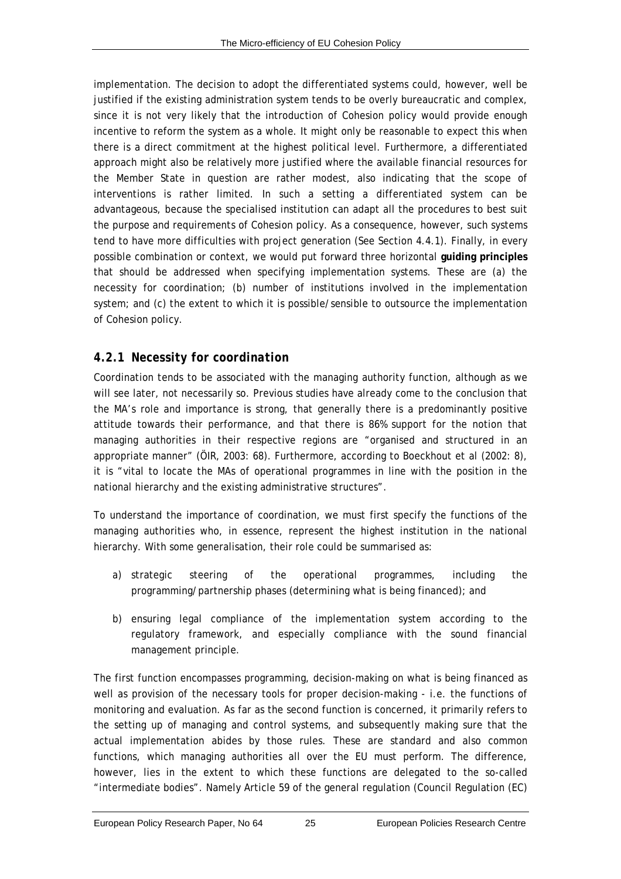<span id="page-34-0"></span>implementation. The decision to adopt the differentiated systems could, however, well be justified if the existing administration system tends to be overly bureaucratic and complex, since it is not very likely that the introduction of Cohesion policy would provide enough incentive to reform the system as a whole. It might only be reasonable to expect this when there is a direct commitment at the highest political level. Furthermore, a differentiated approach might also be relatively more justified where the available financial resources for the Member State in question are rather modest, also indicating that the scope of interventions is rather limited. In such a setting a differentiated system can be advantageous, because the specialised institution can adapt all the procedures to best suit the purpose and requirements of Cohesion policy. As a consequence, however, such systems tend to have more difficulties with project generation (See Section [4.4.1\)](#page-47-1). Finally, in every possible combination or context, we would put forward three horizontal **guiding principles** that should be addressed when specifying implementation systems. These are (a) the necessity for coordination; (b) number of institutions involved in the implementation system; and (c) the extent to which it is possible/sensible to outsource the implementation of Cohesion policy.

#### *4.2.1 Necessity for coordination*

Coordination tends to be associated with the managing authority function, although as we will see later, not necessarily so. Previous studies have already come to the conclusion that the MA's role and importance is strong, that generally there is a predominantly positive attitude towards their performance, and that there is 86% support for the notion that managing authorities in their respective regions are "organised and structured in an appropriate manner" (ÖIR, 2003: 68). Furthermore, according to Boeckhout *et al* (2002: 8), it is "vital to locate the MAs of operational programmes in line with the position in the national hierarchy and the existing administrative structures".

To understand the importance of coordination, we must first specify the functions of the managing authorities who, in essence, represent the highest institution in the national hierarchy. With some generalisation, their role could be summarised as:

- a) strategic steering of the operational programmes, including the programming/partnership phases (determining what is being financed); and
- b) ensuring legal compliance of the implementation system according to the regulatory framework, and especially compliance with the sound financial management principle.

The first function encompasses programming, decision-making on what is being financed as well as provision of the necessary tools for proper decision-making - i.e. the functions of monitoring and evaluation. As far as the second function is concerned, it primarily refers to the setting up of managing and control systems, and subsequently making sure that the actual implementation abides by those rules. These are standard and also common functions, which managing authorities all over the EU must perform. The difference, however, lies in the extent to which these functions are delegated to the so-called "intermediate bodies". Namely Article 59 of the general regulation (Council Regulation (EC)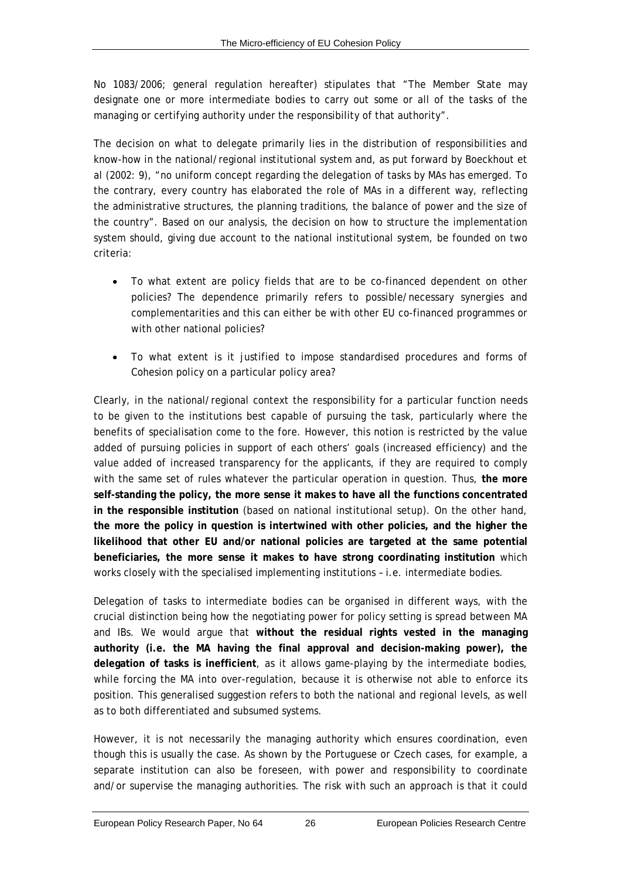No 1083/2006; general regulation hereafter) stipulates that "The Member State may designate one or more intermediate bodies to carry out some or all of the tasks of the managing or certifying authority under the responsibility of that authority".

The decision on what to delegate primarily lies in the distribution of responsibilities and know-how in the national/regional institutional system and, as put forward by Boeckhout *et al* (2002: 9), "no uniform concept regarding the delegation of tasks by MAs has emerged. To the contrary, every country has elaborated the role of MAs in a different way, reflecting the administrative structures, the planning traditions, the balance of power and the size of the country". Based on our analysis, the decision on how to structure the implementation system should, giving due account to the national institutional system, be founded on two criteria:

- To what extent are policy fields that are to be co-financed dependent on other policies? The dependence primarily refers to possible/necessary synergies and complementarities and this can either be with other EU co-financed programmes or with other national policies?
- To what extent is it justified to impose standardised procedures and forms of Cohesion policy on a particular policy area?

Clearly, in the national/regional context the responsibility for a particular function needs to be given to the institutions best capable of pursuing the task, particularly where the benefits of specialisation come to the fore. However, this notion is restricted by the value added of pursuing policies in support of each others' goals (increased efficiency) and the value added of increased transparency for the applicants, if they are required to comply with the same set of rules whatever the particular operation in question. Thus, **the more self-standing the policy, the more sense it makes to have all the functions concentrated in the responsible institution** (based on national institutional setup). On the other hand, **the more the policy in question is intertwined with other policies, and the higher the likelihood that other EU and/or national policies are targeted at the same potential beneficiaries, the more sense it makes to have strong coordinating institution** which works closely with the specialised implementing institutions – i.e. intermediate bodies.

Delegation of tasks to intermediate bodies can be organised in different ways, with the crucial distinction being how the negotiating power for policy setting is spread between MA and IBs. We would argue that **without the residual rights vested in the managing authority (i.e. the MA having the final approval and decision-making power), the delegation of tasks is inefficient**, as it allows game-playing by the intermediate bodies, while forcing the MA into over-regulation, because it is otherwise not able to enforce its position. This generalised suggestion refers to both the national and regional levels, as well as to both differentiated and subsumed systems.

However, it is not necessarily the managing authority which ensures coordination, even though this is usually the case. As shown by the Portuguese or Czech cases, for example, a separate institution can also be foreseen, with power and responsibility to coordinate and/or supervise the managing authorities. The risk with such an approach is that it could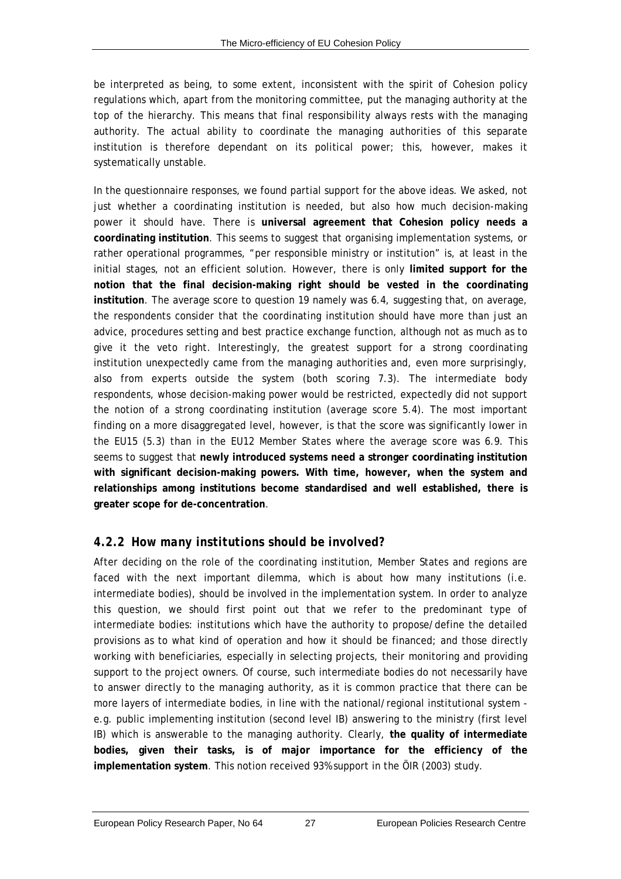be interpreted as being, to some extent, inconsistent with the spirit of Cohesion policy regulations which, apart from the monitoring committee, put the managing authority at the top of the hierarchy. This means that final responsibility always rests with the managing authority. The actual ability to coordinate the managing authorities of this separate institution is therefore dependant on its political power; this, however, makes it systematically unstable.

In the questionnaire responses, we found partial support for the above ideas. We asked, not just whether a coordinating institution is needed, but also how much decision-making power it should have. There is **universal agreement that Cohesion policy needs a coordinating institution**. This seems to suggest that organising implementation systems, or rather operational programmes, "per responsible ministry or institution" is, at least in the initial stages, not an efficient solution. However, there is only **limited support for the notion that the final decision-making right should be vested in the coordinating institution**. The average score to question 19 namely was 6.4, suggesting that, on average, the respondents consider that the coordinating institution should have more than just an advice, procedures setting and best practice exchange function, although not as much as to give it the veto right. Interestingly, the greatest support for a strong coordinating institution unexpectedly came from the managing authorities and, even more surprisingly, also from experts outside the system (both scoring 7.3). The intermediate body respondents, whose decision-making power would be restricted, expectedly did not support the notion of a strong coordinating institution (average score 5.4). The most important finding on a more disaggregated level, however, is that the score was significantly lower in the EU15 (5.3) than in the EU12 Member States where the average score was 6.9. This seems to suggest that **newly introduced systems need a stronger coordinating institution with significant decision-making powers. With time, however, when the system and relationships among institutions become standardised and well established, there is greater scope for de-concentration**.

# <span id="page-36-0"></span>*4.2.2 How many institutions should be involved?*

After deciding on the role of the coordinating institution, Member States and regions are faced with the next important dilemma, which is about how many institutions (i.e. intermediate bodies), should be involved in the implementation system. In order to analyze this question, we should first point out that we refer to the predominant type of intermediate bodies: institutions which have the authority to propose/define the detailed provisions as to what kind of operation and how it should be financed; and those directly working with beneficiaries, especially in selecting projects, their monitoring and providing support to the project owners. Of course, such intermediate bodies do not necessarily have to answer directly to the managing authority, as it is common practice that there can be more layers of intermediate bodies, in line with the national/regional institutional system e.g. public implementing institution (second level IB) answering to the ministry (first level IB) which is answerable to the managing authority. Clearly, **the quality of intermediate bodies, given their tasks, is of major importance for the efficiency of the implementation system**. This notion received 93% support in the ÖIR (2003) study.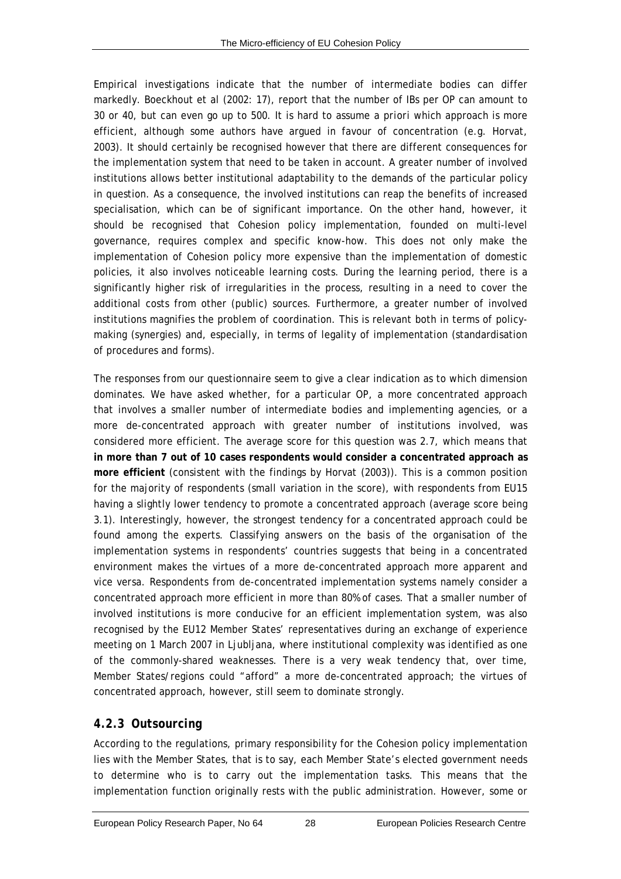Empirical investigations indicate that the number of intermediate bodies can differ markedly. Boeckhout *et al* (2002: 17), report that the number of IBs per OP can amount to 30 or 40, but can even go up to 500. It is hard to assume *a priori* which approach is more efficient, although some authors have argued in favour of concentration (e.g. Horvat, 2003). It should certainly be recognised however that there are different consequences for the implementation system that need to be taken in account. A greater number of involved institutions allows better institutional adaptability to the demands of the particular policy in question. As a consequence, the involved institutions can reap the benefits of increased specialisation, which can be of significant importance. On the other hand, however, it should be recognised that Cohesion policy implementation, founded on multi-level governance, requires complex and specific know-how. This does not only make the implementation of Cohesion policy more expensive than the implementation of domestic policies, it also involves noticeable learning costs. During the learning period, there is a significantly higher risk of irregularities in the process, resulting in a need to cover the additional costs from other (public) sources. Furthermore, a greater number of involved institutions magnifies the problem of coordination. This is relevant both in terms of policymaking (synergies) and, especially, in terms of legality of implementation (standardisation of procedures and forms).

The responses from our questionnaire seem to give a clear indication as to which dimension dominates. We have asked whether, for a particular OP, a more concentrated approach that involves a smaller number of intermediate bodies and implementing agencies, or a more de-concentrated approach with greater number of institutions involved, was considered more efficient. The average score for this question was 2.7, which means that **in more than 7 out of 10 cases respondents would consider a concentrated approach as more efficient** (consistent with the findings by Horvat (2003)). This is a common position for the majority of respondents (small variation in the score), with respondents from EU15 having a slightly lower tendency to promote a concentrated approach (average score being 3.1). Interestingly, however, the strongest tendency for a concentrated approach could be found among the experts. Classifying answers on the basis of the organisation of the implementation systems in respondents' countries suggests that being in a concentrated environment makes the virtues of a more de-concentrated approach more apparent and *vice versa*. Respondents from de-concentrated implementation systems namely consider a concentrated approach more efficient in more than 80% of cases. That a smaller number of involved institutions is more conducive for an efficient implementation system, was also recognised by the EU12 Member States' representatives during an exchange of experience meeting on 1 March 2007 in Ljubljana, where institutional complexity was identified as one of the commonly-shared weaknesses. There is a very weak tendency that, over time, Member States/regions could "afford" a more de-concentrated approach; the virtues of concentrated approach, however, still seem to dominate strongly.

# <span id="page-37-0"></span>*4.2.3 Outsourcing*

According to the regulations, primary responsibility for the Cohesion policy implementation lies with the Member States, that is to say, each Member State's elected government needs to determine who is to carry out the implementation tasks. This means that the implementation function originally rests with the public administration. However, some or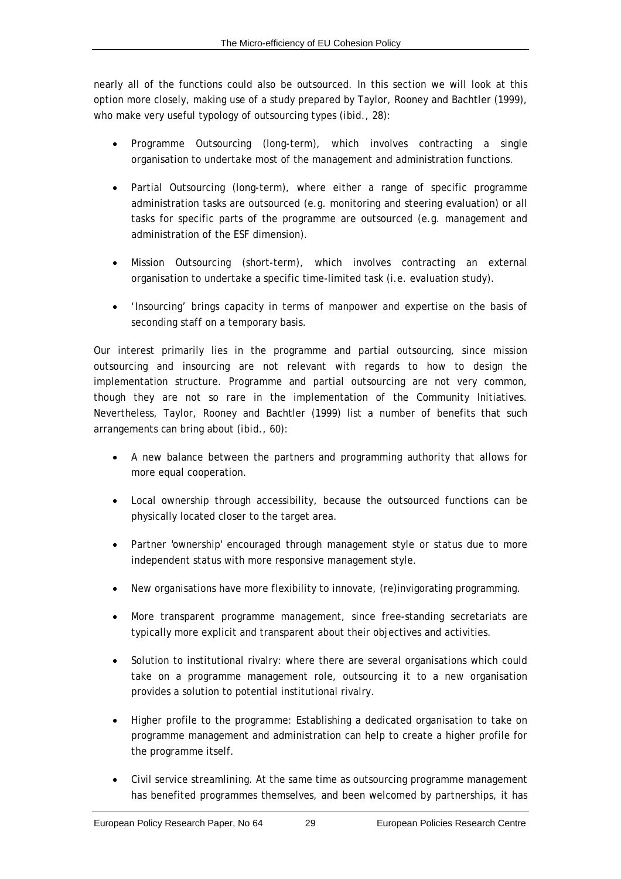nearly all of the functions could also be outsourced. In this section we will look at this option more closely, making use of a study prepared by Taylor, Rooney and Bachtler (1999), who make very useful typology of outsourcing types (*ibid*., 28):

- Programme Outsourcing (long-term), which involves contracting a single organisation to undertake most of the management and administration functions.
- Partial Outsourcing (long-term), where either a range of specific programme administration tasks are outsourced (e.g. monitoring and steering evaluation) or all tasks for specific parts of the programme are outsourced (e.g. management and administration of the ESF dimension).
- Mission Outsourcing (short-term), which involves contracting an external organisation to undertake a specific time-limited task (i.e. evaluation study).
- 'Insourcing' brings capacity in terms of manpower and expertise on the basis of seconding staff on a temporary basis.

Our interest primarily lies in the programme and partial outsourcing, since mission outsourcing and insourcing are not relevant with regards to how to design the implementation structure. Programme and partial outsourcing are not very common, though they are not so rare in the implementation of the Community Initiatives. Nevertheless, Taylor, Rooney and Bachtler (1999) list a number of benefits that such arrangements *can* bring about (*ibid*., 60):

- A new balance between the partners and programming authority that allows for more equal cooperation.
- Local ownership through accessibility, because the outsourced functions can be physically located closer to the target area.
- Partner 'ownership' encouraged through management style or status due to more independent status with more responsive management style.
- New organisations have more flexibility to innovate, (re)invigorating programming.
- More transparent programme management, since free-standing secretariats are typically more explicit and transparent about their objectives and activities.
- Solution to institutional rivalry: where there are several organisations which could take on a programme management role, outsourcing it to a new organisation provides a solution to potential institutional rivalry.
- Higher profile to the programme: Establishing a dedicated organisation to take on programme management and administration can help to create a higher profile for the programme itself.
- Civil service streamlining. At the same time as outsourcing programme management has benefited programmes themselves, and been welcomed by partnerships, it has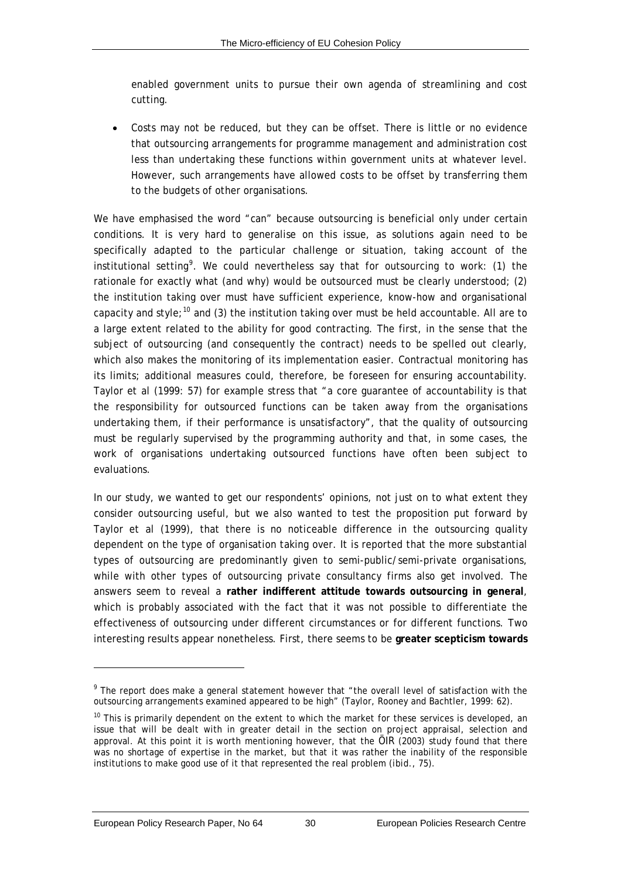<span id="page-39-0"></span>enabled government units to pursue their own agenda of streamlining and cost cutting.

• Costs may not be reduced, but they can be offset. There is little or no evidence that outsourcing arrangements for programme management and administration cost less than undertaking these functions within government units at whatever level. However, such arrangements have allowed costs to be offset by transferring them to the budgets of other organisations.

We have emphasised the word "*can"* because outsourcing is beneficial only under certain conditions. It is very hard to generalise on this issue, as solutions again need to be specifically adapted to the particular challenge or situation, taking account of the institutional setting<sup>[9](#page-39-0)</sup>. We could nevertheless say that for outsourcing to work: (1) the rationale for exactly what (and why) would be outsourced must be clearly understood; (2) the institution taking over must have sufficient experience, know-how and organisational capacity and style;<sup>[10](#page-39-0)</sup> and (3) the institution taking over must be held accountable. All are to a large extent related to the ability for good contracting. The first, in the sense that the subject of outsourcing (and consequently the contract) needs to be spelled out clearly, which also makes the monitoring of its implementation easier. Contractual monitoring has its limits; additional measures could, therefore, be foreseen for ensuring accountability. Taylor *et al* (1999: 57) for example stress that "a core guarantee of accountability is that the responsibility for outsourced functions can be taken away from the organisations undertaking them, if their performance is unsatisfactory", that the quality of outsourcing must be regularly supervised by the programming authority and that, in some cases, the work of organisations undertaking outsourced functions have often been subject to evaluations.

In our study, we wanted to get our respondents' opinions, not just on to what extent they consider outsourcing useful, but we also wanted to test the proposition put forward by Taylor *et al* (1999), that there is no noticeable difference in the outsourcing quality dependent on the type of organisation taking over. It is reported that the more substantial types of outsourcing are predominantly given to semi-public/semi-private organisations, while with other types of outsourcing private consultancy firms also get involved. The answers seem to reveal a **rather indifferent attitude towards outsourcing in general**, which is probably associated with the fact that it was not possible to differentiate the effectiveness of outsourcing under different circumstances or for different functions. Two interesting results appear nonetheless. First, there seems to be **greater scepticism towards** 

l

<sup>&</sup>lt;sup>9</sup> The report does make a general statement however that "the overall level of satisfaction with the outsourcing arrangements examined appeared to be high" (Taylor, Rooney and Bachtler, 1999: 62).

 $10$  This is primarily dependent on the extent to which the market for these services is developed, an issue that will be dealt with in greater detail in the section on project appraisal, selection and approval. At this point it is worth mentioning however, that the ÖIR (2003) study found that there was no shortage of expertise in the market, but that it was rather the inability of the responsible institutions to make good use of it that represented the real problem (*ibid*., 75).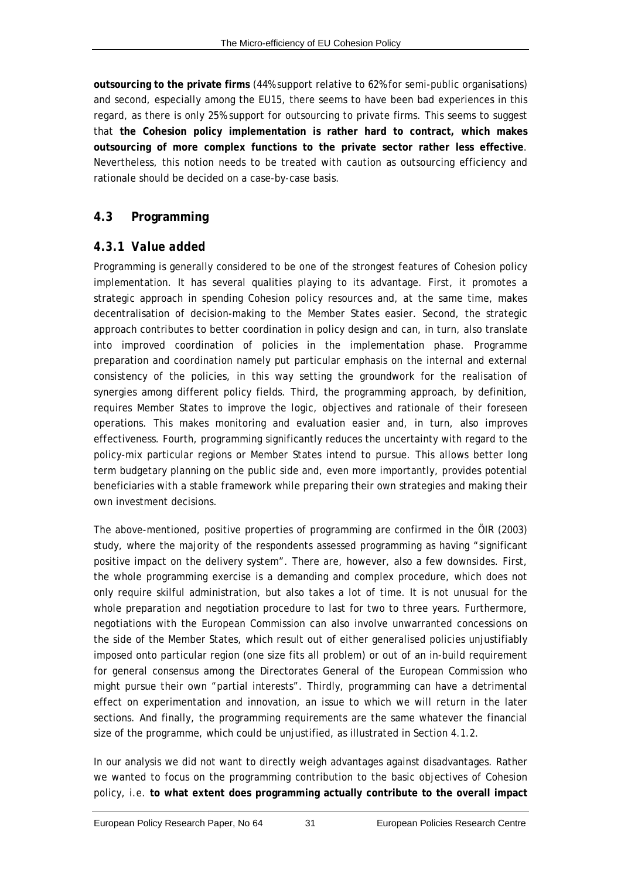**outsourcing to the private firms** (44% support relative to 62% for semi-public organisations) and second, especially among the EU15, there seems to have been bad experiences in this regard, as there is only 25% support for outsourcing to private firms. This seems to suggest that **the Cohesion policy implementation is rather hard to contract, which makes outsourcing of more complex functions to the private sector rather less effective**. Nevertheless, this notion needs to be treated with caution as outsourcing efficiency and rationale should be decided on a case-by-case basis.

# **4.3 Programming**

# <span id="page-40-0"></span>*4.3.1 Value added*

Programming is generally considered to be one of the strongest features of Cohesion policy implementation. It has several qualities playing to its advantage. First, it promotes a strategic approach in spending Cohesion policy resources and, at the same time, makes decentralisation of decision-making to the Member States easier. Second, the strategic approach contributes to better coordination in policy design and can, in turn, also translate into improved coordination of policies in the implementation phase. Programme preparation and coordination namely put particular emphasis on the internal and external consistency of the policies, in this way setting the groundwork for the realisation of synergies among different policy fields. Third, the programming approach, by definition, requires Member States to improve the logic, objectives and rationale of their foreseen operations. This makes monitoring and evaluation easier and, in turn, also improves effectiveness. Fourth, programming significantly reduces the uncertainty with regard to the policy-mix particular regions or Member States intend to pursue. This allows better long term budgetary planning on the public side and, even more importantly, provides potential beneficiaries with a stable framework while preparing their own strategies and making their own investment decisions.

The above-mentioned, positive properties of programming are confirmed in the ÖIR (2003) study, where the majority of the respondents assessed programming as having "significant positive impact on the delivery system". There are, however, also a few downsides. First, the whole programming exercise is a demanding and complex procedure, which does not only require skilful administration, but also takes a lot of time. It is not unusual for the whole preparation and negotiation procedure to last for two to three years. Furthermore, negotiations with the European Commission can also involve unwarranted concessions on the side of the Member States, which result out of either generalised policies unjustifiably imposed onto particular region (one size fits all problem) or out of an in-build requirement for general consensus among the Directorates General of the European Commission who might pursue their own "partial interests". Thirdly, programming can have a detrimental effect on experimentation and innovation, an issue to which we will return in the later sections. And finally, the programming requirements are the same whatever the financial size of the programme, which could be unjustified, as illustrated in Section [4.1.2](#page-30-0).

In our analysis we did not want to directly weigh advantages against disadvantages. Rather we wanted to focus on the programming contribution to the basic objectives of Cohesion policy, i.e. **to what extent does programming actually contribute to the overall impact**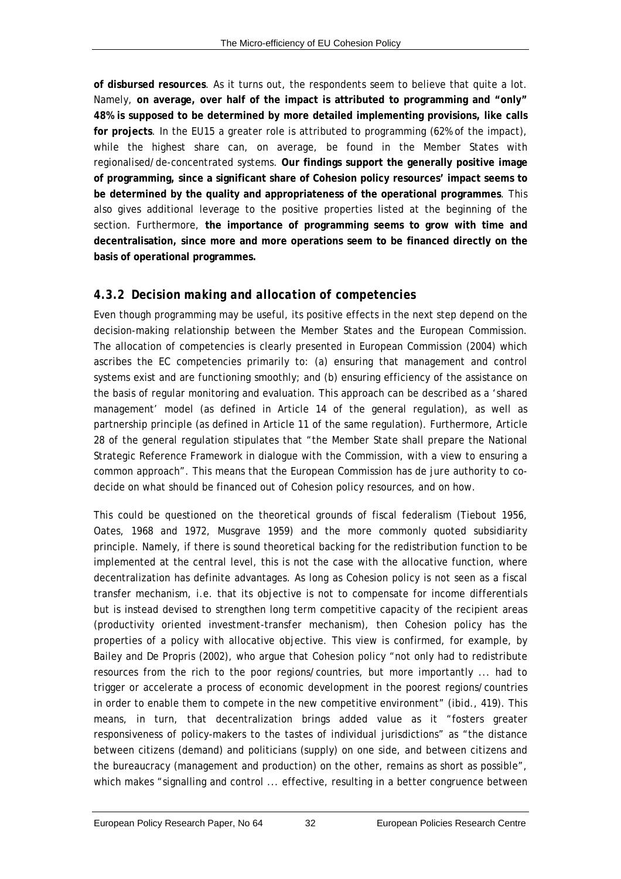**of disbursed resources**. As it turns out, the respondents seem to believe that quite a lot. Namely, **on average, over half of the impact is attributed to programming and "only" 48% is supposed to be determined by more detailed implementing provisions, like calls for projects**. In the EU15 a greater role is attributed to programming (62% of the impact), while the highest share can, on average, be found in the Member States with regionalised/de-concentrated systems. **Our findings support the generally positive image of programming, since a significant share of Cohesion policy resources' impact seems to be determined by the quality and appropriateness of the operational programmes**. This also gives additional leverage to the positive properties listed at the beginning of the section. Furthermore, **the importance of programming seems to grow with time and decentralisation, since more and more operations seem to be financed directly on the basis of operational programmes.**

# <span id="page-41-0"></span>*4.3.2 Decision making and allocation of competencies*

Even though programming may be useful, its positive effects in the next step depend on the decision-making relationship between the Member States and the European Commission. The allocation of competencies is clearly presented in European Commission (2004) which ascribes the EC competencies primarily to: (a) ensuring that management and control systems exist and are functioning smoothly; and (b) ensuring efficiency of the assistance on the basis of regular monitoring and evaluation. This approach can be described as a 'shared management' model (as defined in Article 14 of the general regulation), as well as partnership principle (as defined in Article 11 of the same regulation). Furthermore, Article 28 of the general regulation stipulates that "the Member State shall prepare the National Strategic Reference Framework in dialogue with the Commission, with a view to ensuring a common approach". This means that the European Commission has *de jure* authority to codecide on what should be financed out of Cohesion policy resources, and on how.

This could be questioned on the theoretical grounds of fiscal federalism (Tiebout 1956, Oates, 1968 and 1972, Musgrave 1959) and the more commonly quoted subsidiarity principle. Namely, if there is sound theoretical backing for the redistribution function to be implemented at the central level, this is not the case with the allocative function, where decentralization has definite advantages. As long as Cohesion policy is not seen as a fiscal transfer mechanism, i.e. that its objective is not to compensate for income differentials but is instead devised to strengthen long term competitive capacity of the recipient areas (productivity oriented investment-transfer mechanism), then Cohesion policy has the properties of a policy with allocative objective. This view is confirmed, for example, by Bailey and De Propris (2002), who argue that Cohesion policy "not only had to redistribute resources from the rich to the poor regions/countries, but more importantly ... had to trigger or accelerate a process of economic development in the poorest regions/countries in order to enable them to compete in the new competitive environment" (*ibid*., 419). This means, in turn, that decentralization brings added value as it "fosters greater responsiveness of policy-makers to the tastes of individual jurisdictions" as "the distance between citizens (demand) and politicians (supply) on one side, and between citizens and the bureaucracy (management and production) on the other, remains as short as possible", which makes "signalling and control ... effective, resulting in a better congruence between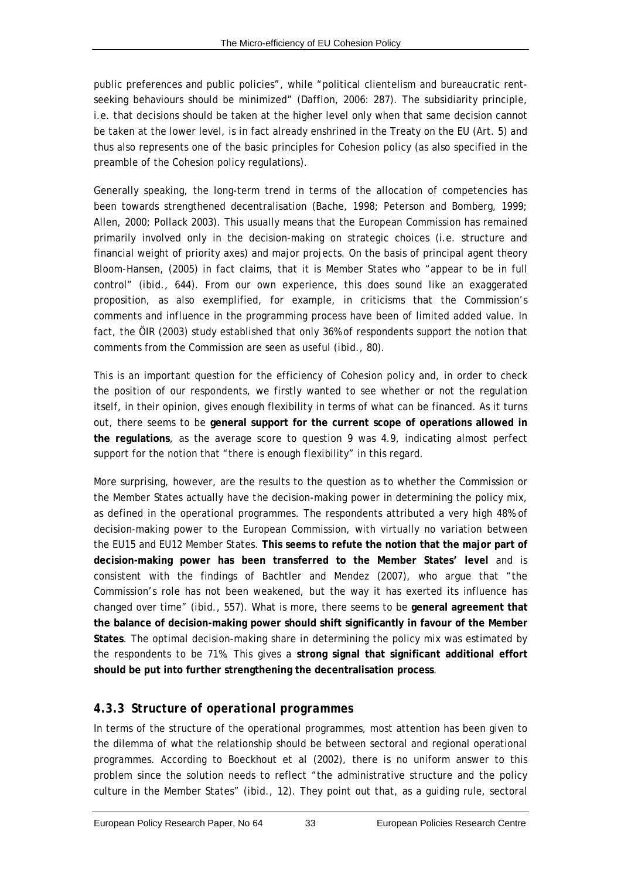public preferences and public policies", while "political clientelism and bureaucratic rentseeking behaviours should be minimized" (Dafflon, 2006: 287). The subsidiarity principle, i.e. that decisions should be taken at the higher level only when that same decision cannot be taken at the lower level, is in fact already enshrined in the Treaty on the EU (Art. 5) and thus also represents one of the basic principles for Cohesion policy (as also specified in the preamble of the Cohesion policy regulations).

Generally speaking, the long-term trend in terms of the allocation of competencies has been towards strengthened decentralisation (Bache, 1998; Peterson and Bomberg, 1999; Allen, 2000; Pollack 2003). This usually means that the European Commission has remained primarily involved only in the decision-making on strategic choices (i.e. structure and financial weight of priority axes) and major projects. On the basis of principal agent theory Bloom-Hansen, (2005) in fact claims, that it is Member States who "appear to be in full control" (*ibid*., 644). From our own experience, this does sound like an exaggerated proposition, as also exemplified, for example, in criticisms that the Commission's comments and influence in the programming process have been of limited added value. In fact, the ÖIR (2003) study established that only 36% of respondents support the notion that comments from the Commission are seen as useful (*ibid*., 80).

This is an important question for the efficiency of Cohesion policy and, in order to check the position of our respondents, we firstly wanted to see whether or not the regulation itself, in their opinion, gives enough flexibility in terms of what can be financed. As it turns out, there seems to be **general support for the current scope of operations allowed in the regulations**, as the average score to question 9 was 4.9, indicating almost perfect support for the notion that "there is enough flexibility" in this regard.

More surprising, however, are the results to the question as to whether the Commission or the Member States actually have the decision-making power in determining the policy mix, as defined in the operational programmes. The respondents attributed a very high 48% of decision-making power to the European Commission, with virtually no variation between the EU15 and EU12 Member States. **This seems to refute the notion that the major part of decision-making power has been transferred to the Member States' level** and is consistent with the findings of Bachtler and Mendez (2007), who argue that "the Commission's role has not been weakened, but the way it has exerted its influence has changed over time" (*ibid*., 557). What is more, there seems to be **general agreement that the balance of decision-making power should shift significantly in favour of the Member States**. The optimal decision-making share in determining the policy mix was estimated by the respondents to be 71%. This gives a **strong signal that significant additional effort should be put into further strengthening the decentralisation process**.

# *4.3.3 Structure of operational programmes*

In terms of the structure of the operational programmes, most attention has been given to the dilemma of what the relationship should be between sectoral and regional operational programmes. According to Boeckhout *et al* (2002), there is no uniform answer to this problem since the solution needs to reflect "the administrative structure and the policy culture in the Member States" (*ibid*., 12). They point out that, as a guiding rule, sectoral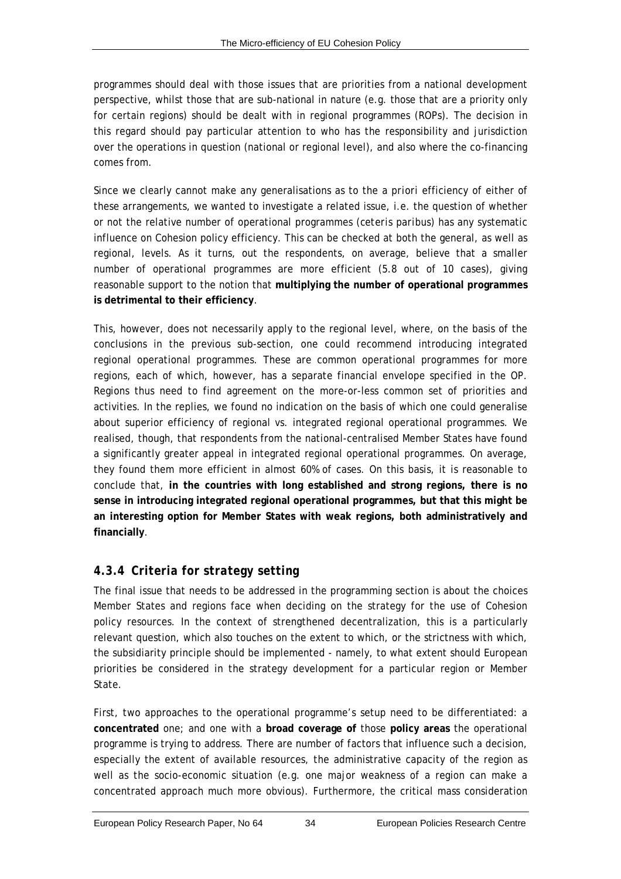programmes should deal with those issues that are priorities from a national development perspective, whilst those that are sub-national in nature (e.g. those that are a priority only for certain regions) should be dealt with in regional programmes (ROPs). The decision in this regard should pay particular attention to who has the responsibility and jurisdiction over the operations in question (national or regional level), and also where the co-financing comes from.

Since we clearly cannot make any generalisations as to the *a priori* efficiency of either of these arrangements, we wanted to investigate a related issue, i.e. the question of whether or not the relative number of operational programmes (*ceteris paribus)* has any systematic influence on Cohesion policy efficiency. This can be checked at both the general, as well as regional, levels. As it turns, out the respondents, on average, believe that a smaller number of operational programmes are more efficient (5.8 out of 10 cases), giving reasonable support to the notion that **multiplying the number of operational programmes is detrimental to their efficiency**.

This, however, does not necessarily apply to the regional level, where, on the basis of the conclusions in the previous sub-section, one could recommend introducing integrated regional operational programmes. These are common operational programmes for more regions, each of which, however, has a separate financial envelope specified in the OP. Regions thus need to find agreement on the more-or-less common set of priorities and activities. In the replies, we found no indication on the basis of which one could generalise about superior efficiency of regional vs. integrated regional operational programmes. We realised, though, that respondents from the national-centralised Member States have found a significantly greater appeal in integrated regional operational programmes. On average, they found them more efficient in almost 60% of cases. On this basis, it is reasonable to conclude that, **in the countries with long established and strong regions, there is no sense in introducing integrated regional operational programmes, but that this might be an interesting option for Member States with weak regions, both administratively and financially**.

# *4.3.4 Criteria for strategy setting*

The final issue that needs to be addressed in the programming section is about the choices Member States and regions face when deciding on the strategy for the use of Cohesion policy resources. In the context of strengthened decentralization, this is a particularly relevant question, which also touches on the extent to which, or the strictness with which, the subsidiarity principle should be implemented - namely, to what extent should European priorities be considered in the strategy development for a particular region or Member State.

First, two approaches to the operational programme's setup need to be differentiated: a **concentrated** one; and one with a **broad coverage of** those **policy areas** the operational programme is trying to address. There are number of factors that influence such a decision, especially the extent of available resources, the administrative capacity of the region as well as the socio-economic situation (e.g. one major weakness of a region can make a concentrated approach much more obvious). Furthermore, the critical mass consideration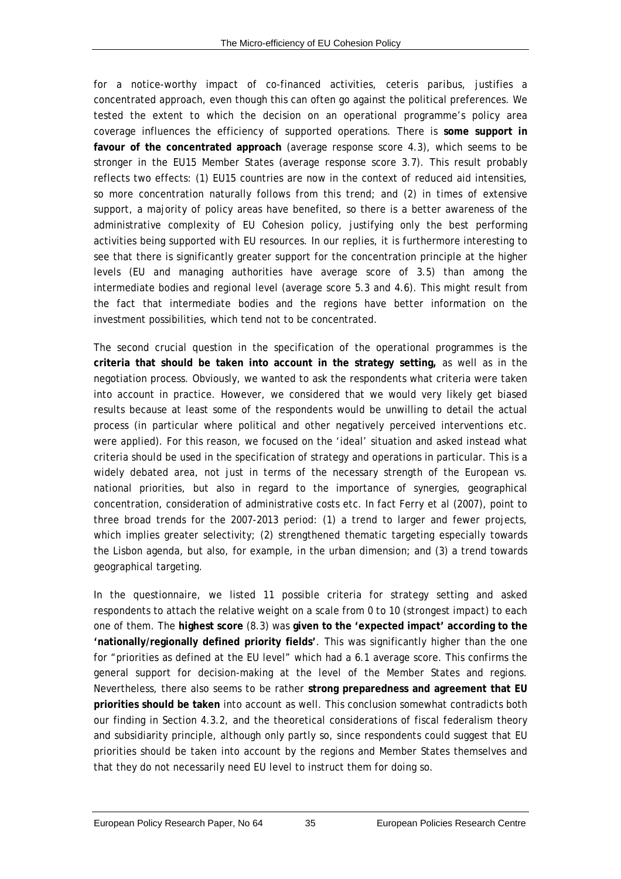for a notice-worthy impact of co-financed activities, *ceteris paribus*, justifies a concentrated approach, even though this can often go against the political preferences. We tested the extent to which the decision on an operational programme's policy area coverage influences the efficiency of supported operations. There is **some support in favour of the concentrated approach** (average response score 4.3), which seems to be stronger in the EU15 Member States (average response score 3.7). This result probably reflects two effects: (1) EU15 countries are now in the context of reduced aid intensities, so more concentration naturally follows from this trend; and (2) in times of extensive support, a majority of policy areas have benefited, so there is a better awareness of the administrative complexity of EU Cohesion policy, justifying only the best performing activities being supported with EU resources. In our replies, it is furthermore interesting to see that there is significantly greater support for the concentration principle at the higher levels (EU and managing authorities have average score of 3.5) than among the intermediate bodies and regional level (average score 5.3 and 4.6). This might result from the fact that intermediate bodies and the regions have better information on the investment possibilities, which tend not to be concentrated.

The second crucial question in the specification of the operational programmes is the **criteria that should be taken into account in the strategy setting,** as well as in the negotiation process. Obviously, we wanted to ask the respondents what criteria were taken into account in practice. However, we considered that we would very likely get biased results because at least some of the respondents would be unwilling to detail the actual process (in particular where political and other negatively perceived interventions etc. were applied). For this reason, we focused on the 'ideal' situation and asked instead what criteria *should* be used in the specification of strategy and operations in particular. This is a widely debated area, not just in terms of the necessary strength of the European vs. national priorities, but also in regard to the importance of synergies, geographical concentration, consideration of administrative costs etc. In fact Ferry *et al* (2007), point to three broad trends for the 2007-2013 period: (1) a trend to larger and fewer projects, which implies greater selectivity; (2) strengthened thematic targeting especially towards the Lisbon agenda, but also, for example, in the urban dimension; and (3) a trend towards geographical targeting.

In the questionnaire, we listed 11 possible criteria for strategy setting and asked respondents to attach the relative weight on a scale from 0 to 10 (strongest impact) to each one of them. The **highest score** (8.3) was **given to the 'expected impact' according to the 'nationally/regionally defined priority fields'**. This was significantly higher than the one for "priorities as defined at the EU level" which had a 6.1 average score. This confirms the general support for decision-making at the level of the Member States and regions. Nevertheless, there also seems to be rather **strong preparedness and agreement that EU priorities should be taken** into account as well. This conclusion somewhat contradicts both our finding in Section [4.3.2,](#page-41-0) and the theoretical considerations of fiscal federalism theory and subsidiarity principle, although only partly so, since respondents could suggest that EU priorities should be taken into account by the regions and Member States themselves and that they do not necessarily need EU level to instruct them for doing so.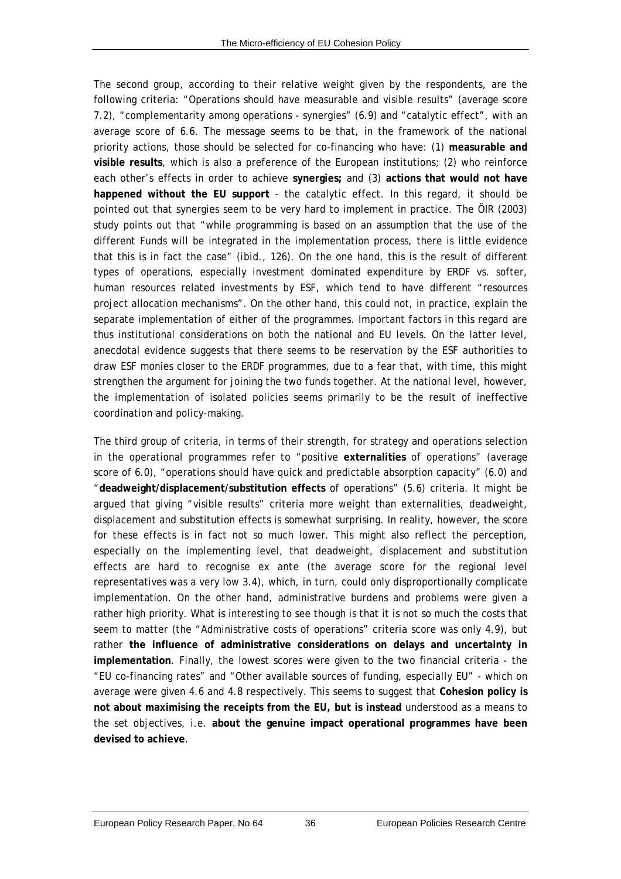The second group, according to their relative weight given by the respondents, are the following criteria: "Operations should have measurable and visible results" (average score 7.2), "complementarity among operations - synergies" (6.9) and "catalytic effect", with an average score of 6.6. The message seems to be that, in the framework of the national priority actions, those should be selected for co-financing who have: (1) **measurable and visible results**, which is also a preference of the European institutions; (2) who reinforce each other's effects in order to achieve **synergies;** and (3) **actions that would not have happened without the EU support** - the catalytic effect. In this regard, it should be pointed out that synergies seem to be very hard to implement in practice. The ÖIR (2003) study points out that "while programming is based on an assumption that the use of the different Funds will be integrated in the implementation process, there is little evidence that this is in fact the case" (*ibid*., 126). On the one hand, this is the result of different types of operations, especially investment dominated expenditure by ERDF vs. softer, human resources related investments by ESF, which tend to have different "resources project allocation mechanisms". On the other hand, this could not, in practice, explain the separate implementation of either of the programmes. Important factors in this regard are thus institutional considerations on both the national and EU levels. On the latter level, anecdotal evidence suggests that there seems to be reservation by the ESF authorities to draw ESF monies closer to the ERDF programmes, due to a fear that, with time, this might strengthen the argument for joining the two funds together. At the national level, however, the implementation of isolated policies seems primarily to be the result of ineffective coordination and policy-making.

The third group of criteria, in terms of their strength, for strategy and operations selection in the operational programmes refer to "positive **externalities** of operations" (average score of 6.0), "operations should have quick and predictable absorption capacity" (6.0) and "**deadweight/displacement/substitution effects** of operations" (5.6) criteria. It might be argued that giving "visible results" criteria more weight than externalities, deadweight, displacement and substitution effects is somewhat surprising. In reality, however, the score for these effects is in fact not so much lower. This might also reflect the perception, especially on the implementing level, that deadweight, displacement and substitution effects are hard to recognise *ex ante* (the average score for the regional level representatives was a very low 3.4), which, in turn, could only disproportionally complicate implementation. On the other hand, administrative burdens and problems were given a rather high priority. What is interesting to see though is that it is not so much the costs that seem to matter (the "Administrative costs of operations" criteria score was only 4.9), but rather **the influence of administrative considerations on delays and uncertainty in implementation**. Finally, the lowest scores were given to the two financial criteria - the "EU co-financing rates" and "Other available sources of funding, especially EU" - which on average were given 4.6 and 4.8 respectively. This seems to suggest that **Cohesion policy is not about maximising the receipts from the EU, but is instead** understood as a means to the set objectives, i.e. **about the genuine impact operational programmes have been devised to achieve**.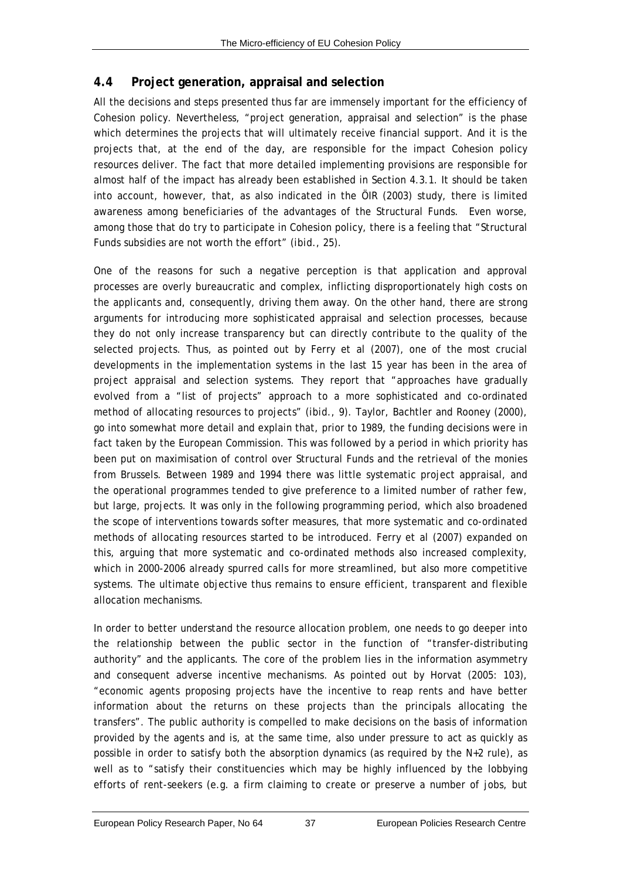# <span id="page-46-0"></span>**4.4 Project generation, appraisal and selection**

All the decisions and steps presented thus far are immensely important for the efficiency of Cohesion policy. Nevertheless, "project generation, appraisal and selection" is the phase which determines the projects that will ultimately receive financial support. And it is the projects that, at the end of the day, are responsible for the impact Cohesion policy resources deliver. The fact that more detailed implementing provisions are responsible for almost half of the impact has already been established in Section [4.3.1.](#page-40-0) It should be taken into account, however, that, as also indicated in the ÖIR (2003) study, there is limited awareness among beneficiaries of the advantages of the Structural Funds. Even worse, among those that do try to participate in Cohesion policy, there is a feeling that "Structural Funds subsidies are not worth the effort" (*ibid*., 25).

One of the reasons for such a negative perception is that application and approval processes are overly bureaucratic and complex, inflicting disproportionately high costs on the applicants and, consequently, driving them away. On the other hand, there are strong arguments for introducing more sophisticated appraisal and selection processes, because they do not only increase transparency but can directly contribute to the quality of the selected projects. Thus, as pointed out by Ferry *et al* (2007), one of the most crucial developments in the implementation systems in the last 15 year has been in the area of project appraisal and selection systems. They report that "approaches have gradually evolved from a "list of projects" approach to a more sophisticated and co-ordinated method of allocating resources to projects" (*ibid*., 9). Taylor, Bachtler and Rooney (2000), go into somewhat more detail and explain that, prior to 1989, the funding decisions were in fact taken by the European Commission. This was followed by a period in which priority has been put on maximisation of control over Structural Funds and the retrieval of the monies from Brussels. Between 1989 and 1994 there was little systematic project appraisal, and the operational programmes tended to give preference to a limited number of rather few, but large, projects. It was only in the following programming period, which also broadened the scope of interventions towards softer measures, that more systematic and co-ordinated methods of allocating resources started to be introduced. Ferry *et al* (2007) expanded on this, arguing that more systematic and co-ordinated methods also increased complexity, which in 2000-2006 already spurred calls for more streamlined, but also more competitive systems. The ultimate objective thus remains to ensure efficient, transparent and flexible allocation mechanisms.

In order to better understand the resource allocation problem, one needs to go deeper into the relationship between the public sector in the function of "transfer-distributing authority" and the applicants. The core of the problem lies in the information asymmetry and consequent adverse incentive mechanisms. As pointed out by Horvat (2005: 103), "economic agents proposing projects have the incentive to reap rents and have better information about the returns on these projects than the principals allocating the transfers". The public authority is compelled to make decisions on the basis of information provided by the agents and is, at the same time, also under pressure to act as quickly as possible in order to satisfy both the absorption dynamics (as required by the N+2 rule), as well as to "satisfy their constituencies which may be highly influenced by the lobbying efforts of rent-seekers (e.g. a firm claiming to create or preserve a number of jobs, but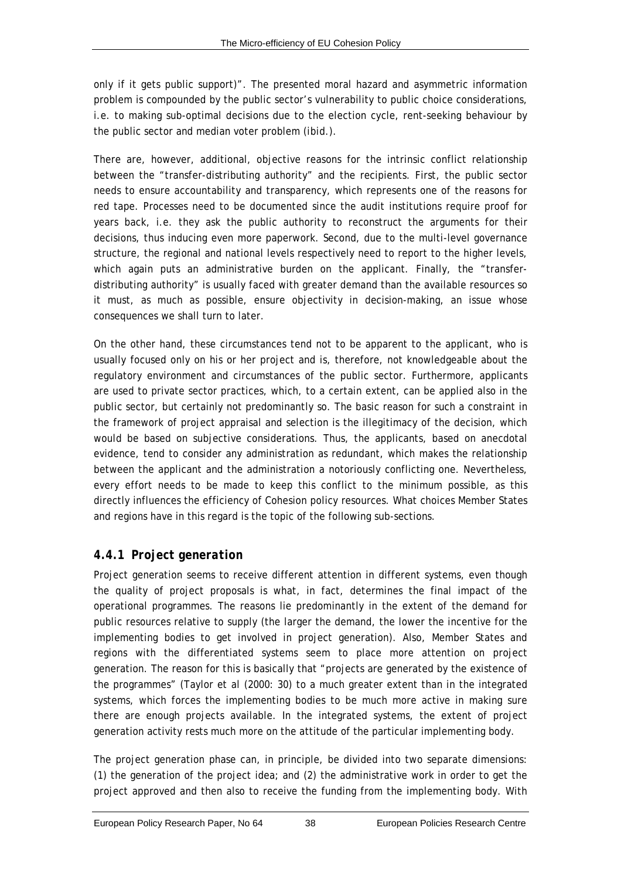only if it gets public support)". The presented moral hazard and asymmetric information problem is compounded by the public sector's vulnerability to public choice considerations, i.e. to making sub-optimal decisions due to the election cycle, rent-seeking behaviour by the public sector and median voter problem (*ibid*.).

There are, however, additional, objective reasons for the intrinsic conflict relationship between the "transfer-distributing authority" and the recipients. First, the public sector needs to ensure accountability and transparency, which represents one of the reasons for red tape. Processes need to be documented since the audit institutions require proof for years back, i.e. they ask the public authority to reconstruct the arguments for their decisions, thus inducing even more paperwork. Second, due to the multi-level governance structure, the regional and national levels respectively need to report to the higher levels, which again puts an administrative burden on the applicant. Finally, the "transferdistributing authority" is usually faced with greater demand than the available resources so it must, as much as possible, ensure objectivity in decision-making, an issue whose consequences we shall turn to later.

On the other hand, these circumstances tend not to be apparent to the applicant, who is usually focused only on his or her project and is, therefore, not knowledgeable about the regulatory environment and circumstances of the public sector. Furthermore, applicants are used to private sector practices, which, to a certain extent, can be applied also in the public sector, but certainly not predominantly so. The basic reason for such a constraint in the framework of project appraisal and selection is the illegitimacy of the decision, which would be based on subjective considerations. Thus, the applicants, based on anecdotal evidence, tend to consider any administration as redundant, which makes the relationship between the applicant and the administration a notoriously conflicting one. Nevertheless, every effort needs to be made to keep this conflict to the minimum possible, as this directly influences the efficiency of Cohesion policy resources. What choices Member States and regions have in this regard is the topic of the following sub-sections.

# *4.4.1 Project generation*

Project generation seems to receive different attention in different systems, even though the quality of project proposals is what, in fact, determines the final impact of the operational programmes. The reasons lie predominantly in the extent of the demand for public resources relative to supply (the larger the demand, the lower the incentive for the implementing bodies to get involved in project generation). Also, Member States and regions with the differentiated systems seem to place more attention on project generation. The reason for this is basically that "projects are generated by the existence of the programmes" (Taylor *et al* (2000: 30) to a much greater extent than in the integrated systems, which forces the implementing bodies to be much more active in making sure there are enough projects available. In the integrated systems, the extent of project generation activity rests much more on the attitude of the particular implementing body.

The project generation phase can, in principle, be divided into two separate dimensions: (1) the generation of the project idea; and (2) the administrative work in order to get the project approved and then also to receive the funding from the implementing body. With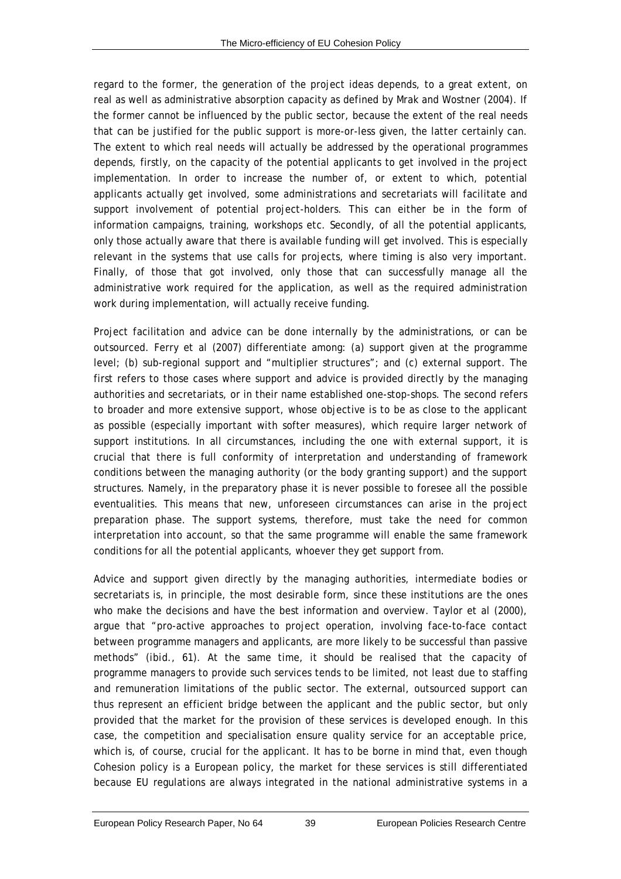regard to the former, the generation of the project ideas depends, to a great extent, on real as well as administrative absorption capacity as defined by Mrak and Wostner (2004). If the former cannot be influenced by the public sector, because the extent of the real needs that can be justified for the public support is more-or-less given, the latter certainly can. The extent to which real needs will actually be addressed by the operational programmes depends, firstly, on the capacity of the potential applicants to get involved in the project implementation. In order to increase the number of, *or* extent to which, potential applicants actually get involved, some administrations and secretariats will facilitate and support involvement of potential project-holders. This can either be in the form of information campaigns, training, workshops etc. Secondly, of all the potential applicants, only those actually aware that there is available funding will get involved. This is especially relevant in the systems that use calls for projects, where timing is also very important. Finally, of those that got involved, only those that can successfully manage all the administrative work required for the application, as well as the required administration work during implementation, will actually receive funding.

Project facilitation and advice can be done internally by the administrations, or can be outsourced. Ferry *et al* (2007) differentiate among: (a) support given at the programme level; (b) sub-regional support and "multiplier structures"; and (c) external support. The first refers to those cases where support and advice is provided directly by the managing authorities and secretariats, or in their name established one-stop-shops. The second refers to broader and more extensive support, whose objective is to be as close to the applicant as possible (especially important with softer measures), which require larger network of support institutions. In all circumstances, including the one with external support, it is crucial that there is full conformity of interpretation and understanding of framework conditions between the managing authority (or the body granting support) and the support structures. Namely, in the preparatory phase it is never possible to foresee all the possible eventualities. This means that new, unforeseen circumstances can arise in the project preparation phase. The support systems, therefore, must take the need for common interpretation into account, so that the same programme will enable the same framework conditions for all the potential applicants, whoever they get support from.

Advice and support given directly by the managing authorities, intermediate bodies or secretariats is, in principle, the most desirable form, since these institutions are the ones who make the decisions and have the best information and overview. Taylor *et al* (2000), argue that "pro-active approaches to project operation, involving face-to-face contact between programme managers and applicants, are more likely to be successful than passive methods" (*ibid*., 61). At the same time, it should be realised that the capacity of programme managers to provide such services tends to be limited, not least due to staffing and remuneration limitations of the public sector. The external, outsourced support can thus represent an efficient bridge between the applicant and the public sector, but only provided that the market for the provision of these services is developed enough. In this case, the competition and specialisation ensure quality service for an acceptable price, which is, of course, crucial for the applicant. It has to be borne in mind that, even though Cohesion policy is a European policy, the market for these services is still differentiated because EU regulations are always integrated in the national administrative systems in a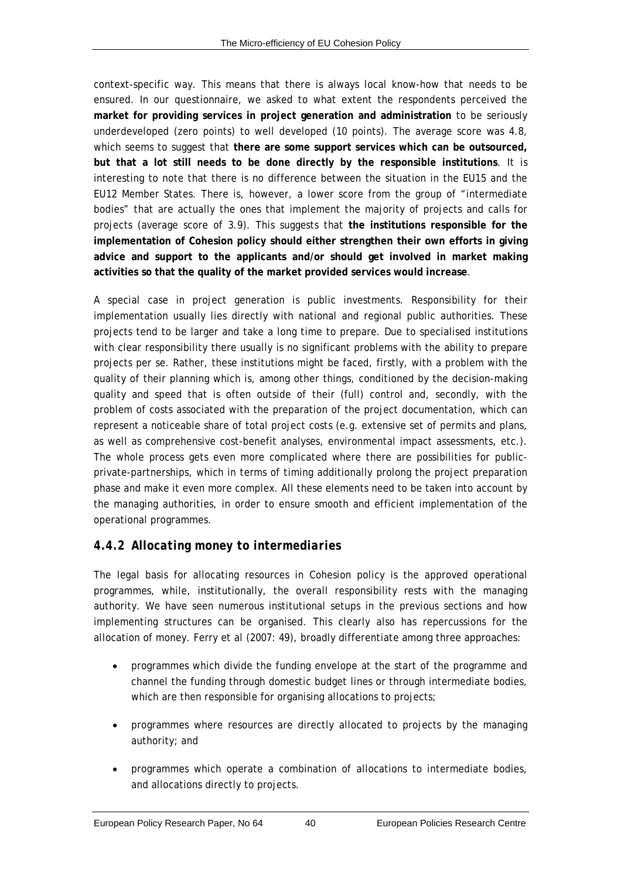context-specific way. This means that there is always local know-how that needs to be ensured. In our questionnaire, we asked to what extent the respondents perceived the **market for providing services in project generation and administration** to be seriously underdeveloped (zero points) to well developed (10 points). The average score was 4.8, which seems to suggest that **there are some support services which can be outsourced, but that a lot still needs to be done directly by the responsible institutions**. It is interesting to note that there is no difference between the situation in the EU15 and the EU12 Member States. There is, however, a lower score from the group of "intermediate bodies" that are actually the ones that implement the majority of projects and calls for projects (average score of 3.9). This suggests that **the institutions responsible for the implementation of Cohesion policy should either strengthen their own efforts in giving advice and support to the applicants and/or should get involved in market making activities so that the quality of the market provided services would increase**.

A special case in project generation is public investments. Responsibility for their implementation usually lies directly with national and regional public authorities. These projects tend to be larger and take a long time to prepare. Due to specialised institutions with clear responsibility there usually is no significant problems with the ability to prepare projects *per se*. Rather, these institutions might be faced, firstly, with a problem with the quality of their planning which is, among other things, conditioned by the decision-making quality and speed that is often outside of their (full) control and, secondly, with the problem of costs associated with the preparation of the project documentation, which can represent a noticeable share of total project costs (e.g. extensive set of permits and plans, as well as comprehensive cost-benefit analyses, environmental impact assessments, etc.). The whole process gets even more complicated where there are possibilities for publicprivate-partnerships, which in terms of timing additionally prolong the project preparation phase and make it even more complex. All these elements need to be taken into account by the managing authorities, in order to ensure smooth and efficient implementation of the operational programmes.

# *4.4.2 Allocating money to intermediaries*

The legal basis for allocating resources in Cohesion policy is the approved operational programmes, while, institutionally, the overall responsibility rests with the managing authority. We have seen numerous institutional setups in the previous sections and how implementing structures can be organised. This clearly also has repercussions for the allocation of money. Ferry *et al* (2007: 49), broadly differentiate among three approaches:

- programmes which divide the funding envelope at the start of the programme and channel the funding through domestic budget lines or through intermediate bodies, which are then responsible for organising allocations to projects;
- programmes where resources are directly allocated to projects by the managing authority; and
- programmes which operate a combination of allocations to intermediate bodies, and allocations directly to projects.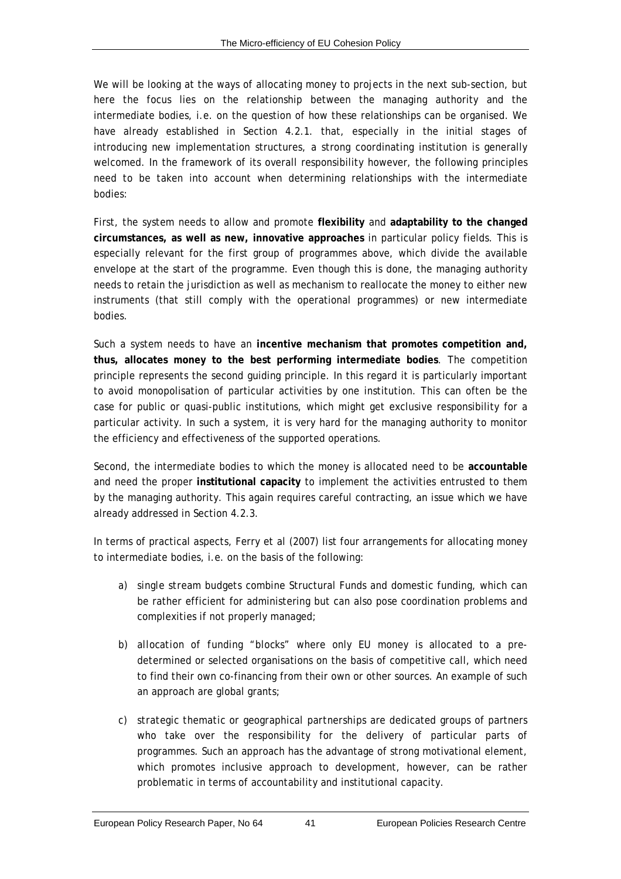We will be looking at the ways of allocating money to projects in the next sub-section, but here the focus lies on the relationship between the managing authority and the intermediate bodies, i.e. on the question of how these relationships can be organised. We have already established in Section [4.2.1.](#page-34-0) that, especially in the initial stages of introducing new implementation structures, a strong coordinating institution is generally welcomed. In the framework of its overall responsibility however, the following principles need to be taken into account when determining relationships with the intermediate bodies:

First, the system needs to allow and promote **flexibility** and **adaptability to the changed circumstances, as well as new, innovative approaches** in particular policy fields. This is especially relevant for the first group of programmes above, which divide the available envelope at the start of the programme. Even though this is done, the managing authority needs to retain the jurisdiction as well as mechanism to reallocate the money to either new instruments (that still comply with the operational programmes) or new intermediate bodies.

Such a system needs to have an **incentive mechanism that promotes competition and, thus, allocates money to the best performing intermediate bodies**. The competition principle represents the second guiding principle. In this regard it is particularly important to avoid monopolisation of particular activities by one institution. This can often be the case for public or quasi-public institutions, which might get exclusive responsibility for a particular activity. In such a system, it is very hard for the managing authority to monitor the efficiency and effectiveness of the supported operations.

Second, the intermediate bodies to which the money is allocated need to be **accountable** and need the proper **institutional capacity** to implement the activities entrusted to them by the managing authority. This again requires careful contracting, an issue which we have already addressed in Section [4.2.3](#page-37-0).

In terms of practical aspects, Ferry *et al* (2007) list four arrangements for allocating money to intermediate bodies, i.e. on the basis of the following:

- a) *single stream budgets* combine Structural Funds and domestic funding, which can be rather efficient for administering but can also pose coordination problems and complexities if not properly managed;
- b) *allocation of funding "blocks"* where only EU money is allocated to a predetermined or selected organisations on the basis of competitive call, which need to find their own co-financing from their own or other sources. An example of such an approach are global grants;
- c) *strategic thematic or geographical partnerships* are dedicated groups of partners who take over the responsibility for the delivery of particular parts of programmes. Such an approach has the advantage of strong motivational element, which promotes inclusive approach to development, however, can be rather problematic in terms of accountability and institutional capacity.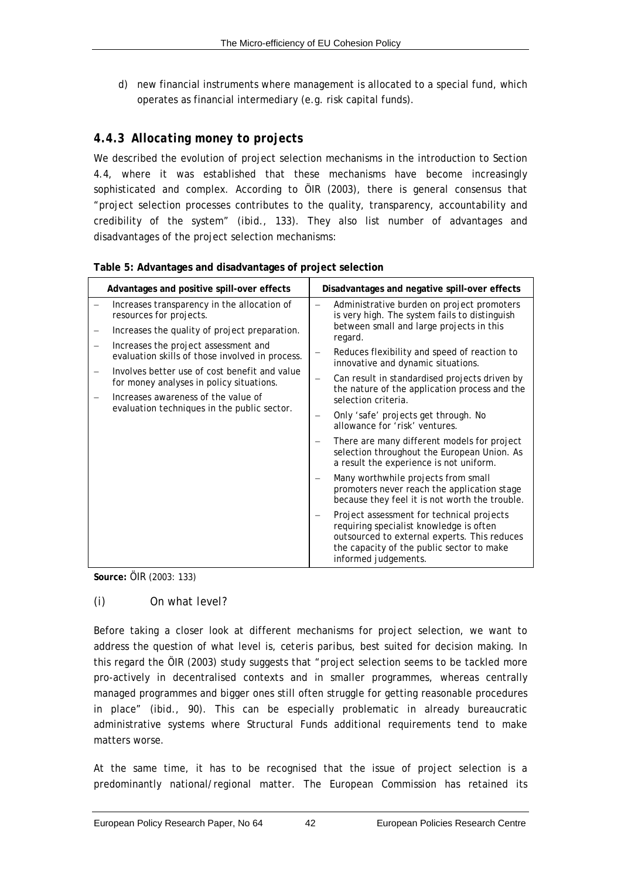d) new financial instruments where management is allocated to a special fund, which operates as financial intermediary (e.g. risk capital funds).

# *4.4.3 Allocating money to projects*

We described the evolution of project selection mechanisms in the introduction to Section [4.4](#page-46-0), where it was established that these mechanisms have become increasingly sophisticated and complex. According to ÖIR (2003), there is general consensus that "project selection processes contributes to the quality, transparency, accountability and credibility of the system" (*ibid*., 133). They also list number of advantages and disadvantages of the project selection mechanisms:

| Advantages and positive spill-over effects                                                | Disadvantages and negative spill-over effects                                                                                                                                                             |
|-------------------------------------------------------------------------------------------|-----------------------------------------------------------------------------------------------------------------------------------------------------------------------------------------------------------|
| Increases transparency in the allocation of<br>resources for projects.                    | Administrative burden on project promoters<br>is very high. The system fails to distinguish<br>between small and large projects in this                                                                   |
| Increases the quality of project preparation.<br>Increases the project assessment and     | regard.                                                                                                                                                                                                   |
| evaluation skills of those involved in process.                                           | Reduces flexibility and speed of reaction to<br>innovative and dynamic situations.                                                                                                                        |
| Involves better use of cost benefit and value<br>for money analyses in policy situations. | Can result in standardised projects driven by<br>$\qquad \qquad -$<br>the nature of the application process and the                                                                                       |
| Increases awareness of the value of<br>evaluation techniques in the public sector.        | selection criteria.                                                                                                                                                                                       |
|                                                                                           | Only 'safe' projects get through. No<br>allowance for 'risk' ventures.                                                                                                                                    |
|                                                                                           | There are many different models for project<br>selection throughout the European Union. As<br>a result the experience is not uniform.                                                                     |
|                                                                                           | Many worthwhile projects from small<br>promoters never reach the application stage<br>because they feel it is not worth the trouble.                                                                      |
|                                                                                           | Project assessment for technical projects<br>requiring specialist knowledge is often<br>outsourced to external experts. This reduces<br>the capacity of the public sector to make<br>informed judgements. |

|  | Table 5: Advantages and disadvantages of project selection |  |
|--|------------------------------------------------------------|--|
|  |                                                            |  |

**Source:** ÖIR (2003: 133)

#### <span id="page-51-0"></span>*(i) On what level?*

Before taking a closer look at different mechanisms for project selection, we want to address the question of what level is, *ceteris paribus*, best suited for decision making. In this regard the ÖIR (2003) study suggests that "project selection seems to be tackled more pro-actively in decentralised contexts and in smaller programmes, whereas centrally managed programmes and bigger ones still often struggle for getting reasonable procedures in place" (i*bid*., 90). This can be especially problematic in already bureaucratic administrative systems where Structural Funds additional requirements tend to make matters worse.

At the same time, it has to be recognised that the issue of project selection is a predominantly national/regional matter. The European Commission has retained its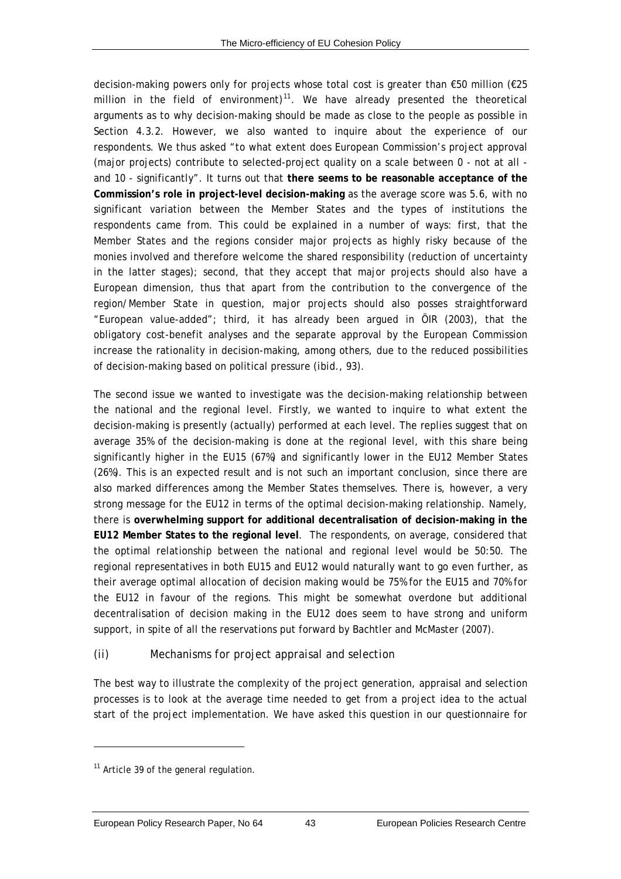<span id="page-52-0"></span>decision-making powers only for projects whose total cost is greater than €50 million (€25 million in the field of environment)<sup>[11](#page-52-0)</sup>. We have already presented the theoretical arguments as to why decision-making should be made as close to the people as possible in Section [4.3.2.](#page-41-0) However, we also wanted to inquire about the experience of our respondents. We thus asked "to what extent does European Commission's project approval (major projects) contribute to selected-project quality on a scale between 0 - not at all and 10 - significantly". It turns out that **there seems to be reasonable acceptance of the Commission's role in project-level decision-making** as the average score was 5.6, with no significant variation between the Member States and the types of institutions the respondents came from. This could be explained in a number of ways: first, that the Member States and the regions consider major projects as highly risky because of the monies involved and therefore welcome the shared responsibility (reduction of uncertainty in the latter stages); second, that they accept that major projects should also have a European dimension, thus that apart from the contribution to the convergence of the region/Member State in question, major projects should also posses straightforward "European value-added"; third, it has already been argued in ÖIR (2003), that the obligatory cost-benefit analyses and the separate approval by the European Commission increase the rationality in decision-making, among others, due to the reduced possibilities of decision-making based on political pressure (*ibid*., 93).

The second issue we wanted to investigate was the decision-making relationship between the national and the regional level. Firstly, we wanted to inquire to what extent the decision-making is presently (actually) performed at each level. The replies suggest that on average 35% of the decision-making is done at the regional level, with this share being significantly higher in the EU15 (67%) and significantly lower in the EU12 Member States (26%). This is an expected result and is not such an important conclusion, since there are also marked differences among the Member States themselves. There is, however, a very strong message for the EU12 in terms of the optimal decision-making relationship. Namely, there is **overwhelming support for additional decentralisation of decision-making in the EU12 Member States to the regional level**. The respondents, on average, considered that the optimal relationship between the national and regional level would be 50:50. The regional representatives in both EU15 and EU12 would naturally want to go even further, as their average optimal allocation of decision making would be 75% for the EU15 and 70% for the EU12 in favour of the regions. This might be somewhat overdone but additional decentralisation of decision making in the EU12 does seem to have strong and uniform support, in spite of all the reservations put forward by Bachtler and McMaster (2007).

#### *(ii) Mechanisms for project appraisal and selection*

The best way to illustrate the complexity of the project generation, appraisal and selection processes is to look at the average time needed to get from a project idea to the actual start of the project implementation. We have asked this question in our questionnaire for

l

 $11$  Article 39 of the general regulation.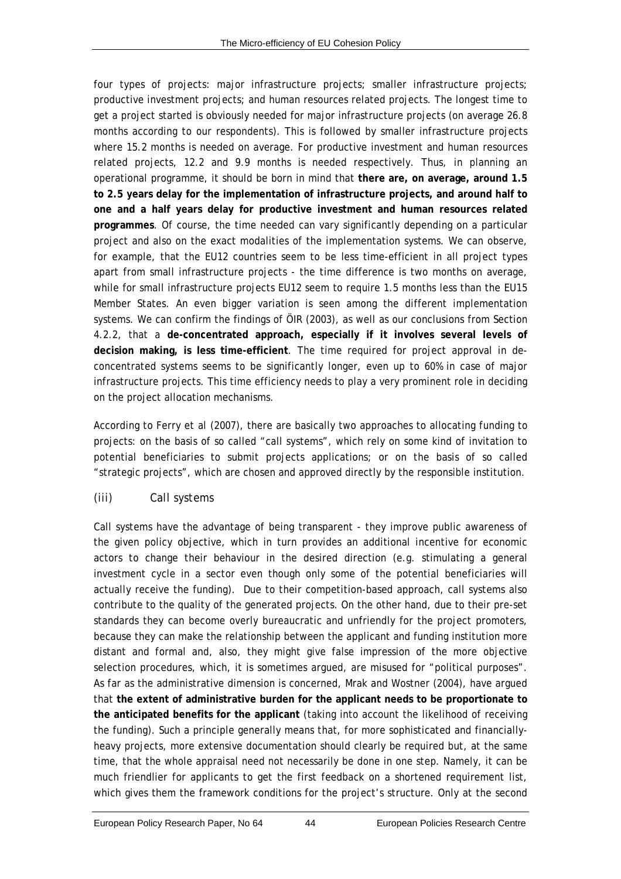four types of projects: major infrastructure projects; smaller infrastructure projects; productive investment projects; and human resources related projects. The longest time to get a project started is obviously needed for major infrastructure projects (on average 26.8 months according to our respondents). This is followed by smaller infrastructure projects where 15.2 months is needed on average. For productive investment and human resources related projects, 12.2 and 9.9 months is needed respectively. Thus, in planning an operational programme, it should be born in mind that **there are, on average, around 1.5 to 2.5 years delay for the implementation of infrastructure projects, and around half to one and a half years delay for productive investment and human resources related programmes**. Of course, the time needed can vary significantly depending on a particular project and also on the exact modalities of the implementation systems. We can observe, for example, that the EU12 countries seem to be less time-efficient in all project types apart from small infrastructure projects - the time difference is two months on average, while for small infrastructure projects EU12 seem to require 1.5 months less than the EU15 Member States. An even bigger variation is seen among the different implementation systems. We can confirm the findings of ÖIR (2003), as well as our conclusions from Section [4.2.2,](#page-36-0) that a **de-concentrated approach, especially if it involves several levels of decision making, is less time-efficient**. The time required for project approval in deconcentrated systems seems to be significantly longer, even up to 60% in case of major infrastructure projects. This time efficiency needs to play a very prominent role in deciding on the project allocation mechanisms.

According to Ferry *et al* (2007), there are basically two approaches to allocating funding to projects: on the basis of so called "call systems", which rely on some kind of invitation to potential beneficiaries to submit projects applications; or on the basis of so called "strategic projects", which are chosen and approved directly by the responsible institution.

#### <span id="page-53-0"></span>*(iii) Call systems*

Call systems have the advantage of being transparent - they improve public awareness of the given policy objective, which in turn provides an additional incentive for economic actors to change their behaviour in the desired direction (e.g. stimulating a general investment cycle in a sector even though only some of the potential beneficiaries will actually receive the funding). Due to their competition-based approach, call systems also contribute to the quality of the generated projects. On the other hand, due to their pre-set standards they can become overly bureaucratic and unfriendly for the project promoters, because they can make the relationship between the applicant and funding institution more distant and formal and, also, they might give false impression of the more objective selection procedures, which, it is sometimes argued, are misused for "political purposes". As far as the administrative dimension is concerned, Mrak and Wostner (2004), have argued that **the extent of administrative burden for the applicant needs to be proportionate to the anticipated benefits for the applicant** (taking into account the likelihood of receiving the funding). Such a principle generally means that, for more sophisticated and financiallyheavy projects, more extensive documentation should clearly be required but, at the same time, that the whole appraisal need not necessarily be done in one step. Namely, it can be much friendlier for applicants to get the first feedback on a shortened requirement list, which gives them the framework conditions for the project's structure. Only at the second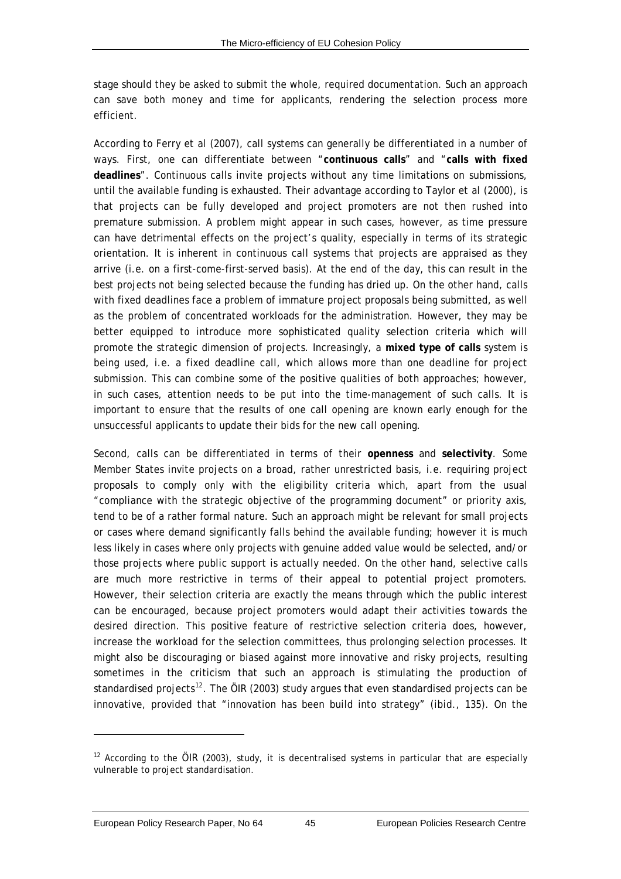<span id="page-54-0"></span>stage should they be asked to submit the whole, required documentation. Such an approach can save both money and time for applicants, rendering the selection process more efficient.

According to Ferry *et al* (2007), call systems can generally be differentiated in a number of ways. First, one can differentiate between "**continuous calls**" and "**calls with fixed deadlines**". Continuous calls invite projects without any time limitations on submissions, until the available funding is exhausted. Their advantage according to Taylor *et al* (2000), is that projects can be fully developed and project promoters are not then rushed into premature submission. A problem might appear in such cases, however, as time pressure can have detrimental effects on the project's quality, especially in terms of its strategic orientation. It is inherent in continuous call systems that projects are appraised as they arrive (i.e. on a first-come-first-served basis). At the end of the day, this can result in the best projects not being selected because the funding has dried up. On the other hand, calls with fixed deadlines face a problem of immature project proposals being submitted, as well as the problem of concentrated workloads for the administration. However, they may be better equipped to introduce more sophisticated quality selection criteria which will promote the strategic dimension of projects. Increasingly, a **mixed type of calls** system is being used, i.e. a fixed deadline call, which allows more than one deadline for project submission. This can combine some of the positive qualities of both approaches; however, in such cases, attention needs to be put into the time-management of such calls. It is important to ensure that the results of one call opening are known early enough for the unsuccessful applicants to update their bids for the new call opening.

Second, calls can be differentiated in terms of their **openness** and **selectivity**. Some Member States invite projects on a broad, rather unrestricted basis, i.e. requiring project proposals to comply only with the eligibility criteria which, apart from the usual "compliance with the strategic objective of the programming document" or priority axis, tend to be of a rather formal nature. Such an approach might be relevant for small projects or cases where demand significantly falls behind the available funding; however it is much less likely in cases where only projects with genuine added value would be selected, and/or those projects where public support is actually needed. On the other hand, selective calls are much more restrictive in terms of their appeal to potential project promoters. However, their selection criteria are exactly the means through which the public interest can be encouraged, because project promoters would adapt their activities towards the desired direction. This positive feature of restrictive selection criteria does, however, increase the workload for the selection committees, thus prolonging selection processes. It might also be discouraging or biased against more innovative and risky projects, resulting sometimes in the criticism that such an approach is stimulating the production of standardised projects<sup>[12](#page-54-0)</sup>. The ÖIR (2003) study argues that even standardised projects can be innovative, provided that "innovation has been build into strategy" (*ibid*., 135). On the

l

 $12$  According to the ÖIR (2003), study, it is decentralised systems in particular that are especially vulnerable to project standardisation.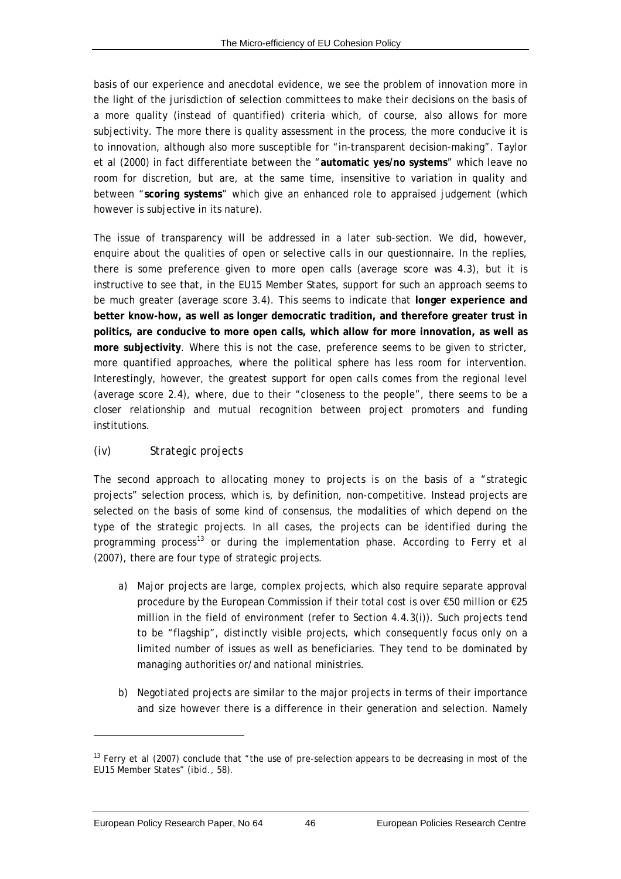<span id="page-55-0"></span>basis of our experience and anecdotal evidence, we see the problem of innovation more in the light of the jurisdiction of selection committees to make their decisions on the basis of a more quality (instead of quantified) criteria which, of course, also allows for more subjectivity. The more there is quality assessment in the process, the more conducive it is to innovation, although also more susceptible for "in-transparent decision-making". Taylor *et al* (2000) in fact differentiate between the "**automatic yes/no systems**" which leave no room for discretion, but are, at the same time, insensitive to variation in quality and between "**scoring systems**" which give an enhanced role to appraised judgement (which however is subjective in its nature).

The issue of transparency will be addressed in a later sub-section. We did, however, enquire about the qualities of open or selective calls in our questionnaire. In the replies, there is some preference given to more open calls (average score was 4.3), but it is instructive to see that, in the EU15 Member States, support for such an approach seems to be much greater (average score 3.4). This seems to indicate that **longer experience and better know-how, as well as longer democratic tradition, and therefore greater trust in politics, are conducive to more open calls, which allow for more innovation, as well as more subjectivity**. Where this is not the case, preference seems to be given to stricter, more quantified approaches, where the political sphere has less room for intervention. Interestingly, however, the greatest support for open calls comes from the regional level (average score 2.4), where, due to their "closeness to the people", there seems to be a closer relationship and mutual recognition between project promoters and funding institutions.

#### *(iv) Strategic projects*

The second approach to allocating money to projects is on the basis of a "strategic projects" selection process, which is, by definition, non-competitive. Instead projects are selected on the basis of some kind of consensus, the modalities of which depend on the type of the strategic projects. In all cases, the projects can be identified during the programming process[13](#page-55-0) or during the implementation phase. According to Ferry *et al* (2007), there are four type of strategic projects.

- a) *Major projects* are large, complex projects, which also require separate approval procedure by the European Commission if their total cost is over €50 million or €25 million in the field of environment (refer to Section 4.4.[3\(i\)](#page-51-0)). Such projects tend to be "flagship", distinctly visible projects, which consequently focus only on a limited number of issues as well as beneficiaries. They tend to be dominated by managing authorities or/and national ministries.
- b) *Negotiated projects* are similar to the major projects in terms of their importance and size however there is a difference in their generation and selection. Namely

 $\overline{a}$ 

<sup>13</sup> Ferry *et al* (2007) conclude that "the use of pre-selection appears to be decreasing in most of the EU15 Member States" (*ibid*., 58).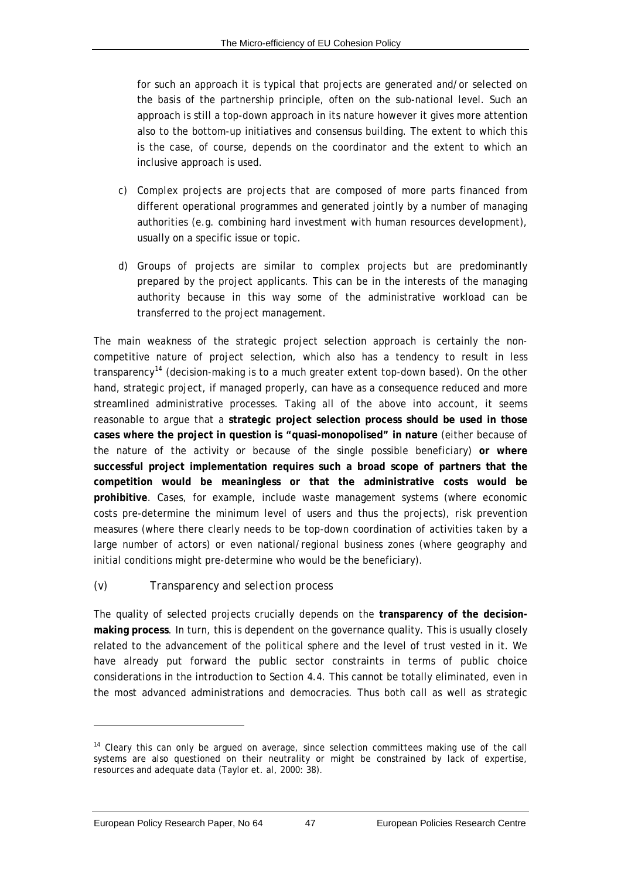<span id="page-56-0"></span>for such an approach it is typical that projects are generated and/or selected on the basis of the partnership principle, often on the sub-national level. Such an approach is still a top-down approach in its nature however it gives more attention also to the bottom-up initiatives and consensus building. The extent to which this is the case, of course, depends on the coordinator and the extent to which an inclusive approach is used.

- c) *Complex projects* are projects that are composed of more parts financed from different operational programmes and generated jointly by a number of managing authorities (e.g. combining hard investment with human resources development), usually on a specific issue or topic.
- d) *Groups of projects* are similar to complex projects but are predominantly prepared by the project applicants. This can be in the interests of the managing authority because in this way some of the administrative workload can be transferred to the project management.

The main weakness of the strategic project selection approach is certainly the noncompetitive nature of project selection, which also has a tendency to result in less transparency[14](#page-56-0) (decision-making is to a much greater extent top-down based). On the other hand, strategic project, if managed properly, can have as a consequence reduced and more streamlined administrative processes. Taking all of the above into account, it seems reasonable to argue that a **strategic project selection process should be used in those cases where the project in question is "quasi-monopolised" in nature** (either because of the nature of the activity or because of the single possible beneficiary) **or where successful project implementation requires such a broad scope of partners that the competition would be meaningless or that the administrative costs would be prohibitive**. Cases, for example, include waste management systems (where economic costs pre-determine the minimum level of users and thus the projects), risk prevention measures (where there clearly needs to be top-down coordination of activities taken by a large number of actors) or even national/regional business zones (where geography and initial conditions might pre-determine who would be the beneficiary).

#### *(v) Transparency and selection process*

The quality of selected projects crucially depends on the **transparency of the decisionmaking process**. In turn, this is dependent on the governance quality. This is usually closely related to the advancement of the political sphere and the level of trust vested in it. We have already put forward the public sector constraints in terms of public choice considerations in the introduction to Section [4.4.](#page-46-0) This cannot be totally eliminated, even in the most advanced administrations and democracies. Thus both call as well as strategic

 $\overline{a}$ 

<sup>&</sup>lt;sup>14</sup> Cleary this can only be argued on average, since selection committees making use of the call systems are also questioned on their neutrality or might be constrained by lack of expertise, resources and adequate data (Taylor et. al, 2000: 38).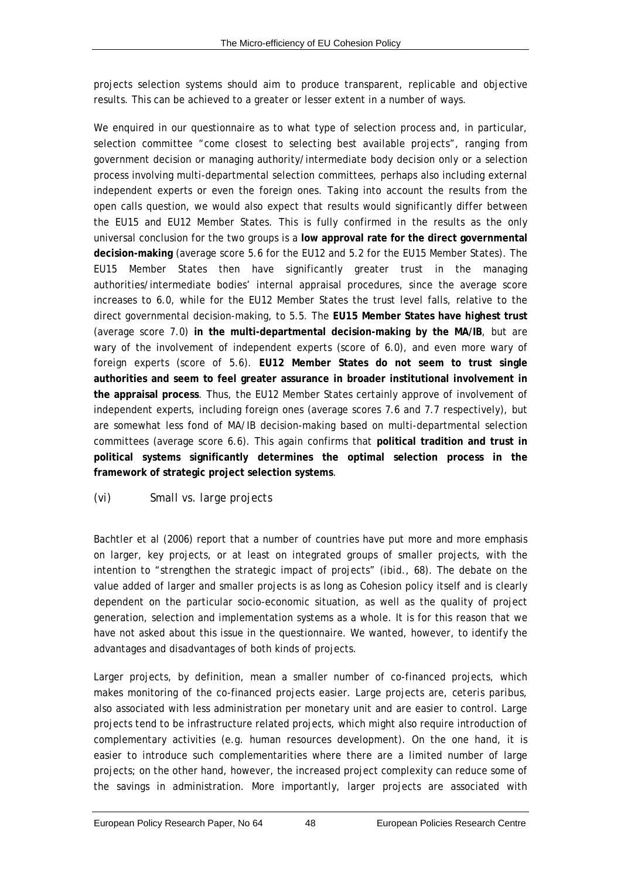projects selection systems should aim to produce transparent, replicable and objective results. This can be achieved to a greater or lesser extent in a number of ways.

We enquired in our questionnaire as to what type of selection process and, in particular, selection committee "come closest to selecting best available projects", ranging from government decision or managing authority/intermediate body decision only or a selection process involving multi-departmental selection committees, perhaps also including external independent experts or even the foreign ones. Taking into account the results from the open calls question, we would also expect that results would significantly differ between the EU15 and EU12 Member States. This is fully confirmed in the results as the only universal conclusion for the two groups is a **low approval rate for the direct governmental decision-making** (average score 5.6 for the EU12 and 5.2 for the EU15 Member States). The EU15 Member States then have significantly greater trust in the managing authorities/intermediate bodies' internal appraisal procedures, since the average score increases to 6.0, while for the EU12 Member States the trust level falls, relative to the direct governmental decision-making, to 5.5. The **EU15 Member States have highest trust** (average score 7.0) **in the multi-departmental decision-making by the MA/IB**, but are wary of the involvement of independent experts (score of 6.0), and even more wary of foreign experts (score of 5.6). **EU12 Member States do not seem to trust single authorities and seem to feel greater assurance in broader institutional involvement in the appraisal process**. Thus, the EU12 Member States certainly approve of involvement of independent experts, including foreign ones (average scores 7.6 and 7.7 respectively), but are somewhat less fond of MA/IB decision-making based on multi-departmental selection committees (average score 6.6). This again confirms that **political tradition and trust in political systems significantly determines the optimal selection process in the framework of strategic project selection systems**.

#### <span id="page-57-0"></span>*(vi) Small vs. large projects*

Bachtler *et al* (2006) report that a number of countries have put more and more emphasis on larger, key projects, or at least on integrated groups of smaller projects, with the intention to "strengthen the strategic impact of projects" (*ibid.,* 68). The debate on the value added of larger and smaller projects is as long as Cohesion policy itself and is clearly dependent on the particular socio-economic situation, as well as the quality of project generation, selection and implementation systems as a whole. It is for this reason that we have not asked about this issue in the questionnaire. We wanted, however, to identify the advantages and disadvantages of both kinds of projects.

Larger projects, by definition, mean a smaller number of co-financed projects, which makes monitoring of the co-financed projects easier. Large projects are, *ceteris paribus*, also associated with less administration per monetary unit and are easier to control. Large projects tend to be infrastructure related projects, which might also require introduction of complementary activities (e.g. human resources development). On the one hand, it is easier to introduce such complementarities where there are a limited number of large projects; on the other hand, however, the increased project complexity can reduce some of the savings in administration. More importantly, larger projects are associated with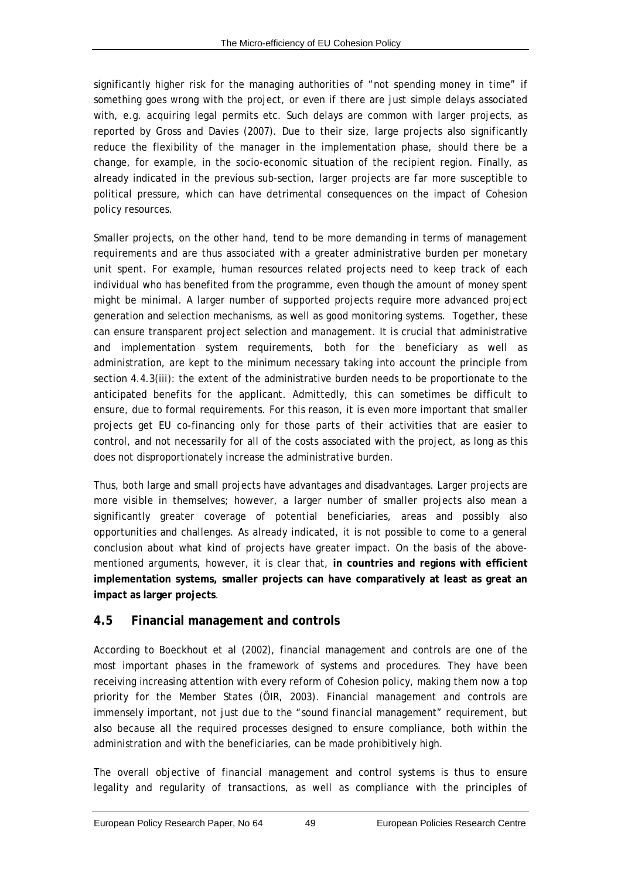significantly higher risk for the managing authorities of "not spending money in time" if something goes wrong with the project, or even if there are just simple delays associated with, e.g. acquiring legal permits etc. Such delays are common with larger projects, as reported by Gross and Davies (2007). Due to their size, large projects also significantly reduce the flexibility of the manager in the implementation phase, should there be a change, for example, in the socio-economic situation of the recipient region. Finally, as already indicated in the previous sub-section, larger projects are far more susceptible to political pressure, which can have detrimental consequences on the impact of Cohesion policy resources.

Smaller projects, on the other hand, tend to be more demanding in terms of management requirements and are thus associated with a greater administrative burden per monetary unit spent. For example, human resources related projects need to keep track of each individual who has benefited from the programme, even though the amount of money spent might be minimal. A larger number of supported projects require more advanced project generation and selection mechanisms, as well as good monitoring systems. Together, these can ensure transparent project selection and management. It is crucial that administrative and implementation system requirements, both for the beneficiary as well as administration, are kept to the minimum necessary taking into account the principle from section 4.4.[3\(iii\)](#page-53-0): the extent of the administrative burden needs to be proportionate to the anticipated benefits for the applicant. Admittedly, this can sometimes be difficult to ensure, due to formal requirements. For this reason, it is even more important that smaller projects get EU co-financing only for those parts of their activities that are easier to control, and not necessarily for all of the costs associated with the project, as long as this does not disproportionately increase the administrative burden.

Thus, both large and small projects have advantages and disadvantages. Larger projects are more visible in themselves; however, a larger number of smaller projects also mean a significantly greater coverage of potential beneficiaries, areas and possibly also opportunities and challenges. As already indicated, it is not possible to come to a general conclusion about what kind of projects have greater impact. On the basis of the abovementioned arguments, however, it is clear that, **in countries and regions with efficient implementation systems, smaller projects can have comparatively at least as great an impact as larger projects**.

# **4.5 Financial management and controls**

According to Boeckhout *et al* (2002), financial management and controls are one of the most important phases in the framework of systems and procedures. They have been receiving increasing attention with every reform of Cohesion policy, making them now a top priority for the Member States (ÖIR, 2003). Financial management and controls are immensely important, not just due to the "sound financial management" requirement, but also because all the required processes designed to ensure compliance, both within the administration and with the beneficiaries, can be made prohibitively high.

The overall objective of financial management and control systems is thus to ensure legality and regularity of transactions, as well as compliance with the principles of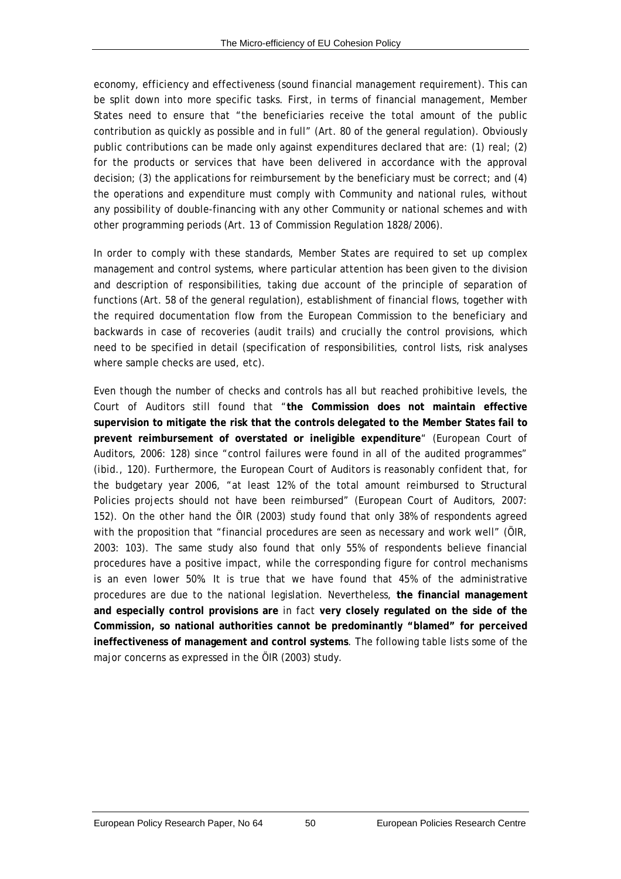economy, efficiency and effectiveness (sound financial management requirement). This can be split down into more specific tasks. First, in terms of financial management, Member States need to ensure that "the beneficiaries receive the total amount of the public contribution as quickly as possible and in full" (Art. 80 of the general regulation). Obviously public contributions can be made only against expenditures declared that are: (1) real; (2) for the products or services that have been delivered in accordance with the approval decision; (3) the applications for reimbursement by the beneficiary must be correct; and (4) the operations and expenditure must comply with Community and national rules, without any possibility of double-financing with any other Community or national schemes and with other programming periods (Art. 13 of Commission Regulation 1828/2006).

In order to comply with these standards, Member States are required to set up complex management and control systems, where particular attention has been given to the division and description of responsibilities, taking due account of the principle of separation of functions (Art. 58 of the general regulation), establishment of financial flows, together with the required documentation flow from the European Commission to the beneficiary and backwards in case of recoveries (audit trails) and crucially the control provisions, which need to be specified in detail (specification of responsibilities, control lists, risk analyses where sample checks are used, etc).

Even though the number of checks and controls has all but reached prohibitive levels, the Court of Auditors still found that "**the Commission does not maintain effective supervision to mitigate the risk that the controls delegated to the Member States fail to prevent reimbursement of overstated or ineligible expenditure**" (European Court of Auditors, 2006: 128) since "control failures were found in all of the audited programmes" (*ibid*., 120). Furthermore, the European Court of Auditors is reasonably confident that, for the budgetary year 2006, "at least 12% of the total amount reimbursed to Structural Policies projects should not have been reimbursed" (European Court of Auditors, 2007: 152). On the other hand the ÖIR (2003) study found that only 38% of respondents agreed with the proposition that "financial procedures are seen as necessary and work well" (ÖIR, 2003: 103). The same study also found that only 55% of respondents believe financial procedures have a positive impact, while the corresponding figure for control mechanisms is an even lower 50%. It is true that we have found that 45% of the administrative procedures are due to the national legislation. Nevertheless, **the financial management and especially control provisions are** in fact **very closely regulated on the side of the Commission, so national authorities cannot be predominantly "blamed" for perceived ineffectiveness of management and control systems**. The following table lists some of the major concerns as expressed in the ÖIR (2003) study.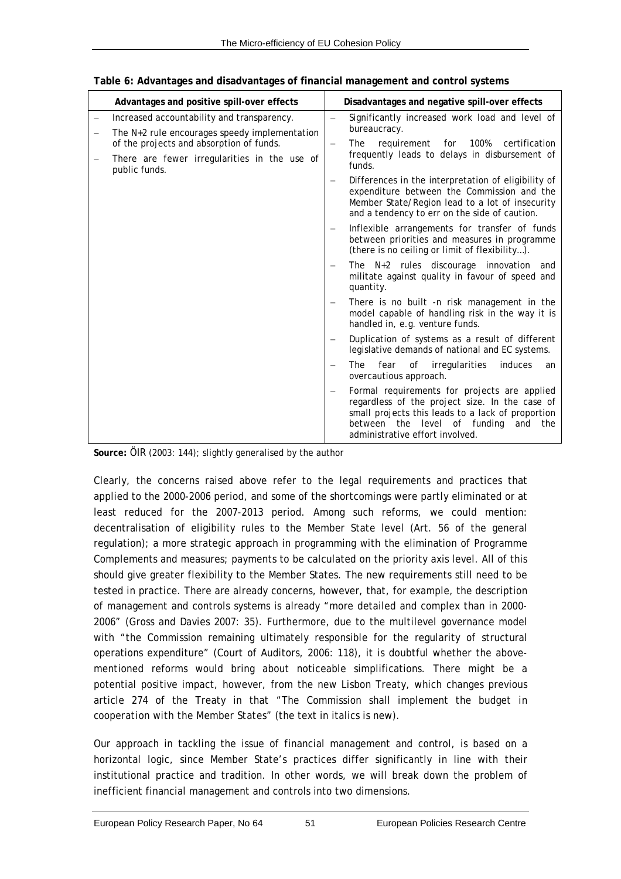| Advantages and positive spill-over effects                    |                                                                                                               | Disadvantages and negative spill-over effects                                                                                                                                                                                              |  |
|---------------------------------------------------------------|---------------------------------------------------------------------------------------------------------------|--------------------------------------------------------------------------------------------------------------------------------------------------------------------------------------------------------------------------------------------|--|
| Increased accountability and transparency.                    |                                                                                                               | Significantly increased work load and level of                                                                                                                                                                                             |  |
| The $N+2$ rule encourages speedy implementation               | bureaucracy.<br>requirement for 100%<br>certification<br>The<br>frequently leads to delays in disbursement of |                                                                                                                                                                                                                                            |  |
| of the projects and absorption of funds.                      |                                                                                                               |                                                                                                                                                                                                                                            |  |
| There are fewer irregularities in the use of<br>public funds. |                                                                                                               | funds.                                                                                                                                                                                                                                     |  |
|                                                               | $\overline{\phantom{m}}$                                                                                      | Differences in the interpretation of eligibility of<br>expenditure between the Commission and the<br>Member State/Region lead to a lot of insecurity<br>and a tendency to err on the side of caution.                                      |  |
|                                                               | $\overline{\phantom{m}}$                                                                                      | Inflexible arrangements for transfer of funds<br>between priorities and measures in programme<br>(there is no ceiling or limit of flexibility).                                                                                            |  |
|                                                               |                                                                                                               | The $N+2$ rules discourage innovation<br>and<br>militate against quality in favour of speed and<br>quantity.                                                                                                                               |  |
|                                                               | $\overline{\phantom{m}}$                                                                                      | There is no built -n risk management in the<br>model capable of handling risk in the way it is<br>handled in, e.g. venture funds.                                                                                                          |  |
|                                                               | $\qquad \qquad -$                                                                                             | Duplication of systems as a result of different<br>legislative demands of national and EC systems.                                                                                                                                         |  |
|                                                               | $\qquad \qquad -$                                                                                             | induces<br>fear<br>of<br>irregularities<br>The<br>an<br>overcautious approach.                                                                                                                                                             |  |
|                                                               | $\overline{\phantom{m}}$                                                                                      | Formal requirements for projects are applied<br>regardless of the project size. In the case of<br>small projects this leads to a lack of proportion<br>the<br>level of funding<br>between<br>and<br>the<br>administrative effort involved. |  |

**Table 6: Advantages and disadvantages of financial management and control systems** 

**Source:** ÖIR (2003: 144); slightly generalised by the author

Clearly, the concerns raised above refer to the legal requirements and practices that applied to the 2000-2006 period, and some of the shortcomings were partly eliminated or at least reduced for the 2007-2013 period. Among such reforms, we could mention: decentralisation of eligibility rules to the Member State level (Art. 56 of the general regulation); a more strategic approach in programming with the elimination of Programme Complements and measures; payments to be calculated on the priority axis level. All of this should give greater flexibility to the Member States. The new requirements still need to be tested in practice. There are already concerns, however, that, for example, the description of management and controls systems is already "more detailed and complex than in 2000- 2006" (Gross and Davies 2007: 35). Furthermore, due to the multilevel governance model with "the Commission remaining ultimately responsible for the regularity of structural operations expenditure" (Court of Auditors, 2006: 118), it is doubtful whether the abovementioned reforms would bring about noticeable simplifications. There might be a potential positive impact, however, from the new Lisbon Treaty, which changes previous article 274 of the Treaty in that "The Commission shall implement the budget *in cooperation with the Member States*" (the text in italics is new).

Our approach in tackling the issue of financial management and control, is based on a horizontal logic, since Member State's practices differ significantly in line with their institutional practice and tradition. In other words, we will break down the problem of inefficient financial management and controls into two dimensions.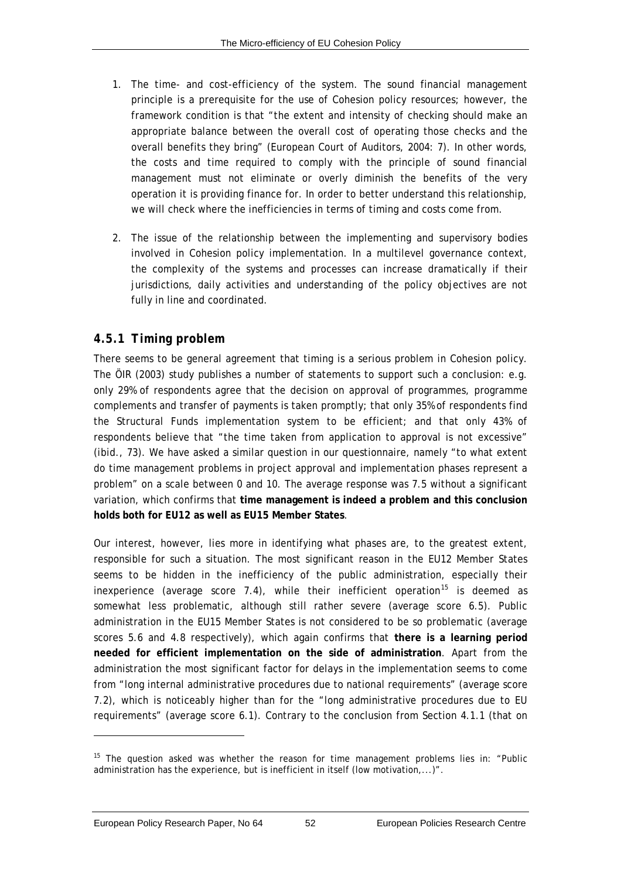- <span id="page-61-0"></span>1. The time- and cost-efficiency of the system. The sound financial management principle is a prerequisite for the use of Cohesion policy resources; however, the framework condition is that "the extent and intensity of checking should make an appropriate balance between the overall cost of operating those checks and the overall benefits they bring" (European Court of Auditors, 2004: 7). In other words, the costs and time required to comply with the principle of sound financial management must not eliminate or overly diminish the benefits of the very operation it is providing finance for. In order to better understand this relationship, we will check where the inefficiencies in terms of timing and costs come from.
- 2. The issue of the relationship between the implementing and supervisory bodies involved in Cohesion policy implementation. In a multilevel governance context, the complexity of the systems and processes can increase dramatically if their jurisdictions, daily activities and understanding of the policy objectives are not fully in line and coordinated.

# *4.5.1 Timing problem*

There seems to be general agreement that timing is a serious problem in Cohesion policy. The ÖIR (2003) study publishes a number of statements to support such a conclusion: e.g. only 29% of respondents agree that the decision on approval of programmes, programme complements and transfer of payments is taken promptly; that only 35% of respondents find the Structural Funds implementation system to be efficient; and that only 43% of respondents believe that "the time taken from application to approval is not excessive" (*ibid*., 73). We have asked a similar question in our questionnaire, namely "to what extent do time management problems in project approval and implementation phases represent a problem" on a scale between 0 and 10. The average response was 7.5 without a significant variation, which confirms that **time management is indeed a problem and this conclusion holds both for EU12 as well as EU15 Member States**.

Our interest, however, lies more in identifying what phases are, to the greatest extent, responsible for such a situation. The most significant reason in the EU12 Member States seems to be hidden in the inefficiency of the public administration, especially their inexperience (average score 7.4), while their inefficient operation<sup>[15](#page-61-0)</sup> is deemed as somewhat less problematic, although still rather severe (average score 6.5). Public administration in the EU15 Member States is not considered to be so problematic (average scores 5.6 and 4.8 respectively), which again confirms that **there is a learning period needed for efficient implementation on the side of administration**. Apart from the administration the most significant factor for delays in the implementation seems to come from "long internal administrative procedures due to national requirements" (average score 7.2), which is noticeably higher than for the "long administrative procedures due to EU requirements" (average score 6.1). Contrary to the conclusion from Section [4.1.1](#page-28-0) (that on

 $\overline{a}$ 

<sup>&</sup>lt;sup>15</sup> The question asked was whether the reason for time management problems lies in: "Public administration has the experience, but is inefficient in itself (low motivation,...)".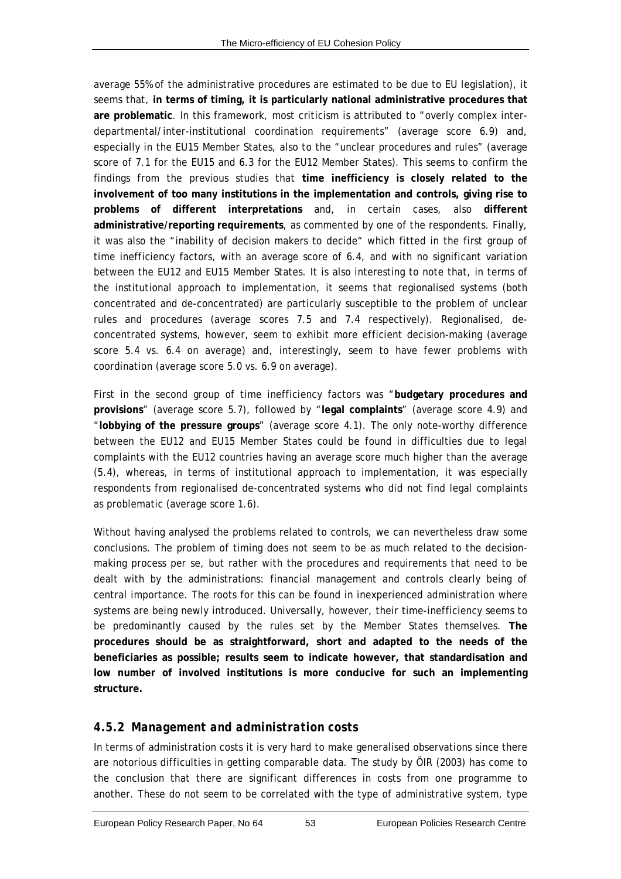average 55% of the administrative procedures are estimated to be due to EU legislation), it seems that, **in terms of timing, it is particularly national administrative procedures that are problematic**. In this framework, most criticism is attributed to "overly complex interdepartmental/inter-institutional coordination requirements" (average score 6.9) and, especially in the EU15 Member States, also to the "unclear procedures and rules" (average score of 7.1 for the EU15 and 6.3 for the EU12 Member States). This seems to confirm the findings from the previous studies that **time inefficiency is closely related to the involvement of too many institutions in the implementation and controls, giving rise to problems of different interpretations** and, in certain cases, also **different administrative/reporting requirements**, as commented by one of the respondents. Finally, it was also the "inability of decision makers to decide" which fitted in the first group of time inefficiency factors, with an average score of 6.4, and with no significant variation between the EU12 and EU15 Member States. It is also interesting to note that, in terms of the institutional approach to implementation, it seems that regionalised systems (both concentrated and de-concentrated) are particularly susceptible to the problem of unclear rules and procedures (average scores 7.5 and 7.4 respectively). Regionalised, deconcentrated systems, however, seem to exhibit more efficient decision-making (average score 5.4 vs. 6.4 on average) and, interestingly, seem to have fewer problems with coordination (average score 5.0 vs. 6.9 on average).

First in the second group of time inefficiency factors was "**budgetary procedures and provisions**" (average score 5.7), followed by "**legal complaints**" (average score 4.9) and "**lobbying of the pressure groups**" (average score 4.1). The only note-worthy difference between the EU12 and EU15 Member States could be found in difficulties due to legal complaints with the EU12 countries having an average score much higher than the average (5.4), whereas, in terms of institutional approach to implementation, it was especially respondents from regionalised de-concentrated systems who did not find legal complaints as problematic (average score 1.6).

Without having analysed the problems related to controls, we can nevertheless draw some conclusions. The problem of timing does not seem to be as much related to the decisionmaking process *per se*, but rather with the procedures and requirements that need to be dealt with by the administrations: financial management and controls clearly being of central importance. The roots for this can be found in inexperienced administration where systems are being newly introduced. Universally, however, their time-inefficiency seems to be predominantly caused by the rules set by the Member States themselves. **The procedures should be as straightforward, short and adapted to the needs of the beneficiaries as possible; results seem to indicate however, that standardisation and low number of involved institutions is more conducive for such an implementing structure.**

# *4.5.2 Management and administration costs*

In terms of administration costs it is very hard to make generalised observations since there are notorious difficulties in getting comparable data. The study by ÖIR (2003) has come to the conclusion that there are significant differences in costs from one programme to another. These do not seem to be correlated with the type of administrative system, type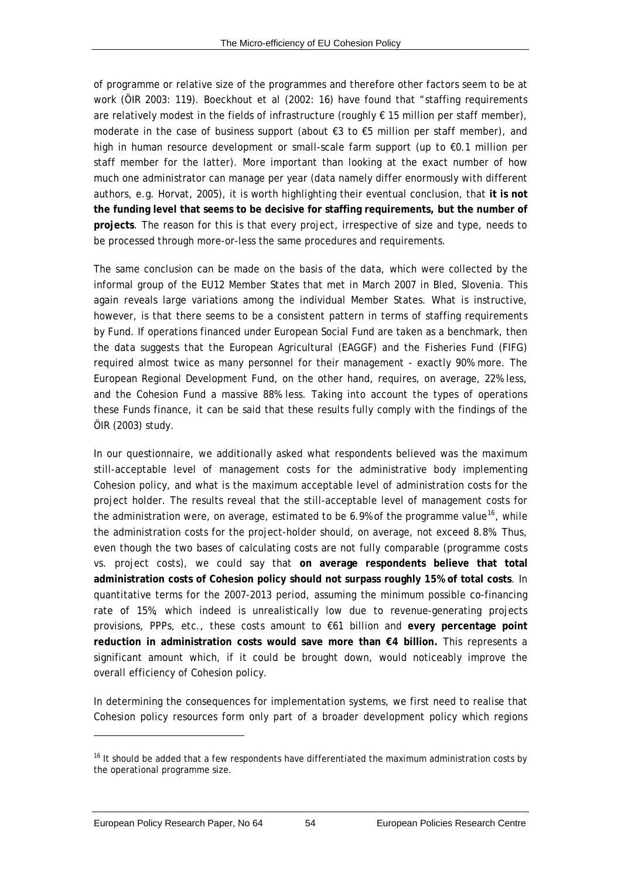<span id="page-63-0"></span>of programme or relative size of the programmes and therefore other factors seem to be at work (ÖIR 2003: 119). Boeckhout *et al* (2002: 16) have found that "staffing requirements are relatively modest in the fields of infrastructure (roughly  $\epsilon$  15 million per staff member), moderate in the case of business support (about €3 to €5 million per staff member), and high in human resource development or small-scale farm support (up to €0.1 million per staff member for the latter). More important than looking at the exact number of how much one administrator can manage per year (data namely differ enormously with different authors, e.g. Horvat, 2005), it is worth highlighting their eventual conclusion, that **it is not the funding level that seems to be decisive for staffing requirements, but the number of projects**. The reason for this is that every project, irrespective of size and type, needs to be processed through more-or-less the same procedures and requirements.

The same conclusion can be made on the basis of the data, which were collected by the informal group of the EU12 Member States that met in March 2007 in Bled, Slovenia. This again reveals large variations among the individual Member States. What is instructive, however, is that there seems to be a consistent pattern in terms of staffing requirements by Fund. If operations financed under European Social Fund are taken as a benchmark, then the data suggests that the European Agricultural (EAGGF) and the Fisheries Fund (FIFG) required almost twice as many personnel for their management - exactly 90% more. The European Regional Development Fund, on the other hand, requires, on average, 22% less, and the Cohesion Fund a massive 88% less. Taking into account the types of operations these Funds finance, it can be said that these results fully comply with the findings of the ÖIR (2003) study.

In our questionnaire, we additionally asked what respondents believed was the maximum still-acceptable level of management costs for the administrative body implementing Cohesion policy, and what is the maximum acceptable level of administration costs for the project holder. The results reveal that the still-acceptable level of management costs for the administration were, on average, estimated to be 6.9% of the programme value<sup>[16](#page-63-0)</sup>, while the administration costs for the project-holder should, on average, not exceed 8.8%. Thus, even though the two bases of calculating costs are not fully comparable (programme costs vs. project costs), we could say that **on average respondents believe that total administration costs of Cohesion policy should not surpass roughly 15% of total costs**. In quantitative terms for the 2007-2013 period, assuming the minimum possible co-financing rate of 15%, which indeed is unrealistically low due to revenue-generating projects provisions, PPPs, etc., these costs amount to €61 billion and **every percentage point reduction in administration costs would save more than €4 billion.** This represents a significant amount which, if it could be brought down, would noticeably improve the overall efficiency of Cohesion policy.

In determining the consequences for implementation systems, we first need to realise that Cohesion policy resources form only part of a broader development policy which regions

 $\overline{a}$ 

<sup>&</sup>lt;sup>16</sup> It should be added that a few respondents have differentiated the maximum administration costs by the operational programme size.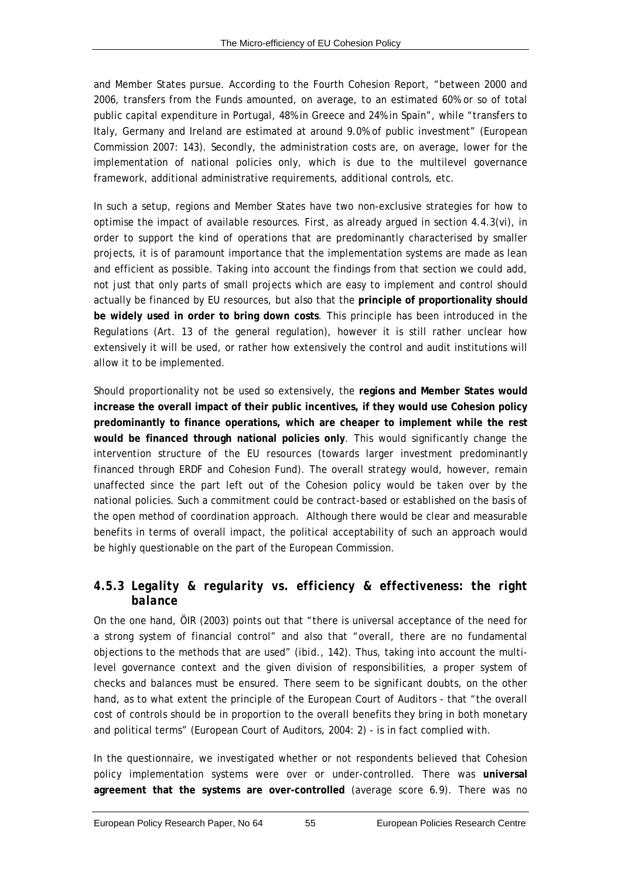and Member States pursue. According to the Fourth Cohesion Report, "between 2000 and 2006, transfers from the Funds amounted, on average, to an estimated 60% or so of total public capital expenditure in Portugal, 48% in Greece and 24% in Spain", while "transfers to Italy, Germany and Ireland are estimated at around 9.0% of public investment" (European Commission 2007: 143). Secondly, the administration costs are, on average, lower for the implementation of national policies only, which is due to the multilevel governance framework, additional administrative requirements, additional controls, etc.

In such a setup, regions and Member States have two non-exclusive strategies for how to optimise the impact of available resources. First, as already argued in section 4.4.3[\(vi\),](#page-57-0) in order to support the kind of operations that are predominantly characterised by smaller projects, it is of paramount importance that the implementation systems are made as lean and efficient as possible. Taking into account the findings from that section we could add, not just that only parts of small projects which are easy to implement and control should actually be financed by EU resources, but also that the **principle of proportionality should be widely used in order to bring down costs**. This principle has been introduced in the Regulations (Art. 13 of the general regulation), however it is still rather unclear how extensively it will be used, or rather how extensively the control and audit institutions will allow it to be implemented.

Should proportionality not be used so extensively, the **regions and Member States would increase the overall impact of their public incentives, if they would use Cohesion policy predominantly to finance operations, which are cheaper to implement while the rest would be financed through national policies only**. This would significantly change the intervention structure of the EU resources (towards larger investment predominantly financed through ERDF and Cohesion Fund). The overall strategy would, however, remain unaffected since the part left out of the Cohesion policy would be taken over by the national policies. Such a commitment could be contract-based or established on the basis of the open method of coordination approach. Although there would be clear and measurable benefits in terms of overall impact, the political acceptability of such an approach would be highly questionable on the part of the European Commission.

# *4.5.3 Legality & regularity vs. efficiency & effectiveness: the right balance*

On the one hand, ÖIR (2003) points out that "there is universal acceptance of the need for a strong system of financial control" and also that "overall, there are no fundamental objections to the methods that are used" (*ibid*., 142). Thus, taking into account the multilevel governance context and the given division of responsibilities, a proper system of checks and balances must be ensured. There seem to be significant doubts, on the other hand, as to what extent the principle of the European Court of Auditors - that "the overall cost of controls should be in proportion to the overall benefits they bring in both monetary and political terms" (European Court of Auditors, 2004: 2) - is in fact complied with.

In the questionnaire, we investigated whether or not respondents believed that Cohesion policy implementation systems were over or under-controlled. There was **universal agreement that the systems are over-controlled** (average score 6.9). There was no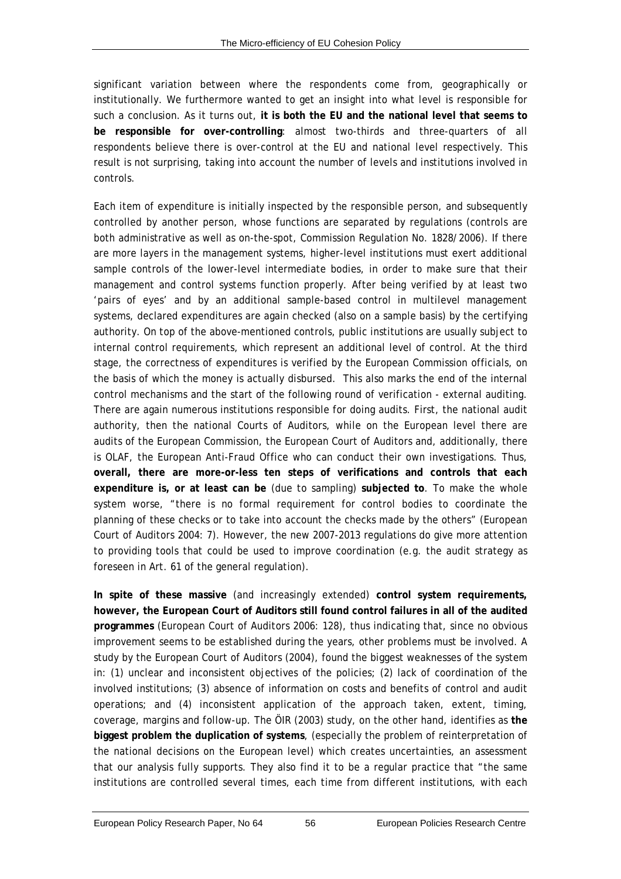significant variation between where the respondents come from, geographically or institutionally. We furthermore wanted to get an insight into what level is responsible for such a conclusion. As it turns out, **it is both the EU and the national level that seems to be responsible for over-controlling**: almost two-thirds and three-quarters of all respondents believe there is over-control at the EU and national level respectively. This result is not surprising, taking into account the number of levels and institutions involved in controls.

Each item of expenditure is initially inspected by the responsible person, and subsequently controlled by another person, whose functions are separated by regulations (controls are both administrative as well as on-the-spot, Commission Regulation No. 1828/2006). If there are more layers in the management systems, higher-level institutions must exert additional sample controls of the lower-level intermediate bodies, in order to make sure that their management and control systems function properly. After being verified by at least two 'pairs of eyes' and by an additional sample-based control in multilevel management systems, declared expenditures are again checked (also on a sample basis) by the certifying authority. On top of the above-mentioned controls, public institutions are usually subject to internal control requirements, which represent an additional level of control. At the third stage, the correctness of expenditures is verified by the European Commission officials, on the basis of which the money is actually disbursed. This also marks the end of the internal control mechanisms and the start of the following round of verification - external auditing. There are again numerous institutions responsible for doing audits. First, the national audit authority, then the national Courts of Auditors, while on the European level there are audits of the European Commission, the European Court of Auditors and, additionally, there is OLAF, the European Anti-Fraud Office who can conduct their own investigations. Thus, **overall, there are more-or-less ten steps of verifications and controls that each expenditure is, or at least can be** (due to sampling) **subjected to**. To make the whole system worse, "there is no formal requirement for control bodies to coordinate the planning of these checks or to take into account the checks made by the others" (European Court of Auditors 2004: 7). However, the new 2007-2013 regulations do give more attention to providing tools that could be used to improve coordination (e.g. the audit strategy as foreseen in Art. 61 of the general regulation).

**In spite of these massive** (and increasingly extended) **control system requirements, however, the European Court of Auditors still found control failures in all of the audited programmes** (European Court of Auditors 2006: 128), thus indicating that, since no obvious improvement seems to be established during the years, other problems must be involved. A study by the European Court of Auditors (2004), found the biggest weaknesses of the system in: (1) unclear and inconsistent objectives of the policies; (2) lack of coordination of the involved institutions; (3) absence of information on costs and benefits of control and audit operations; and (4) inconsistent application of the approach taken, extent, timing, coverage, margins and follow-up. The ÖIR (2003) study, on the other hand, identifies as **the biggest problem the duplication of systems**, (especially the problem of reinterpretation of the national decisions on the European level) which creates uncertainties, an assessment that our analysis fully supports. They also find it to be a regular practice that "the same institutions are controlled several times, each time from different institutions, with each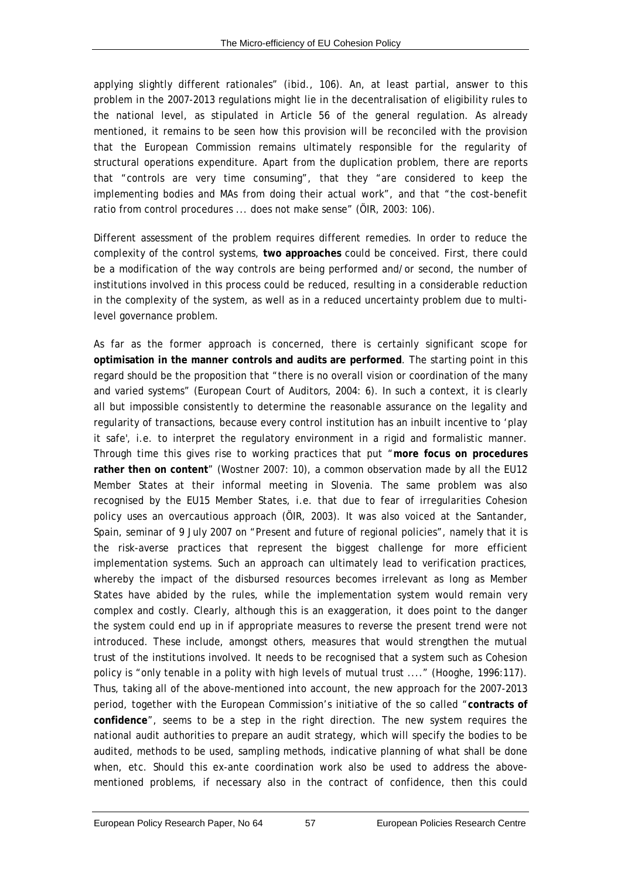applying slightly different rationales" (*ibid*., 106). An, at least partial, answer to this problem in the 2007-2013 regulations might lie in the decentralisation of eligibility rules to the national level, as stipulated in Article 56 of the general regulation. As already mentioned, it remains to be seen how this provision will be reconciled with the provision that the European Commission remains ultimately responsible for the regularity of structural operations expenditure. Apart from the duplication problem, there are reports that "controls are very time consuming", that they "are considered to keep the implementing bodies and MAs from doing their actual work", and that "the cost-benefit ratio from control procedures ... does not make sense" (ÖIR, 2003: 106).

Different assessment of the problem requires different remedies. In order to reduce the complexity of the control systems, **two approaches** could be conceived. First, there could be a modification of the way controls are being performed and/or second, the number of institutions involved in this process could be reduced, resulting in a considerable reduction in the complexity of the system, as well as in a reduced uncertainty problem due to multilevel governance problem.

As far as the former approach is concerned, there is certainly significant scope for **optimisation in the manner controls and audits are performed**. The starting point in this regard should be the proposition that "there is no overall vision or coordination of the many and varied systems" (European Court of Auditors, 2004: 6). In such a context, it is clearly all but impossible consistently to determine the *reasonable assurance* on the legality and regularity of transactions, because every control institution has an inbuilt incentive to 'play it safe', i.e. to interpret the regulatory environment in a rigid and formalistic manner. Through time this gives rise to working practices that put "**more focus on procedures rather then on content**" (Wostner 2007: 10), a common observation made by all the EU12 Member States at their informal meeting in Slovenia. The same problem was also recognised by the EU15 Member States, i.e. that due to fear of irregularities Cohesion policy uses an overcautious approach (ÖIR, 2003). It was also voiced at the Santander, Spain, seminar of 9 July 2007 on "Present and future of regional policies", namely that it is the risk-averse practices that represent the biggest challenge for more efficient implementation systems. Such an approach can ultimately lead to verification practices, whereby the impact of the disbursed resources becomes irrelevant as long as Member States have abided by the rules, while the implementation system would remain very complex and costly. Clearly, although this is an exaggeration, it does point to the danger the system could end up in if appropriate measures to reverse the present trend were not introduced. These include, amongst others, measures that would strengthen the mutual trust of the institutions involved. It needs to be recognised that a system such as Cohesion policy is "only tenable in a polity with high levels of mutual trust ...." (Hooghe, 1996:117). Thus, taking all of the above-mentioned into account, the new approach for the 2007-2013 period, together with the European Commission's initiative of the so called "**contracts of confidence**", seems to be a step in the right direction. The new system requires the national audit authorities to prepare an audit strategy, which will specify the bodies to be audited, methods to be used, sampling methods, indicative planning of what shall be done when, etc. Should this *ex-ante* coordination work also be used to address the abovementioned problems, if necessary also in the contract of confidence, then this could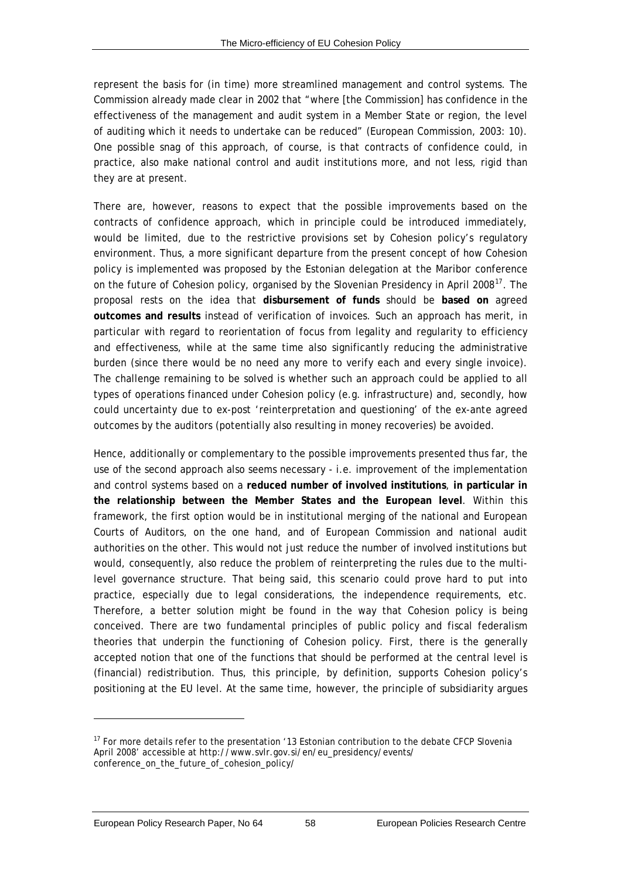<span id="page-67-0"></span>represent the basis for (in time) more streamlined management and control systems. The Commission already made clear in 2002 that "where [the Commission] has confidence in the effectiveness of the management and audit system in a Member State or region, the level of auditing which it needs to undertake can be reduced" (European Commission, 2003: 10). One possible snag of this approach, of course, is that contracts of confidence could, in practice, also make national control and audit institutions more, and not less, rigid than they are at present.

There are, however, reasons to expect that the possible improvements based on the contracts of confidence approach, which in principle could be introduced immediately, would be limited, due to the restrictive provisions set by Cohesion policy's regulatory environment. Thus, a more significant departure from the present concept of how Cohesion policy is implemented was proposed by the Estonian delegation at the Maribor conference on the future of Cohesion policy, organised by the Slovenian Presidency in April 2008 $^{17}$  $^{17}$  $^{17}$ . The proposal rests on the idea that **disbursement of funds** should be **based on** agreed **outcomes and results** instead of verification of invoices. Such an approach has merit, in particular with regard to reorientation of focus from legality and regularity to efficiency and effectiveness, while at the same time also significantly reducing the administrative burden (since there would be no need any more to verify each and every single invoice). The challenge remaining to be solved is whether such an approach could be applied to all types of operations financed under Cohesion policy (e.g. infrastructure) and, secondly, how could uncertainty due to *ex-post* 'reinterpretation and questioning' of the *ex-ante* agreed outcomes by the auditors (potentially also resulting in money recoveries) be avoided.

Hence, additionally or complementary to the possible improvements presented thus far, the use of the second approach also seems necessary - i.e. improvement of the implementation and control systems based on a **reduced number of involved institutions**, **in particular in the relationship between the Member States and the European level**. Within this framework, the first option would be in institutional merging of the national and European Courts of Auditors, on the one hand, and of European Commission and national audit authorities on the other. This would not just reduce the number of involved institutions but would, consequently, also reduce the problem of reinterpreting the rules due to the multilevel governance structure. That being said, this scenario could prove hard to put into practice, especially due to legal considerations, the independence requirements, etc. Therefore, a better solution might be found in the way that Cohesion policy is being conceived. There are two fundamental principles of public policy and fiscal federalism theories that underpin the functioning of Cohesion policy. First, there is the generally accepted notion that one of the functions that should be performed at the central level is (financial) redistribution. Thus, this principle, by definition, supports Cohesion policy's positioning at the EU level. At the same time, however, the principle of subsidiarity argues

 $\overline{a}$ 

<sup>&</sup>lt;sup>17</sup> For more details refer to the presentation '13 Estonian contribution to the debate CFCP Slovenia April 2008' accessible at http://www.svlr.gov.si/en/eu\_presidency/events/ conference\_on\_the\_future\_of\_cohesion\_policy/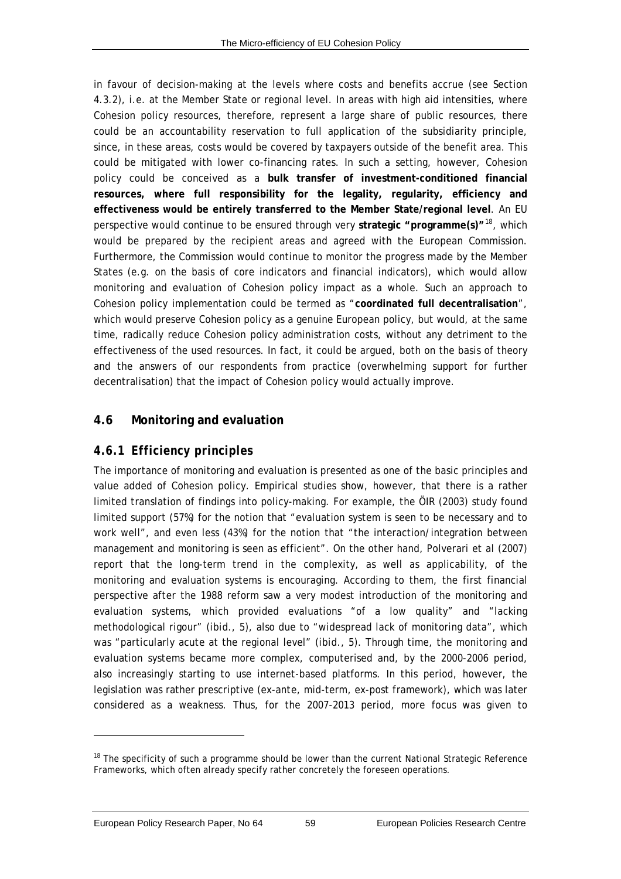<span id="page-68-0"></span>in favour of decision-making at the levels where costs and benefits accrue (see Section [4.3.2\)](#page-41-0), i.e. at the Member State or regional level. In areas with high aid intensities, where Cohesion policy resources, therefore, represent a large share of public resources, there could be an accountability reservation to full application of the subsidiarity principle, since, in these areas, costs would be covered by taxpayers outside of the benefit area. This could be mitigated with lower co-financing rates. In such a setting, however, Cohesion policy could be conceived as a **bulk transfer of investment-conditioned financial resources, where full responsibility for the legality, regularity, efficiency and effectiveness would be entirely transferred to the Member State/regional level**. An EU perspective would continue to be ensured through very **strategic "programme(s)"**[18](#page-68-0), which would be prepared by the recipient areas and agreed with the European Commission. Furthermore, the Commission would continue to monitor the progress made by the Member States (e.g. on the basis of core indicators and financial indicators), which would allow monitoring and evaluation of Cohesion policy impact as a whole. Such an approach to Cohesion policy implementation could be termed as "**coordinated full decentralisation**", which would preserve Cohesion policy as a genuine European policy, but would, at the same time, radically reduce Cohesion policy administration costs, without any detriment to the effectiveness of the used resources. In fact, it could be argued, both on the basis of theory and the answers of our respondents from practice (overwhelming support for further decentralisation) that the impact of Cohesion policy would actually improve.

# **4.6 Monitoring and evaluation**

# *4.6.1 Efficiency principles*

The importance of monitoring and evaluation is presented as one of the basic principles and value added of Cohesion policy. Empirical studies show, however, that there is a rather limited translation of findings into policy-making. For example, the ÖIR (2003) study found limited support (57%) for the notion that "evaluation system is seen to be necessary and to work well", and even less (43%) for the notion that "the interaction/integration between management and monitoring is seen as efficient". On the other hand, Polverari *et al* (2007) report that the long-term trend in the complexity, as well as applicability, of the monitoring and evaluation systems is encouraging. According to them, the first financial perspective after the 1988 reform saw a very modest introduction of the monitoring and evaluation systems, which provided evaluations "of a low quality" and "lacking methodological rigour" (*ibid*., 5), also due to "widespread lack of monitoring data", which was "particularly acute at the regional level" *(ibid.*, 5). Through time, the monitoring and evaluation systems became more complex, computerised and, by the 2000-2006 period, also increasingly starting to use internet-based platforms. In this period, however, the legislation was rather prescriptive (*ex-ante*, mid-term, *ex-post* framework), which was later considered as a weakness. Thus, for the 2007-2013 period, more focus was given to

 $\overline{a}$ 

 $18$  The specificity of such a programme should be lower than the current National Strategic Reference Frameworks, which often already specify rather concretely the foreseen operations.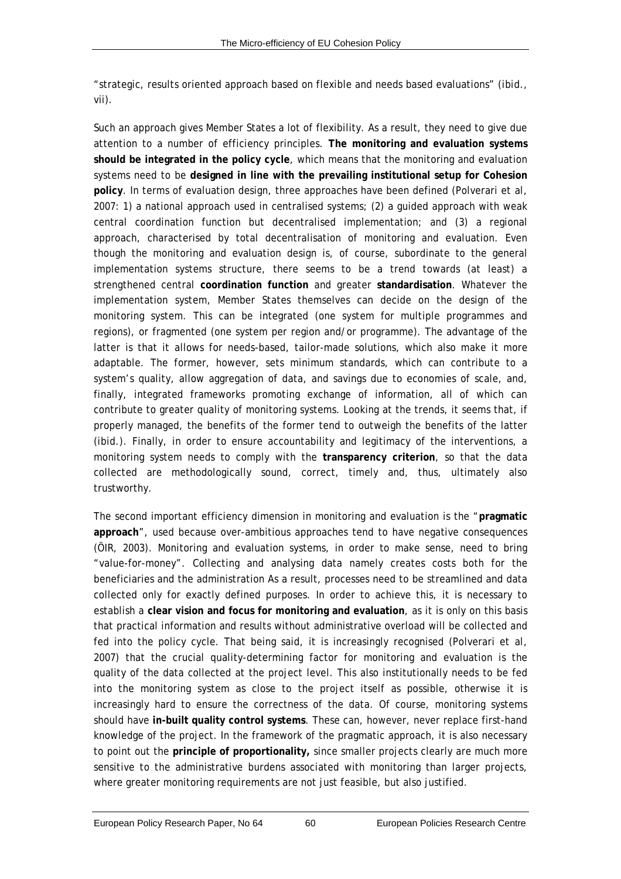"strategic, results oriented approach based on flexible and needs based evaluations" (*ibid*., vii).

Such an approach gives Member States a lot of flexibility. As a result, they need to give due attention to a number of efficiency principles. **The monitoring and evaluation systems should be integrated in the policy cycle**, which means that the monitoring and evaluation systems need to be **designed in line with the prevailing institutional setup for Cohesion policy**. In terms of evaluation design, three approaches have been defined (Polverari *et al,* 2007: 1) a national approach used in centralised systems; (2) a guided approach with weak central coordination function but decentralised implementation; and (3) a regional approach, characterised by total decentralisation of monitoring and evaluation. Even though the monitoring and evaluation design is, of course, subordinate to the general implementation systems structure, there seems to be a trend towards (at least) a strengthened central **coordination function** and greater **standardisation**. Whatever the implementation system, Member States themselves can decide on the design of the monitoring system. This can be integrated (one system for multiple programmes and regions), or fragmented (one system per region and/or programme). The advantage of the latter is that it allows for needs-based, tailor-made solutions, which also make it more adaptable. The former, however, sets minimum standards, which can contribute to a system's quality, allow aggregation of data, and savings due to economies of scale, and, finally, integrated frameworks promoting exchange of information, all of which can contribute to greater quality of monitoring systems. Looking at the trends, it seems that, if properly managed, the benefits of the former tend to outweigh the benefits of the latter (*ibid*.). Finally, in order to ensure accountability and legitimacy of the interventions, a monitoring system needs to comply with the **transparency criterion**, so that the data collected are methodologically sound, correct, timely and, thus, ultimately also trustworthy.

The second important efficiency dimension in monitoring and evaluation is the "**pragmatic approach**", used because over-ambitious approaches tend to have negative consequences (ÖIR, 2003). Monitoring and evaluation systems, in order to make sense, need to bring "value-for-money". Collecting and analysing data namely creates costs both for the beneficiaries and the administration As a result, processes need to be streamlined and data collected only for exactly defined purposes. In order to achieve this, it is necessary to establish a **clear vision and focus for monitoring and evaluation**, as it is only on this basis that practical information and results without administrative overload will be collected and fed into the policy cycle. That being said, it is increasingly recognised (Polverari *et al,* 2007) that the crucial quality-determining factor for monitoring and evaluation is the quality of the data collected at the project level. This also institutionally needs to be fed into the monitoring system as close to the project itself as possible, otherwise it is increasingly hard to ensure the correctness of the data. Of course, monitoring systems should have **in-built quality control systems**. These can, however, never replace first-hand knowledge of the project. In the framework of the pragmatic approach, it is also necessary to point out the **principle of proportionality,** since smaller projects clearly are much more sensitive to the administrative burdens associated with monitoring than larger projects, where greater monitoring requirements are not just feasible, but also justified.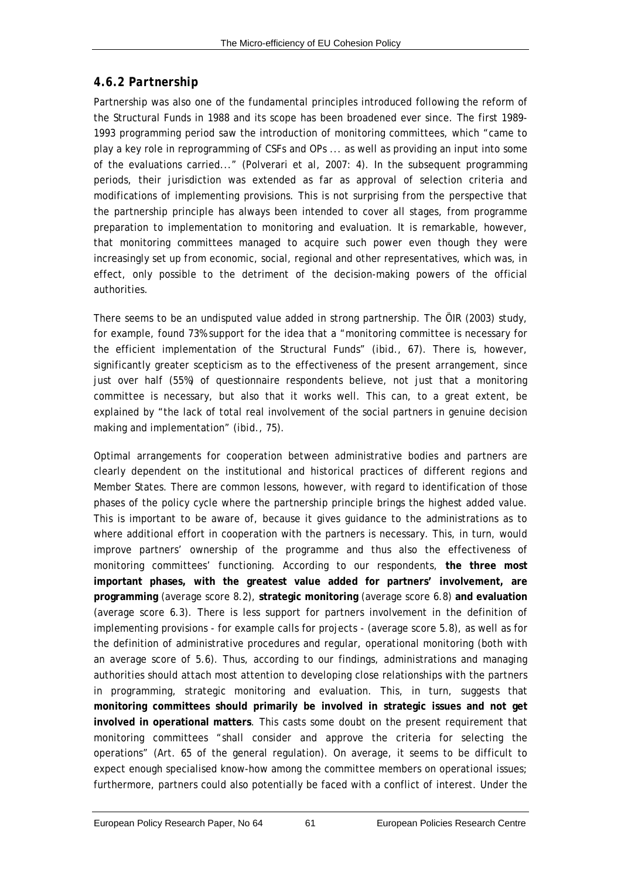# *4.6.2 Partnership*

Partnership was also one of the fundamental principles introduced following the reform of the Structural Funds in 1988 and its scope has been broadened ever since. The first 1989- 1993 programming period saw the introduction of monitoring committees, which "came to play a key role in reprogramming of CSFs and OPs ... as well as providing an input into some of the evaluations carried..." (Polverari *et al,* 2007: 4). In the subsequent programming periods, their jurisdiction was extended as far as approval of selection criteria and modifications of implementing provisions. This is not surprising from the perspective that the partnership principle has always been intended to cover all stages, from programme preparation to implementation to monitoring and evaluation. It is remarkable, however, that monitoring committees managed to acquire such power even though they were increasingly set up from economic, social, regional and other representatives, which was, in effect, only possible to the detriment of the decision-making powers of the official authorities.

There seems to be an undisputed value added in strong partnership. The ÖIR (2003) study, for example, found 73% support for the idea that a "monitoring committee is necessary for the efficient implementation of the Structural Funds" (*ibid*., 67). There is, however, significantly greater scepticism as to the effectiveness of the present arrangement, since just over half (55%) of questionnaire respondents believe, not just that a monitoring committee is necessary, but also that it works well. This can, to a great extent, be explained by "the lack of total real involvement of the social partners in genuine decision making and implementation" (*ibid*., 75).

Optimal arrangements for cooperation between administrative bodies and partners are clearly dependent on the institutional and historical practices of different regions and Member States. There are common lessons, however, with regard to identification of those phases of the policy cycle where the partnership principle brings the highest added value. This is important to be aware of, because it gives guidance to the administrations as to where additional effort in cooperation with the partners is necessary. This, in turn, would improve partners' ownership of the programme and thus also the effectiveness of monitoring committees' functioning. According to our respondents, **the three most important phases, with the greatest value added for partners' involvement, are programming** (average score 8.2), **strategic monitoring** (average score 6.8) **and evaluation** (average score 6.3). There is less support for partners involvement in the definition of implementing provisions - for example calls for projects - (average score 5.8), as well as for the definition of administrative procedures and regular, operational monitoring (both with an average score of 5.6). Thus, according to our findings, administrations and managing authorities should attach most attention to developing close relationships with the partners in programming, strategic monitoring and evaluation. This, in turn, suggests that **monitoring committees should primarily be involved in strategic issues and not get involved in operational matters**. This casts some doubt on the present requirement that monitoring committees "shall consider and approve the criteria for selecting the operations" (Art. 65 of the general regulation). On average, it seems to be difficult to expect enough specialised know-how among the committee members on operational issues; furthermore, partners could also potentially be faced with a conflict of interest. Under the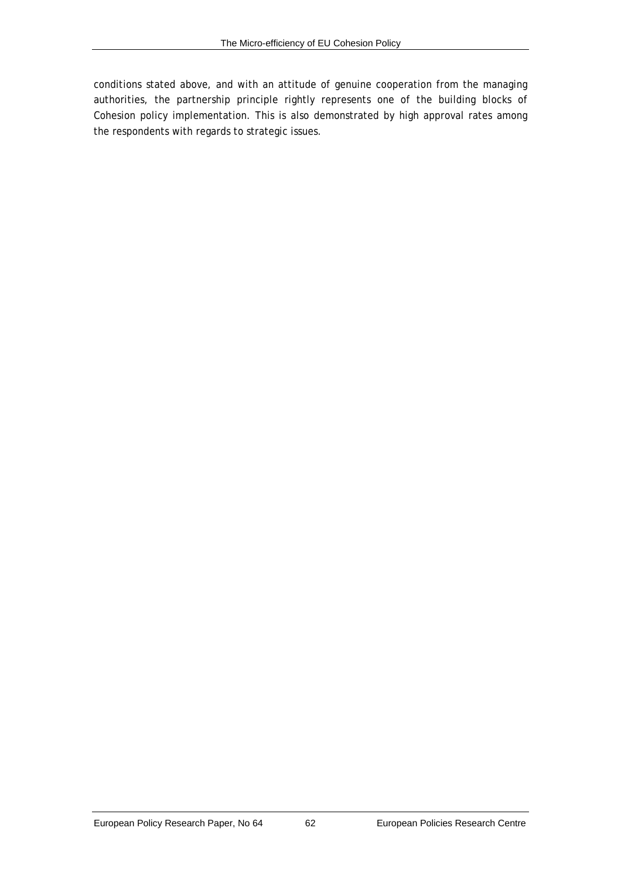conditions stated above, and with an attitude of genuine cooperation from the managing authorities, the partnership principle rightly represents one of the building blocks of Cohesion policy implementation. This is also demonstrated by high approval rates among the respondents with regards to strategic issues.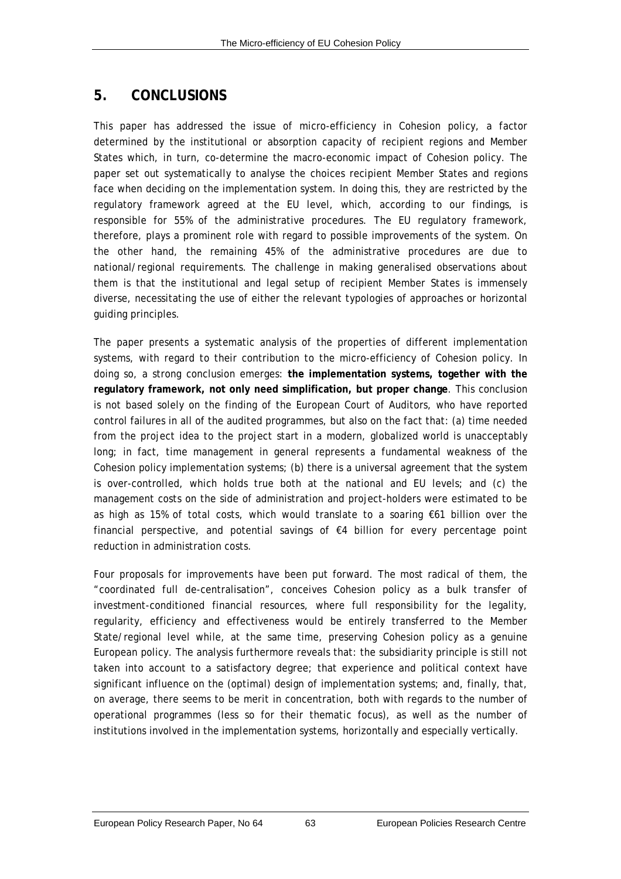# **5. CONCLUSIONS**

This paper has addressed the issue of micro-efficiency in Cohesion policy, a factor determined by the institutional or absorption capacity of recipient regions and Member States which, in turn, co-determine the macro-economic impact of Cohesion policy. The paper set out systematically to analyse the choices recipient Member States and regions face when deciding on the implementation system. In doing this, they are restricted by the regulatory framework agreed at the EU level, which, according to our findings, is responsible for 55% of the administrative procedures. The EU regulatory framework, therefore, plays a prominent role with regard to possible improvements of the system. On the other hand, the remaining 45% of the administrative procedures are due to national/regional requirements. The challenge in making generalised observations about them is that the institutional and legal setup of recipient Member States is immensely diverse, necessitating the use of either the relevant typologies of approaches or horizontal guiding principles.

The paper presents a systematic analysis of the properties of different implementation systems, with regard to their contribution to the micro-efficiency of Cohesion policy. In doing so, a strong conclusion emerges: **the implementation systems, together with the regulatory framework, not only need simplification, but proper change**. This conclusion is not based solely on the finding of the European Court of Auditors, who have reported control failures in all of the audited programmes, but also on the fact that: (a) time needed from the project idea to the project start in a modern, globalized world is unacceptably long; in fact, time management in general represents a fundamental weakness of the Cohesion policy implementation systems; (b) there is a universal agreement that the system is over-controlled, which holds true both at the national and EU levels; and (c) the management costs on the side of administration and project-holders were estimated to be as high as 15% of total costs, which would translate to a soaring €61 billion over the financial perspective, and potential savings of €4 billion for every percentage point reduction in administration costs.

Four proposals for improvements have been put forward. The most radical of them, the "coordinated full de-centralisation", conceives Cohesion policy as a bulk transfer of investment-conditioned financial resources, where full responsibility for the legality, regularity, efficiency and effectiveness would be entirely transferred to the Member State/regional level while, at the same time, preserving Cohesion policy as a genuine European policy. The analysis furthermore reveals that: the subsidiarity principle is still not taken into account to a satisfactory degree; that experience and political context have significant influence on the (optimal) design of implementation systems; and, finally, that, on average, there seems to be merit in concentration, both with regards to the number of operational programmes (less so for their thematic focus), as well as the number of institutions involved in the implementation systems, horizontally and especially vertically.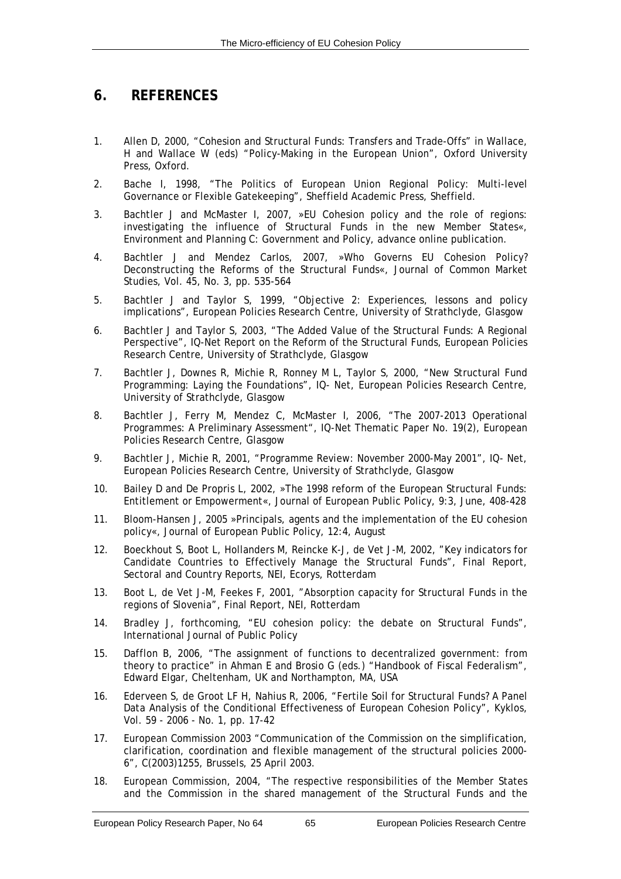# **6. REFERENCES**

- 1. Allen D, 2000, "Cohesion and Structural Funds: Transfers and Trade-Offs" in Wallace, H and Wallace W (eds) "Policy-Making in the European Union", Oxford University Press, Oxford.
- 2. Bache I, 1998, "The Politics of European Union Regional Policy: Multi-level Governance or Flexible Gatekeeping", Sheffield Academic Press, Sheffield.
- 3. Bachtler J and McMaster I, 2007, »EU Cohesion policy and the role of regions: investigating the influence of Structural Funds in the new Member States«, Environment and Planning C: Government and Policy, advance online publication.
- 4. Bachtler J and Mendez Carlos, 2007, »Who Governs EU Cohesion Policy? Deconstructing the Reforms of the Structural Funds«, Journal of Common Market Studies, Vol. 45, No. 3, pp. 535-564
- 5. Bachtler J and Taylor S, 1999, "Objective 2: Experiences, lessons and policy implications", European Policies Research Centre, University of Strathclyde, Glasgow
- 6. Bachtler J and Taylor S, 2003, "The Added Value of the Structural Funds: A Regional Perspective", IQ-Net Report on the Reform of the Structural Funds, European Policies Research Centre, University of Strathclyde, Glasgow
- 7. Bachtler J, Downes R, Michie R, Ronney M L, Taylor S, 2000, "New Structural Fund Programming: Laying the Foundations", IQ- Net, European Policies Research Centre, University of Strathclyde, Glasgow
- 8. Bachtler J, Ferry M, Mendez C, McMaster I, 2006, "The 2007-2013 Operational Programmes: A Preliminary Assessment", IQ-Net Thematic Paper No. 19(2), European Policies Research Centre, Glasgow
- 9. Bachtler J, Michie R, 2001, "Programme Review: November 2000-May 2001", IQ- Net, European Policies Research Centre, University of Strathclyde, Glasgow
- 10. Bailey D and De Propris L, 2002, »The 1998 reform of the European Structural Funds: Entitlement or Empowerment«, Journal of European Public Policy, 9:3, June, 408-428
- 11. Bloom-Hansen J, 2005 »Principals, agents and the implementation of the EU cohesion policy«, Journal of European Public Policy, 12:4, August
- 12. Boeckhout S, Boot L, Hollanders M, Reincke K-J, de Vet J-M, 2002, "Key indicators for Candidate Countries to Effectively Manage the Structural Funds", Final Report, Sectoral and Country Reports, NEI, Ecorys, Rotterdam
- 13. Boot L, de Vet J-M, Feekes F, 2001, "Absorption capacity for Structural Funds in the regions of Slovenia", Final Report, NEI, Rotterdam
- 14. Bradley J, forthcoming, "EU cohesion policy: the debate on Structural Funds", International Journal of Public Policy
- 15. Dafflon B, 2006, "The assignment of functions to decentralized government: from theory to practice" in Ahman E and Brosio G (eds.) "Handbook of Fiscal Federalism", Edward Elgar, Cheltenham, UK and Northampton, MA, USA
- 16. Ederveen S, de Groot LF H, Nahius R, 2006, "Fertile Soil for Structural Funds? A Panel Data Analysis of the Conditional Effectiveness of European Cohesion Policy", Kyklos, Vol. 59 - 2006 - No. 1, pp. 17-42
- 17. European Commission 2003 "Communication of the Commission on the simplification, clarification, coordination and flexible management of the structural policies 2000- 6", C(2003)1255, Brussels, 25 April 2003.
- 18. European Commission, 2004, "The respective responsibilities of the Member States and the Commission in the shared management of the Structural Funds and the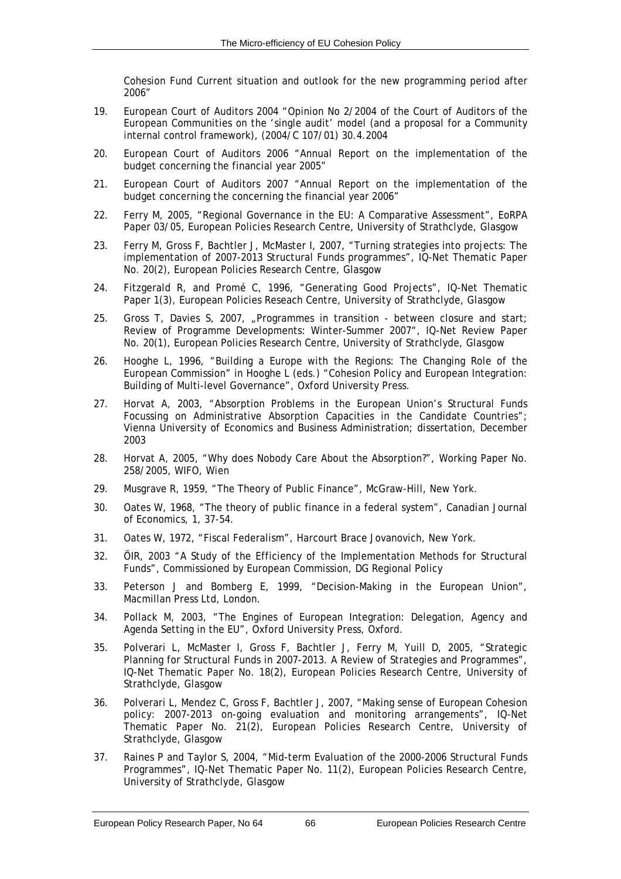Cohesion Fund Current situation and outlook for the new programming period after 2006"

- 19. European Court of Auditors 2004 "Opinion No 2/2004 of the Court of Auditors of the European Communities on the 'single audit' model (and a proposal for a Community internal control framework), (2004/C 107/01) 30.4.2004
- 20. European Court of Auditors 2006 "Annual Report on the implementation of the budget concerning the financial year 2005"
- 21. European Court of Auditors 2007 "Annual Report on the implementation of the budget concerning the concerning the financial year 2006"
- 22. Ferry M, 2005, "Regional Governance in the EU: A Comparative Assessment", EoRPA Paper 03/05, European Policies Research Centre, University of Strathclyde, Glasgow
- 23. Ferry M, Gross F, Bachtler J, McMaster I, 2007, "Turning strategies into projects: The implementation of 2007-2013 Structural Funds programmes", IQ-Net Thematic Paper No. 20(2), European Policies Research Centre, Glasgow
- 24. Fitzgerald R, and Promé C, 1996, "Generating Good Projects", IQ-Net Thematic Paper 1(3), European Policies Reseach Centre, University of Strathclyde, Glasgow
- 25. Gross T, Davies S, 2007, "Programmes in transition between closure and start; Review of Programme Developments: Winter-Summer 2007", IQ-Net Review Paper No. 20(1), European Policies Research Centre, University of Strathclyde, Glasgow
- 26. Hooghe L, 1996, "Building a Europe with the Regions: The Changing Role of the European Commission" in Hooghe L (eds.) "Cohesion Policy and European Integration: Building of Multi-level Governance", Oxford University Press.
- 27. Horvat A, 2003, "Absorption Problems in the European Union's Structural Funds Focussing on Administrative Absorption Capacities in the Candidate Countries"; Vienna University of Economics and Business Administration; dissertation, December 2003
- 28. Horvat A, 2005, "Why does Nobody Care About the Absorption?", Working Paper No. 258/2005, WIFO, Wien
- 29. Musgrave R, 1959, "The Theory of Public Finance", McGraw-Hill, New York.
- 30. Oates W, 1968, "The theory of public finance in a federal system", Canadian Journal of Economics, 1, 37-54.
- 31. Oates W, 1972, "Fiscal Federalism", Harcourt Brace Jovanovich, New York.
- 32. ÖIR, 2003 "A Study of the Efficiency of the Implementation Methods for Structural Funds", Commissioned by European Commission, DG Regional Policy
- 33. Peterson J and Bomberg E, 1999, "Decision-Making in the European Union", Macmillan Press Ltd, London.
- 34. Pollack M, 2003, "The Engines of European Integration: Delegation, Agency and Agenda Setting in the EU", Oxford University Press, Oxford.
- 35. Polverari L, McMaster I, Gross F, Bachtler J, Ferry M, Yuill D, 2005, "Strategic Planning for Structural Funds in 2007-2013. A Review of Strategies and Programmes", IQ-Net Thematic Paper No. 18(2), European Policies Research Centre, University of Strathclyde, Glasgow
- 36. Polverari L, Mendez C, Gross F, Bachtler J, 2007, "Making sense of European Cohesion policy: 2007-2013 on-going evaluation and monitoring arrangements", IQ-Net Thematic Paper No. 21(2), European Policies Research Centre, University of Strathclyde, Glasgow
- 37. Raines P and Taylor S, 2004, "Mid-term Evaluation of the 2000-2006 Structural Funds Programmes", IQ-Net Thematic Paper No. 11(2), European Policies Research Centre, University of Strathclyde, Glasgow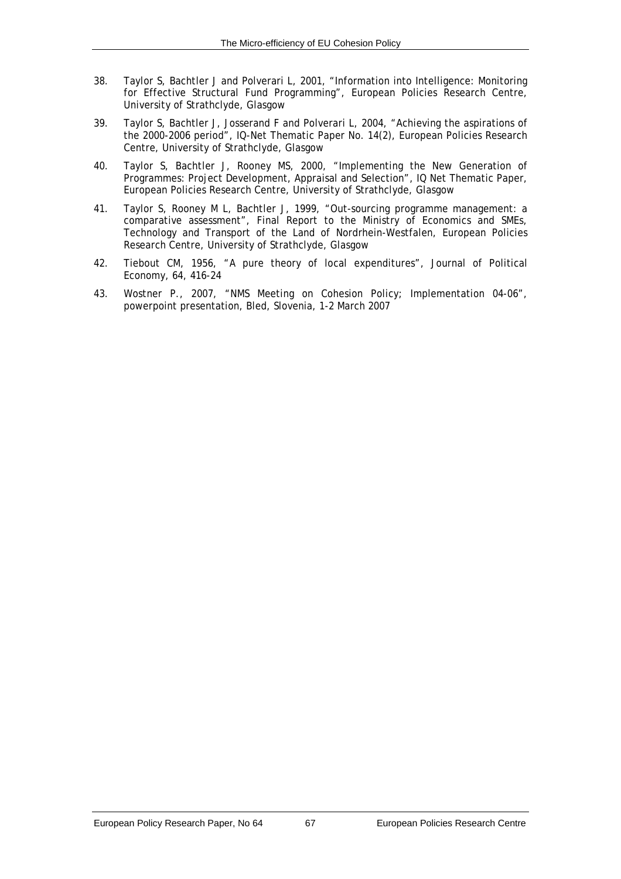- 38. Taylor S, Bachtler J and Polverari L, 2001, "Information into Intelligence: Monitoring for Effective Structural Fund Programming", European Policies Research Centre, University of Strathclyde, Glasgow
- 39. Taylor S, Bachtler J, Josserand F and Polverari L, 2004, "Achieving the aspirations of the 2000-2006 period", IQ-Net Thematic Paper No. 14(2), European Policies Research Centre, University of Strathclyde, Glasgow
- 40. Taylor S, Bachtler J, Rooney MS, 2000, "Implementing the New Generation of Programmes: Project Development, Appraisal and Selection", IQ Net Thematic Paper, European Policies Research Centre, University of Strathclyde, Glasgow
- 41. Taylor S, Rooney M L, Bachtler J, 1999, "Out-sourcing programme management: a comparative assessment", Final Report to the Ministry of Economics and SMEs, Technology and Transport of the Land of Nordrhein-Westfalen, European Policies Research Centre, University of Strathclyde, Glasgow
- 42. Tiebout CM, 1956, "A pure theory of local expenditures", Journal of Political Economy, 64, 416-24
- 43. Wostner P., 2007, "NMS Meeting on Cohesion Policy; Implementation 04-06", powerpoint presentation, Bled, Slovenia, 1-2 March 2007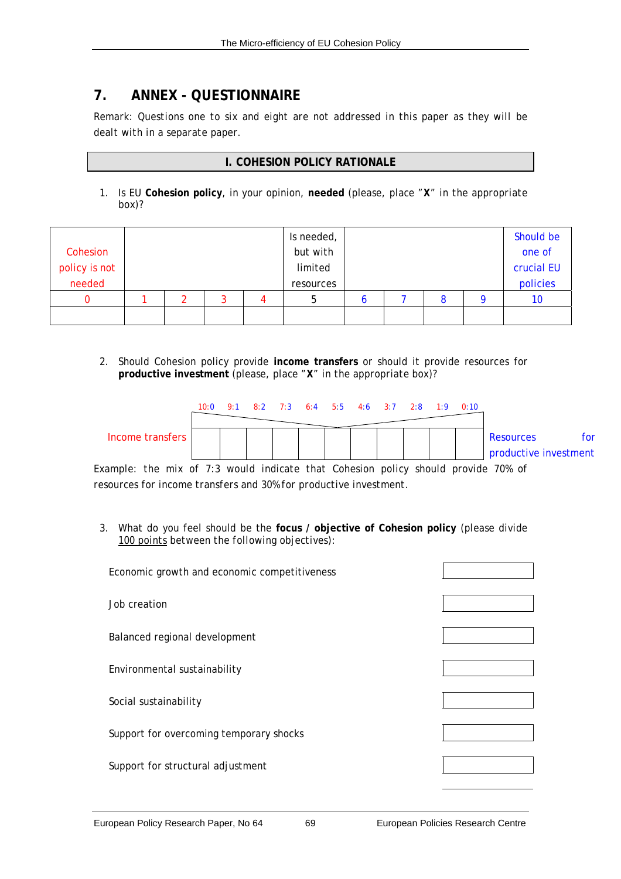# **7. ANNEX - QUESTIONNAIRE**

*Remark: Questions one to six and eight are not addressed in this paper as they will be dealt with in a separate paper.* 

# **I. COHESION POLICY RATIONALE**

1. Is EU **Cohesion policy**, in your opinion, **needed** (please, *place "X" in the appropriate box)?*

|               |  |   | Is needed, |  |   | Should be  |
|---------------|--|---|------------|--|---|------------|
| Cohesion      |  |   | but with   |  |   | one of     |
| policy is not |  |   | limited    |  |   | crucial EU |
| needed        |  |   | resources  |  |   | policies   |
|               |  | z | b          |  | 8 | 10         |
|               |  |   |            |  |   |            |

2. Should Cohesion policy provide **income transfers** or should it provide resources for **productive investment** (please, *place "X" in the appropriate box)*?



*Example: the mix of 7:3 would indicate that Cohesion policy should provide 70% of resources for income transfers and 30% for productive investment.*

3. What do you feel should be the **focus / objective of Cohesion policy** (*please divide 100 points between the following objectives*):

| Economic growth and economic competitiveness |  |
|----------------------------------------------|--|
| Job creation                                 |  |
| Balanced regional development                |  |
| Environmental sustainability                 |  |
| Social sustainability                        |  |
| Support for overcoming temporary shocks      |  |
| Support for structural adjustment            |  |
|                                              |  |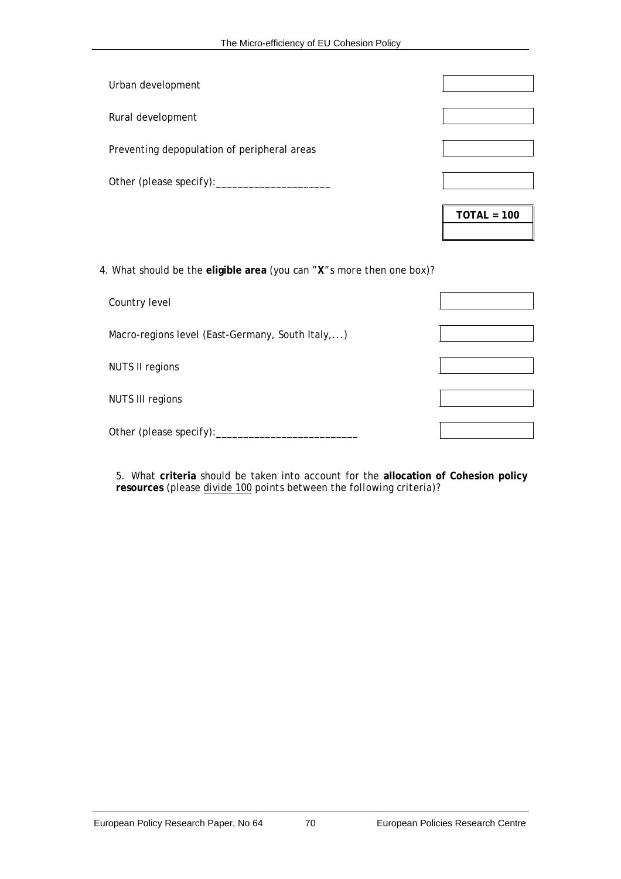| Urban development                           |               |
|---------------------------------------------|---------------|
| Rural development                           |               |
| Preventing depopulation of peripheral areas |               |
| Other (please specify):                     |               |
|                                             | $TOTAL = 100$ |

4. What should be the **eligible area** (*you can "X"s more then one box*)?

| Country level                                    |  |
|--------------------------------------------------|--|
| Macro-regions level (East-Germany, South Italy,) |  |
| <b>NUTS II regions</b>                           |  |
| <b>NUTS III regions</b>                          |  |
| Other (please specify):                          |  |

5. What **criteria** should be taken into account for the **allocation of Cohesion policy resources** (*please divide 100 points between the following criteria*)?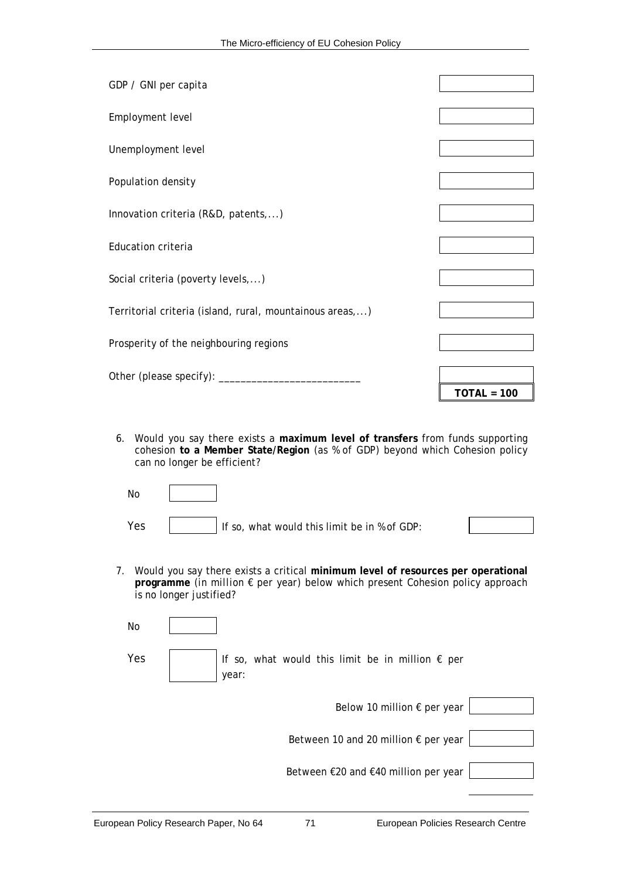| GDP / GNI per capita                                     |               |
|----------------------------------------------------------|---------------|
| Employment level                                         |               |
| Unemployment level                                       |               |
| Population density                                       |               |
| Innovation criteria (R&D, patents,)                      |               |
| <b>Education criteria</b>                                |               |
| Social criteria (poverty levels,)                        |               |
| Territorial criteria (island, rural, mountainous areas,) |               |
| Prosperity of the neighbouring regions                   |               |
|                                                          | $TOTAL = 100$ |

6. Would you say there exists a **maximum level of transfers** from funds supporting cohesion **to a Member State/Region** (*as % of GDP*) beyond which Cohesion policy can no longer be efficient?

| No  |                                              |  |
|-----|----------------------------------------------|--|
| Yes | If so, what would this limit be in % of GDP: |  |

7. Would you say there exists a critical **minimum level of resources per operational programme** (*in million € per year*) below which present Cohesion policy approach is no longer justified?

| No  |                                                                    |  |
|-----|--------------------------------------------------------------------|--|
| Yes | If so, what would this limit be in million $\epsilon$ per<br>year: |  |
|     | Below 10 million € per year                                        |  |
|     | Between 10 and 20 million € per year                               |  |
|     | Between €20 and €40 million per year                               |  |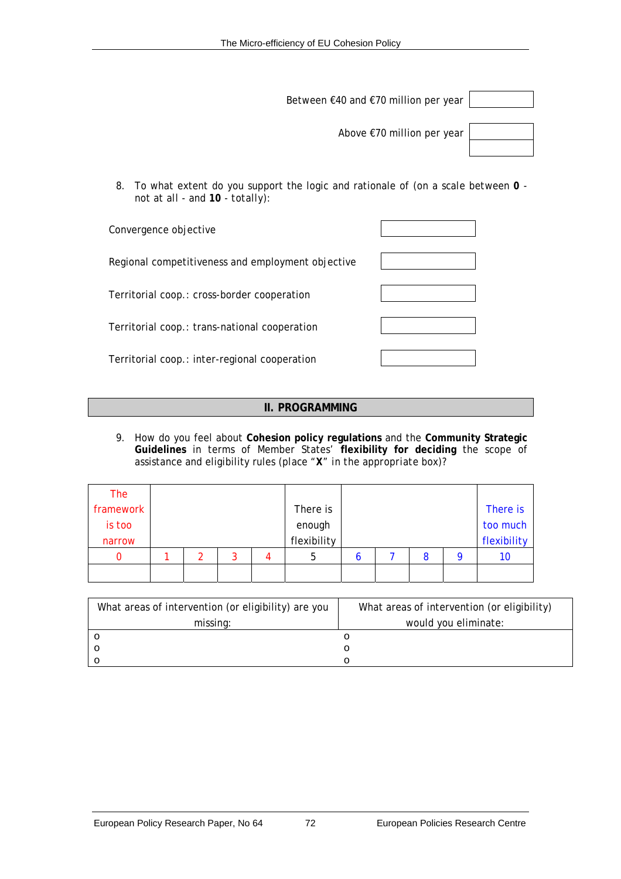Between €40 and €70 million per year

Above €70 million per year

8. To what extent do you support the logic and rationale of (*on a scale between 0 not at all - and 10 - totally*):

| Convergence objective                             |  |
|---------------------------------------------------|--|
| Regional competitiveness and employment objective |  |
| Territorial coop.: cross-border cooperation       |  |
| Territorial coop.: trans-national cooperation     |  |
| Territorial coop.: inter-regional cooperation     |  |

# **II. PROGRAMMING**

9. How do you feel about **Cohesion policy regulations** and the **Community Strategic Guidelines** in terms of Member States' **flexibility for deciding** the scope of assistance and eligibility rules (*place "X" in the appropriate box*)?

| The       |  |   |             |   |   |             |
|-----------|--|---|-------------|---|---|-------------|
| framework |  |   | There is    |   |   | There is    |
| is too    |  |   | enough      |   |   | too much    |
| narrow    |  |   | flexibility |   |   | flexibility |
|           |  | ว | 5           | O | 8 | 10          |
|           |  |   |             |   |   |             |

| What areas of intervention (or eligibility) are you | What areas of intervention (or eligibility) |
|-----------------------------------------------------|---------------------------------------------|
| missing:                                            | would you eliminate:                        |
|                                                     |                                             |
|                                                     |                                             |
|                                                     |                                             |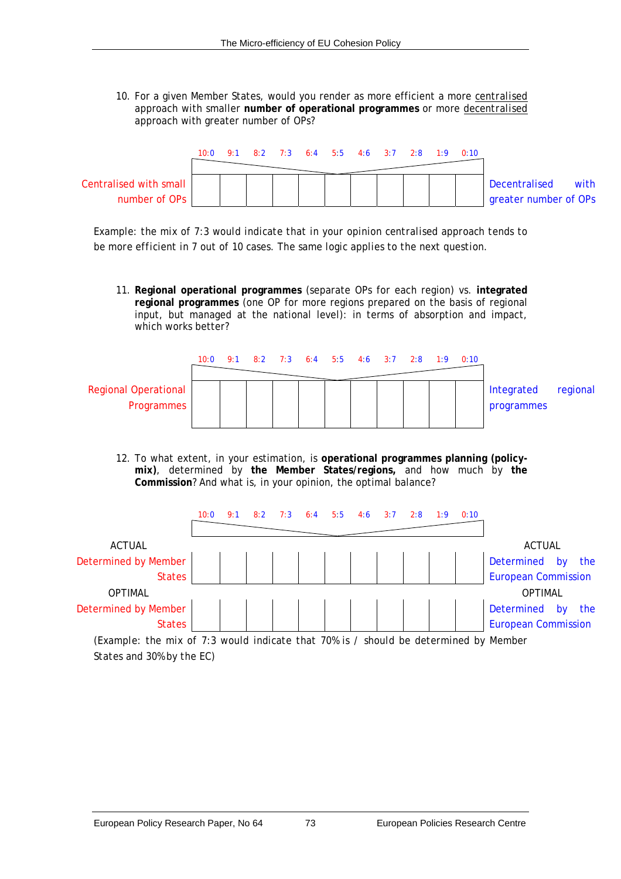10. For a given Member States, would you render as more efficient a more *centralised* approach with smaller **number of operational programmes** or more *decentralised* approach with greater number of OPs?



*Example: the mix of 7:3 would indicate that in your opinion centralised approach tends to be more efficient in 7 out of 10 cases. The same logic applies to the next question.*

11. **Regional operational programmes** (separate OPs for each region) vs. **integrated regional programmes** (one OP for more regions prepared on the basis of regional input, but managed at the national level): in terms of absorption and impact, which works better?



12. To what extent, in your estimation, is **operational programmes planning (policymix)**, determined by **the Member States/regions,** and how much by **the Commission**? And what is, in your opinion, the optimal balance?



*(Example: the mix of 7:3 would indicate that 70% is / should be determined by Member States and 30% by the EC)*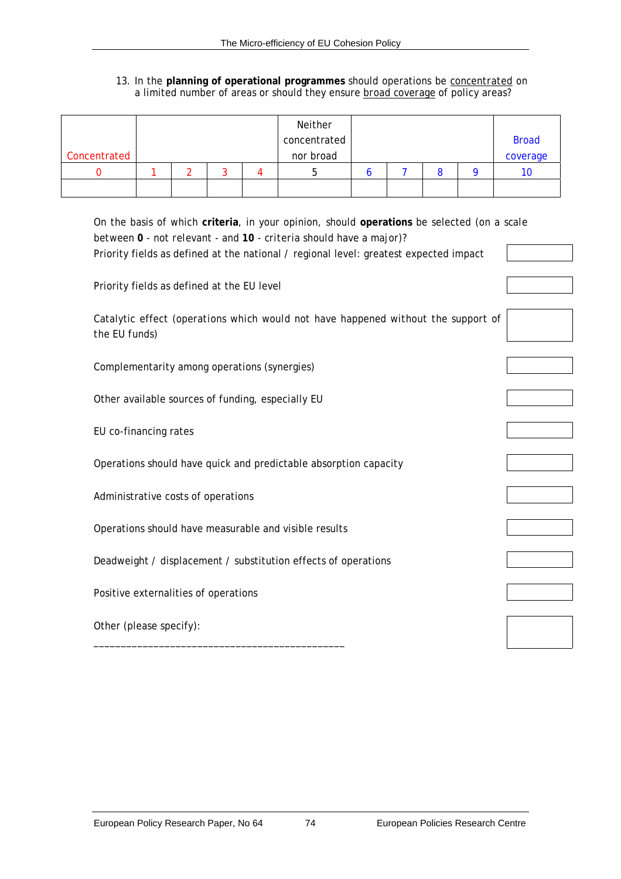#### 13. In the **planning of operational programmes** should operations be *concentrated* on a limited number of areas or should they ensure *broad coverage* of policy areas?

|              |  |  | Neither      |  |  |              |
|--------------|--|--|--------------|--|--|--------------|
|              |  |  | concentrated |  |  | <b>Broad</b> |
| Concentrated |  |  | nor broad    |  |  | coverage     |
|              |  |  |              |  |  | 10           |
|              |  |  |              |  |  |              |

| On the basis of which criteria, in your opinion, should operations be selected (on a scale<br>between 0 - not relevant - and 10 - criteria should have a major)? |  |
|------------------------------------------------------------------------------------------------------------------------------------------------------------------|--|
| Priority fields as defined at the national / regional level: greatest expected impact                                                                            |  |
| Priority fields as defined at the EU level                                                                                                                       |  |
| Catalytic effect (operations which would not have happened without the support of<br>the EU funds)                                                               |  |
| Complementarity among operations (synergies)                                                                                                                     |  |
| Other available sources of funding, especially EU                                                                                                                |  |
| EU co-financing rates                                                                                                                                            |  |
| Operations should have quick and predictable absorption capacity                                                                                                 |  |
| Administrative costs of operations                                                                                                                               |  |
| Operations should have measurable and visible results                                                                                                            |  |
| Deadweight / displacement / substitution effects of operations                                                                                                   |  |
| Positive externalities of operations                                                                                                                             |  |
| Other (please specify):                                                                                                                                          |  |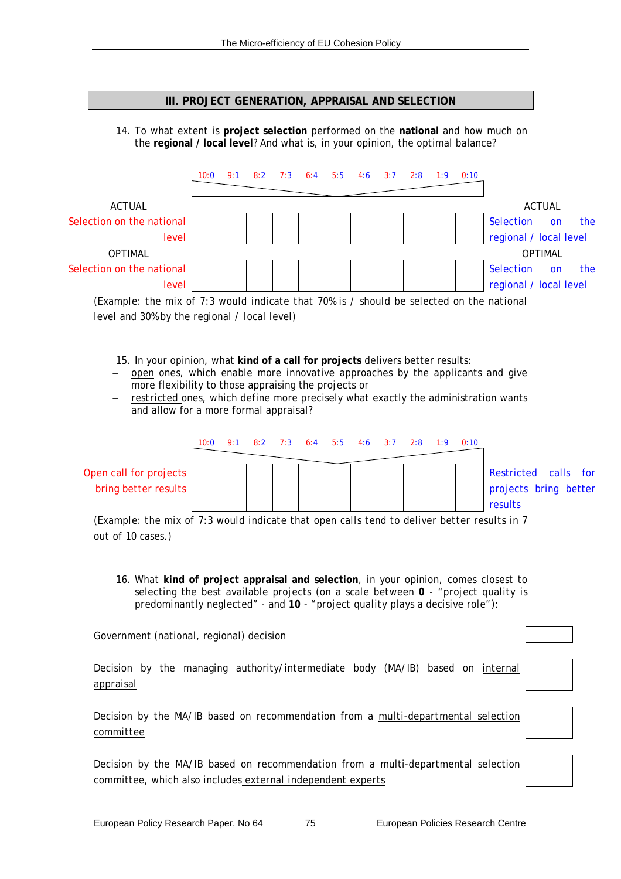### **III. PROJECT GENERATION, APPRAISAL AND SELECTION**

14. To what extent is **project selection** performed on the **national** and how much on the **regional / local level**? And what is, in your opinion, the optimal balance?



*(Example: the mix of 7:3 would indicate that 70% is / should be selected on the national level and 30% by the regional / local level)*

- 15. In your opinion, what **kind of a call for projects** delivers better results:
- − *open* ones, which enable more innovative approaches by the applicants and give more flexibility to those appraising the projects or
- − *restricted* ones, which define more precisely what exactly the administration wants and allow for a more formal appraisal?

|                        | 10:0 | 8:2 |  |  | 7:3 6:4 5:5 4:6 3:7 2:8 1:9 | 0:10 |                       |  |
|------------------------|------|-----|--|--|-----------------------------|------|-----------------------|--|
| Open call for projects |      |     |  |  |                             |      | Restricted calls for  |  |
| bring better results   |      |     |  |  |                             |      | projects bring better |  |
|                        |      |     |  |  |                             |      | results               |  |

*(Example: the mix of 7:3 would indicate that open calls tend to deliver better results in 7 out of 10 cases.)*

16. What **kind of project appraisal and selection**, in your opinion, comes closest to selecting the best available projects (*on a scale between 0 - "project quality is predominantly neglected" - and 10 - "project quality plays a decisive role"*):

Government (national, regional) decision

Decision by the managing authority/intermediate body (MA/IB) based on *internal appraisal*

Decision by the MA/IB based on recommendation from a *multi-departmental selection committee*

Decision by the MA/IB based on recommendation from a multi-departmental selection committee, which also includes *external independent experts*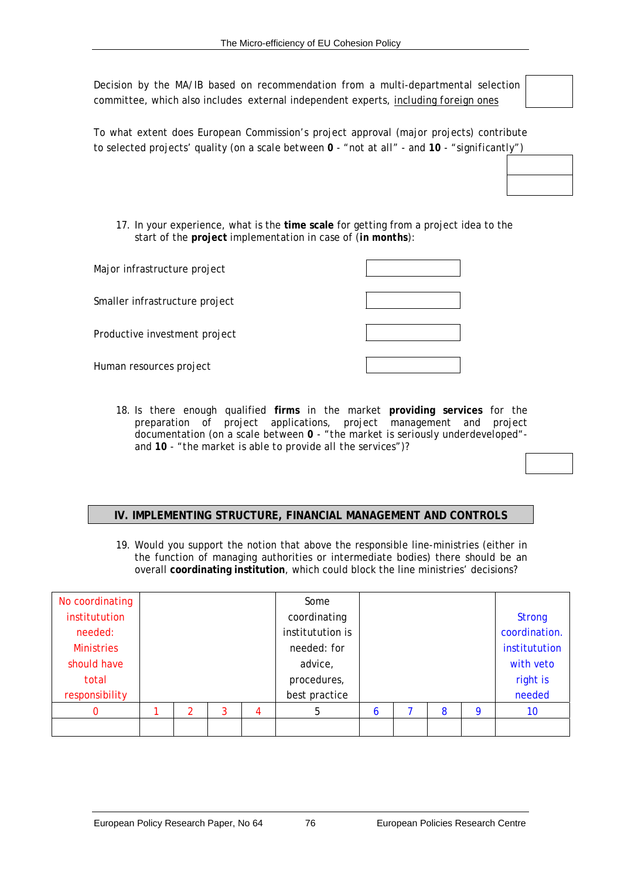Decision by the MA/IB based on recommendation from a multi-departmental selection committee, which also includes external independent experts, *including foreign ones*

To what extent does European Commission's project approval (major projects) contribute to selected projects' quality (*on a scale between 0 - "not at all" - and 10 - "significantly"*)

17. In your experience, what is the **time scale** for getting from a project idea to the start of the **project** implementation in case of (*in months*):

| Major infrastructure project   |  |
|--------------------------------|--|
| Smaller infrastructure project |  |
| Productive investment project  |  |
| Human resources project        |  |

18. Is there enough qualified **firms** in the market **providing services** for the preparation of project applications, project management and project documentation (*on a scale between 0 - "the market is seriously underdeveloped" and 10 - "the market is able to provide all the services"*)?

## **IV. IMPLEMENTING STRUCTURE, FINANCIAL MANAGEMENT AND CONTROLS**

19. Would you support the notion that above the responsible line-ministries (either in the function of managing authorities or intermediate bodies) there should be an overall **coordinating institution**, which could block the line ministries' decisions?

| No coordinating   |  |  | Some |                  |   |   |               |           |        |    |
|-------------------|--|--|------|------------------|---|---|---------------|-----------|--------|----|
| institutution     |  |  |      | coordinating     |   |   | <b>Strong</b> |           |        |    |
| needed:           |  |  |      | institutution is |   |   | coordination. |           |        |    |
| <b>Ministries</b> |  |  |      | needed: for      |   |   | institutution |           |        |    |
| should have       |  |  |      | advice,          |   |   |               | with veto |        |    |
| total             |  |  |      | procedures,      |   |   |               | right is  |        |    |
| responsibility    |  |  |      | best practice    |   |   |               |           | needed |    |
| 0                 |  |  |      | 4                | 5 | 6 |               | 8         | 9      | 10 |
|                   |  |  |      |                  |   |   |               |           |        |    |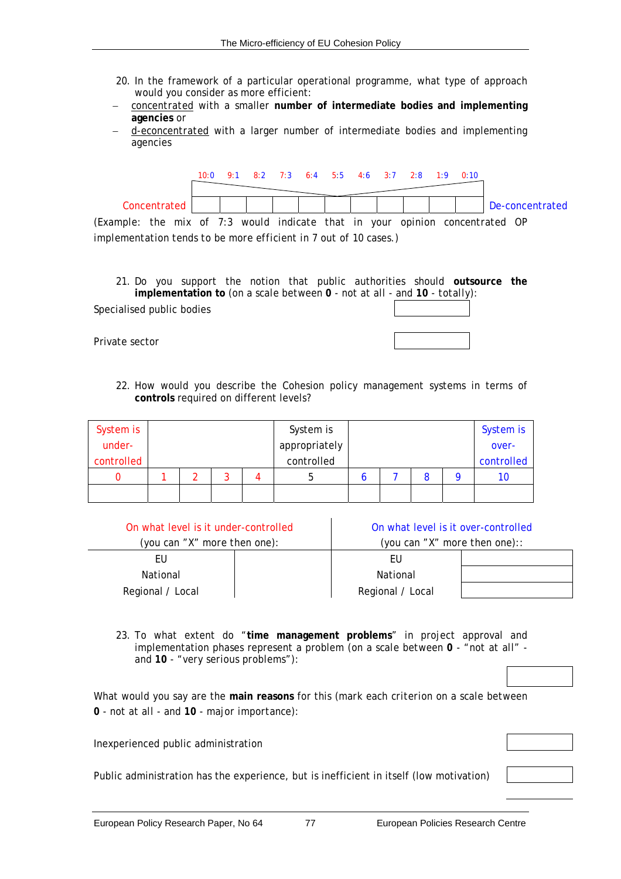- 20. In the framework of a particular operational programme, what type of approach would you consider as more efficient:
- − *concentrated* with a smaller **number of intermediate bodies and implementing agencies** or
- − *d-econcentrated* with a larger number of intermediate bodies and implementing agencies



*(Example: the mix of 7:3 would indicate that in your opinion concentrated OP implementation tends to be more efficient in 7 out of 10 cases.)* 

21. Do you support the notion that public authorities should **outsource the implementation to** (*on a scale between 0 - not at all - and 10 - totally*):

Specialised public bodies

22. How would you describe the Cohesion policy management systems in terms of **controls** required on different levels?

| System is  |  |  |  |               | System is |  |            | System is |  |  |
|------------|--|--|--|---------------|-----------|--|------------|-----------|--|--|
| under-     |  |  |  | appropriately |           |  | over-      |           |  |  |
| controlled |  |  |  | controlled    |           |  | controlled |           |  |  |
|            |  |  |  |               |           |  |            | 10        |  |  |
|            |  |  |  |               |           |  |            |           |  |  |

| On what level is it under-controlled | On what level is it over-controlled |  |  |  |  |
|--------------------------------------|-------------------------------------|--|--|--|--|
| (you can "X" more then one):         | (you can "X" more then one)::       |  |  |  |  |
|                                      |                                     |  |  |  |  |
| National                             | National                            |  |  |  |  |
| Regional / Local                     | Regional / Local                    |  |  |  |  |

23. To what extent do "**time management problems**" in project approval and implementation phases represent a problem (*on a scale between 0 - "not at all" and 10 - "very serious problems"*):

What would you say are the **main reasons** for this (*mark each criterion on a scale between 0 - not at all - and 10 - major importance*):

Inexperienced public administration

Public administration has the experience, but is inefficient in itself (low motivation)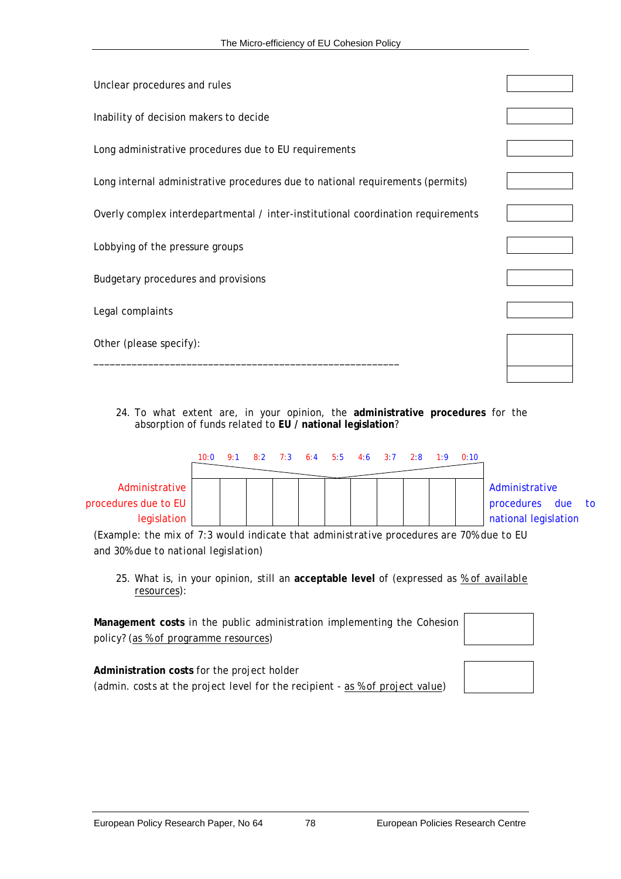| Unclear procedures and rules                                                     |  |
|----------------------------------------------------------------------------------|--|
| Inability of decision makers to decide                                           |  |
| Long administrative procedures due to EU requirements                            |  |
| Long internal administrative procedures due to national requirements (permits)   |  |
| Overly complex interdepartmental / inter-institutional coordination requirements |  |
| Lobbying of the pressure groups                                                  |  |
| Budgetary procedures and provisions                                              |  |
| Legal complaints                                                                 |  |
| Other (please specify):                                                          |  |
|                                                                                  |  |

24. To what extent are, in your opinion, the **administrative procedures** for the absorption of funds related to **EU / national legislation**?

|                      | 10:0 | 9:1 8:2 7:3 6:4 5:5 4:6 3:7 2:8 1:9 |  |  |  | 0:10 |                      |  |
|----------------------|------|-------------------------------------|--|--|--|------|----------------------|--|
| Administrative       |      |                                     |  |  |  |      | Administrative       |  |
| procedures due to EU |      |                                     |  |  |  |      | procedures due to    |  |
| legislation          |      |                                     |  |  |  |      | national legislation |  |

*(Example: the mix of 7:3 would indicate that administrative procedures are 70% due to EU and 30% due to national legislation)*

25. What is, in your opinion, still an **acceptable level** of (*expressed as % of available resources)*:

**Management costs** in the public administration implementing the Cohesion policy? *(as % of programme resources)*

**Administration costs** for the project holder (*admin. costs at the project level for the recipient - as % of project value*)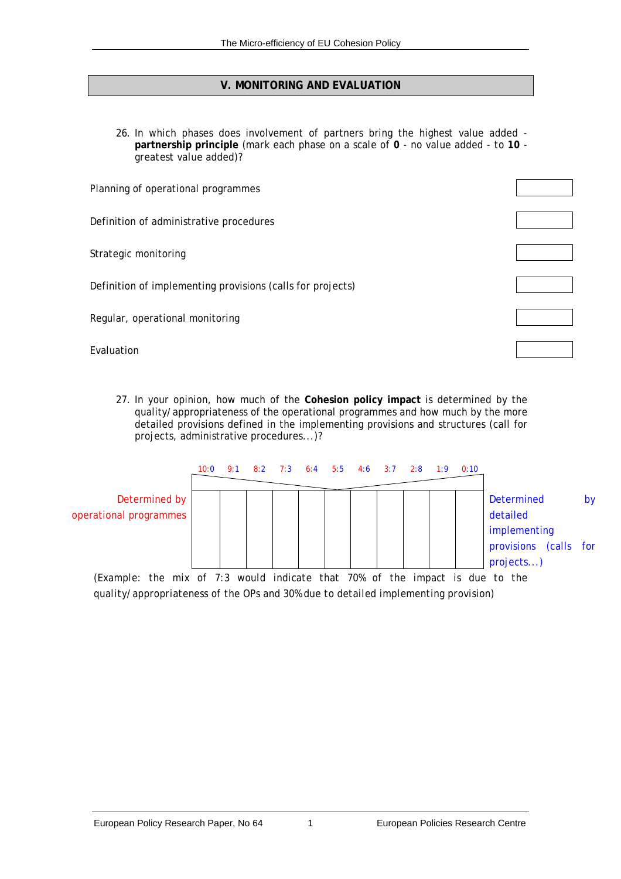## **V. MONITORING AND EVALUATION**

26. In which phases does involvement of partners bring the highest value added **partnership principle** (*mark each phase on a scale of 0 - no value added - to 10 greatest value added*)?

| Planning of operational programmes                         |  |
|------------------------------------------------------------|--|
| Definition of administrative procedures                    |  |
| Strategic monitoring                                       |  |
| Definition of implementing provisions (calls for projects) |  |
| Regular, operational monitoring                            |  |
| Evaluation                                                 |  |

27. In your opinion, how much of the **Cohesion policy impact** is determined by the quality/appropriateness of the operational programmes and how much by the more detailed provisions defined in the implementing provisions and structures (call for projects, administrative procedures...)?



*quality/appropriateness of the OPs and 30% due to detailed implementing provision)*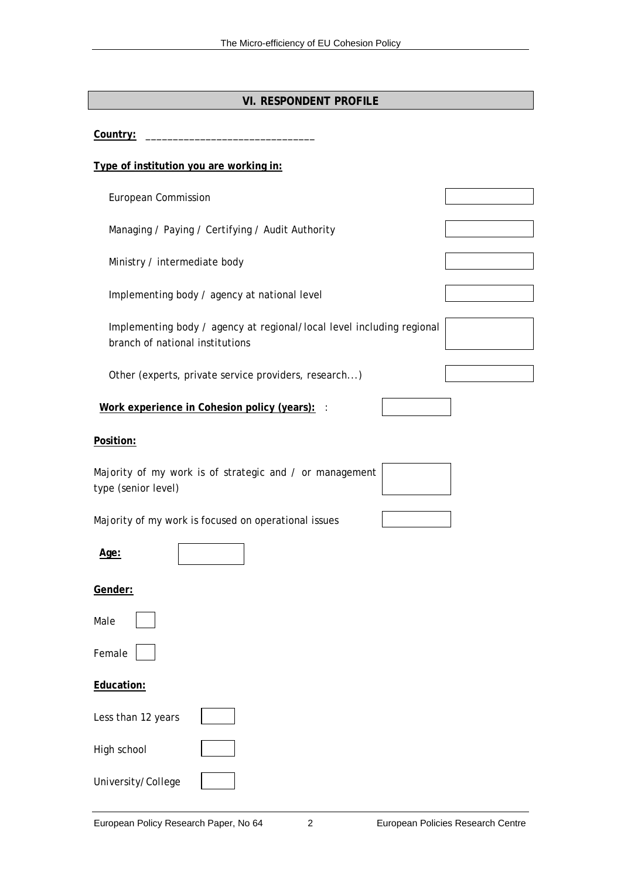## **VI. RESPONDENT PROFILE**

Country:

#### **Type of institution you are working in:**

European Commission

Managing / Paying / Certifying / Audit Authority

Ministry / intermediate body

Implementing body / agency at national level

Implementing body / agency at regional/local level including regional branch of national institutions

Other (experts, private service providers, research...)

**Work experience in Cohesion policy (years):** :

#### **Position:**

Majority of my work is of strategic and / or management type (senior level)

Majority of my work is focused on operational issues

|                                 | v. |
|---------------------------------|----|
| the contract of the contract of |    |

#### **Gender:**

| Male |  |  |
|------|--|--|

Female

#### **Education:**

| Less than 12 years |  |
|--------------------|--|
| High school        |  |
| University/College |  |